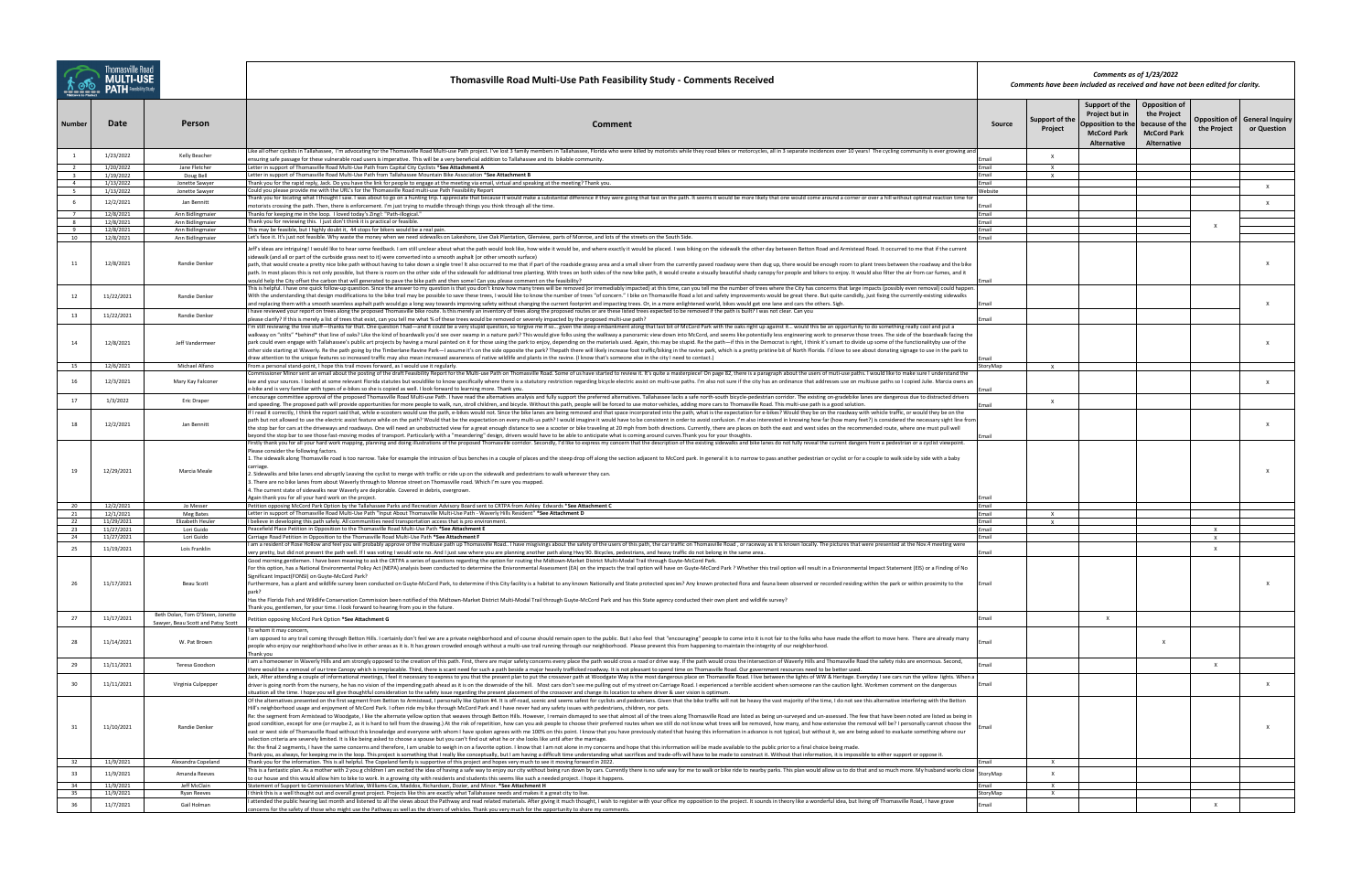|                                           |                          |                                                    | Thomasville Road Multi-Use Path Feasibility Study - Comments Received                                                                                                                                                                                                                                                                                                                                                                                                                                                                                                                                                                                                                                                                                                                                                                                                                                                                                                                                                                                                                                                                                                                                                                                                                                                                                                                                                                                                                                                  | Comments as of 1/23/2022<br>Comments have been included as received and have not been edited for clarity. |                              |                                                                                            |                                                                                            |              |                                                       |
|-------------------------------------------|--------------------------|----------------------------------------------------|------------------------------------------------------------------------------------------------------------------------------------------------------------------------------------------------------------------------------------------------------------------------------------------------------------------------------------------------------------------------------------------------------------------------------------------------------------------------------------------------------------------------------------------------------------------------------------------------------------------------------------------------------------------------------------------------------------------------------------------------------------------------------------------------------------------------------------------------------------------------------------------------------------------------------------------------------------------------------------------------------------------------------------------------------------------------------------------------------------------------------------------------------------------------------------------------------------------------------------------------------------------------------------------------------------------------------------------------------------------------------------------------------------------------------------------------------------------------------------------------------------------------|-----------------------------------------------------------------------------------------------------------|------------------------------|--------------------------------------------------------------------------------------------|--------------------------------------------------------------------------------------------|--------------|-------------------------------------------------------|
| <b>Number</b>                             | Date                     | Person                                             | <b>Comment</b>                                                                                                                                                                                                                                                                                                                                                                                                                                                                                                                                                                                                                                                                                                                                                                                                                                                                                                                                                                                                                                                                                                                                                                                                                                                                                                                                                                                                                                                                                                         | Source                                                                                                    | Support of the<br>Project    | Support of the<br>Project but in<br>Opposition to the<br><b>McCord Park</b><br>Alternative | <b>Opposition of</b><br>the Project<br>because of the<br><b>McCord Park</b><br>Alternative | the Project  | <b>Opposition of   General Inquiry</b><br>or Question |
| <sup>1</sup>                              | 1/23/2022                | Kelly Beacher                                      | Like all ofher cyclists in Tallahassee, I'm advocating for the Thomasville Road Multi-use Path project. I've lost 3 family members in Tallahassee, Florida who were killed by motorists while they road bikes or motorcycles,<br>ensuring safe passage for these vulnerable road users is imperative. This will be a very beneficial addition to Tallahassee and its bikable community.                                                                                                                                                                                                                                                                                                                                                                                                                                                                                                                                                                                                                                                                                                                                                                                                                                                                                                                                                                                                                                                                                                                                | Fmail                                                                                                     | $\mathsf{X}$                 |                                                                                            |                                                                                            |              |                                                       |
|                                           | 1/20/2022                | Jane Fletcher                                      | Letter in support of Thomasville Road Multi-Use Path from Capital City Cyclists *See Attachment A                                                                                                                                                                                                                                                                                                                                                                                                                                                                                                                                                                                                                                                                                                                                                                                                                                                                                                                                                                                                                                                                                                                                                                                                                                                                                                                                                                                                                      | Email                                                                                                     | $\mathsf{x}$                 |                                                                                            |                                                                                            |              |                                                       |
| $\overline{\mathbf{3}}$<br>$\overline{4}$ | 1/19/2022<br>1/13/2022   | Doug Bell<br>Jonette Sawyer                        | Letter in support of Thomasville Road Multi-Use Path from Tallahassee Mountain Bike Association *See Attachment B<br>Thank you for the rapid reply, Jack. Do you have the link for people to engage at the meeting via email, virtual and speaking at the meeting? Thank you.                                                                                                                                                                                                                                                                                                                                                                                                                                                                                                                                                                                                                                                                                                                                                                                                                                                                                                                                                                                                                                                                                                                                                                                                                                          | Email<br>Email                                                                                            | $\mathsf{x}$                 |                                                                                            |                                                                                            |              |                                                       |
|                                           | 1/13/2022                | Jonette Sawyer                                     | Could you please provide me with the URL's for the Thomasville Road multi-use Path Feasibility Report                                                                                                                                                                                                                                                                                                                                                                                                                                                                                                                                                                                                                                                                                                                                                                                                                                                                                                                                                                                                                                                                                                                                                                                                                                                                                                                                                                                                                  | Website                                                                                                   |                              |                                                                                            |                                                                                            |              | $\mathbf{x}$                                          |
| 6                                         | 12/2/2021                | Jan Bennitt                                        | hank you for locating what I thought I saw. I was about to go on a hunting trip. I appreciate that because it would make a substantial difference if they were going that fast on the path. It seems it would be more likely t<br>notorists crossing the path. Then, there is enforcement. I'm just trying to muddle through things you think through all the time.                                                                                                                                                                                                                                                                                                                                                                                                                                                                                                                                                                                                                                                                                                                                                                                                                                                                                                                                                                                                                                                                                                                                                    | Email                                                                                                     |                              |                                                                                            |                                                                                            |              | $\mathbf{x}$                                          |
| $\overline{7}$                            | 12/8/2021                | Ann Bidlingmaier                                   | "hanks for keeping me in the loop. I loved today's Zing!: "Path-illogical."                                                                                                                                                                                                                                                                                                                                                                                                                                                                                                                                                                                                                                                                                                                                                                                                                                                                                                                                                                                                                                                                                                                                                                                                                                                                                                                                                                                                                                            | Email                                                                                                     |                              |                                                                                            |                                                                                            |              |                                                       |
| 8 <sup>1</sup><br>9                       | 12/8/2021<br>12/8/2021   | Ann Bidlingmaier<br>Ann Bidlingmaier               | Thank you for reviewing this. I just don't think it is practical or feasible.<br>This may be feasible, but I highly doubt it, 44 stops for bikers would be a real pain.                                                                                                                                                                                                                                                                                                                                                                                                                                                                                                                                                                                                                                                                                                                                                                                                                                                                                                                                                                                                                                                                                                                                                                                                                                                                                                                                                | Email<br>Email                                                                                            |                              |                                                                                            |                                                                                            | X            |                                                       |
| 10                                        | 12/8/2021                | Ann Bidlingmaier                                   | Let's face it. It's just not feasible. Why waste the money when we need sidewalks on Lakeshore, Live Oak Plantation, Glenview, parts of Monroe, and lots of the streets on the South Side.                                                                                                                                                                                                                                                                                                                                                                                                                                                                                                                                                                                                                                                                                                                                                                                                                                                                                                                                                                                                                                                                                                                                                                                                                                                                                                                             | Email                                                                                                     |                              |                                                                                            |                                                                                            |              |                                                       |
| 11                                        | 12/8/2021                | Randie Denker                                      | leff's ideas are intriguing! I would like to hear some feedback. I am still unclear about what the path would look like, how wide it would be, and where exactly it would be placed. I was biking on the sidewalk the other da<br>sidewalk (and all or part of the curbside grass next to it) were converted into a smooth asphalt (or other smooth surface)<br>path, that would create a pretty nice bike path without having to take down a single tree! It also occurred to me that if part of the roadside grassy area and a small sliver from the currently paved roadway were then dug u<br>path. In most places this is not only possible, but there is room on the other side of the sidewalk for additional tree planting. With trees on both sides of the new bike path, it would create a visually beautiful shady ca<br>would help the City offset the carbon that will generated to pave the bike path and then some! Can you please comment on the feasibility?                                                                                                                                                                                                                                                                                                                                                                                                                                                                                                                                          | Fmail                                                                                                     |                              |                                                                                            |                                                                                            |              |                                                       |
| 12                                        | 11/22/2021               | Randie Denker                                      | his is helpful. I have one quick follow-up question. Since the answer to my question is that you don't know how many trees will be removed (or irremediably impacted) at this time, can you tell me the number of trees where<br>With the understanding that design modifications to the bike trail may be possible to save these trees, I would like to know the number of trees "of concern." I bike on Thomasville Road a lot and safety improvements would<br>and replacing them with a smooth seamless asphalt path would go a long way towards improving safety without changing the current footprint and impacting trees. Or, in a more enlightened world, bikes would get one lane and                                                                                                                                                                                                                                                                                                                                                                                                                                                                                                                                                                                                                                                                                                                                                                                                                        | Fmail                                                                                                     |                              |                                                                                            |                                                                                            |              |                                                       |
| 13                                        | 11/22/2021               | Randie Denker                                      | I have reviewed your report on trees along the proposed Thomasville bike route. Is this merely an inventory of trees along the proposed routes or are these listed trees expected to be removed if the path is built? I was no<br>lease clarify? If this is merely a list of trees that exist, can you tell me what % of these trees would be removed or severely impacted by the proposed multi-use path?                                                                                                                                                                                                                                                                                                                                                                                                                                                                                                                                                                                                                                                                                                                                                                                                                                                                                                                                                                                                                                                                                                             | Fmail                                                                                                     |                              |                                                                                            |                                                                                            |              |                                                       |
| 14                                        | 12/8/2021                | Jeff Vandermeer                                    | I'm still reviewing the tree stuff-thanks for that. One question I had-and it could be a very stupid question, so forgive me if so given the steep embankment along that last bit of McCord Park with the oaks right up aga<br>walkway on "stilts" *behind* that line of oaks? Like the kind of boardwalk you'd see over swamp in a nature park? This would give folks using the walkway a panoramic view down into McCord, and seems like potentially less e<br>park could even engage with Tallahassee's public art projects by having a mural painted on it for those using the park to enjoy, depending on the materials used. Again, this may be stupid. Re the path-if this in the Democr<br>other side starting at Waverly. Re the path going by the Timberlane Ravine Park-I assume it's on the side opposite the park? Thepath there will likely increase foot traffic/biking in the ravine park, which is a pretty pris<br>draw attention to the unique features so increased traffic may also mean increased awareness of native wildlife and plants in the rayine. (I know that's someone else in the city I need to contact.)                                                                                                                                                                                                                                                                                                                                                                             | Fmail                                                                                                     |                              |                                                                                            |                                                                                            |              | X                                                     |
| 15                                        | 12/6/2021                | Michael Alfano                                     | From a personal stand-point, I hope this trail moves forward, as I would use it regularly.<br>Commissioner Minor sent an email about the posting of the draft Feasibility Report for the Multi-use Path on Thomasville Road. Some of us have started to review it. It's quite a masterpiece! On page 82, there is a paragrap                                                                                                                                                                                                                                                                                                                                                                                                                                                                                                                                                                                                                                                                                                                                                                                                                                                                                                                                                                                                                                                                                                                                                                                           | StoryMap                                                                                                  | $\mathsf{X}$                 |                                                                                            |                                                                                            |              |                                                       |
| 16                                        | 12/3/2021                | Mary Kay Falconer                                  | law and your sources. I looked at some relevant Florida statutes but wouldlike to know specifically where there is a statutory restriction regarding bicycle electric assist on multi-use paths. I'm also not sure if the city<br>-bike and is very familiar with types of e-bikes so she is copied as well. I look forward to learning more. Thank you.                                                                                                                                                                                                                                                                                                                                                                                                                                                                                                                                                                                                                                                                                                                                                                                                                                                                                                                                                                                                                                                                                                                                                               |                                                                                                           |                              |                                                                                            |                                                                                            |              | $\mathsf{X}$                                          |
| 17                                        | 1/3/2022                 | Eric Draper                                        | encourage committee approval of the proposed Thomasville Road Multi-use Path. I have read the alternatives analysis and fully support the preferred alternatives. Tallahassee lacks a safe north-south bicycle-pedestrian corr<br>and speeding. The proposed path will provide opportunities for more people to walk, run, stroll children, and bicycle. Without this path, people will be forced to use motor vehicles, adding more cars to Thomasville Road. T                                                                                                                                                                                                                                                                                                                                                                                                                                                                                                                                                                                                                                                                                                                                                                                                                                                                                                                                                                                                                                                       | Fmail                                                                                                     | $\mathsf{X}$                 |                                                                                            |                                                                                            |              |                                                       |
| 18                                        | 12/2/2021                | Jan Bennitt                                        | f I read it correctly, I think the report said that, while e-scooters would use the path, e-bikes would not. Since the bike lanes are being removed and that space incorporated into the path, what is the expectation for e-b<br>path but not allowed to use the electric assist feature while on the path? Would that be the expectation on every multi-us path? I would imagine it would have to be consistent in order to avoid confusion. I'm also interest<br>the stop bar for cars at the driveways and roadways. One will need an unobstructed view for a great enough distance to see a scooter or bike traveling at 20 mph from both directions. Currently, there are places on both the<br>beyond the stop bar to see those fast-moving modes of transport. Particularly with a "meandering" design, drivers would have to be able to anticipate what is coming around curves. Thank you for your thoughts.                                                                                                                                                                                                                                                                                                                                                                                                                                                                                                                                                                                                 | Fmail                                                                                                     |                              |                                                                                            |                                                                                            |              | $\mathsf{X}$                                          |
| 19                                        | 12/29/2021               | Marcia Meale                                       | irstly thank you for all your hard work mapping, planning and doing illustrations of the proposed Thomasville corridor. Secondly, I'd like to express my concern that the description of the existing sidewalks and bike lanes<br>Please consider the following factors.<br>1. The sidewalk along Thomasville road is too narrow. Take for example the intrusion of bus benches in a couple of places and the steep drop off along the section adjacent to McCord park. In general it is to narrow to pass<br>carriage.<br>Sidewalks and bike lanes end abruptly Leaving the cyclist to merge with traffic or ride up on the sidewalk and pedestrians to walk wherever they can.<br>8. There are no bike lanes from about Waverly through to Monroe street on Thomasville road. Which I'm sure you mapped.<br>I. The current state of sidewalks near Waverly are deplorable. Covered in debris, overgrown.                                                                                                                                                                                                                                                                                                                                                                                                                                                                                                                                                                                                             |                                                                                                           |                              |                                                                                            |                                                                                            |              |                                                       |
| 20                                        | 12/2/2021                | Jo Messer                                          | Again thank you for all your hard work on the project.<br>Petition opposing McCord Park Option by the Tallahassee Parks and Recreation Advisory Board sent to CRTPA from Ashley Edwards *See Attachment C                                                                                                                                                                                                                                                                                                                                                                                                                                                                                                                                                                                                                                                                                                                                                                                                                                                                                                                                                                                                                                                                                                                                                                                                                                                                                                              | Fmail<br>Email                                                                                            |                              |                                                                                            |                                                                                            |              |                                                       |
| 21                                        | 12/1/2021                | Meg Bates                                          | Letter in support of Thomasville Road Multi-Use Path "Input About Thomasville Multi-Use Path - Waverly Hills Resident" *See Attachment D                                                                                                                                                                                                                                                                                                                                                                                                                                                                                                                                                                                                                                                                                                                                                                                                                                                                                                                                                                                                                                                                                                                                                                                                                                                                                                                                                                               | Email                                                                                                     | $\mathsf{x}$                 |                                                                                            |                                                                                            |              |                                                       |
| 22<br>23                                  | 11/29/2021<br>11/27/2021 | Elizabeth Heuler<br>Lori Guido                     | I believe in developing this path safely. All communities need transportation access that is pro environment.<br>Peacefield Place Petition in Opposition to the Thomasville Road Multi-Use Path *See Attachment E                                                                                                                                                                                                                                                                                                                                                                                                                                                                                                                                                                                                                                                                                                                                                                                                                                                                                                                                                                                                                                                                                                                                                                                                                                                                                                      | Email<br>Email                                                                                            | $\mathsf{X}$                 |                                                                                            |                                                                                            | $\mathsf{X}$ |                                                       |
| 24                                        | 11/27/2021               | Lori Guido                                         | Carriage Road Petition in Opposition to the Thomasville Road Multi-Use Path *See Attachment F                                                                                                                                                                                                                                                                                                                                                                                                                                                                                                                                                                                                                                                                                                                                                                                                                                                                                                                                                                                                                                                                                                                                                                                                                                                                                                                                                                                                                          | Email                                                                                                     |                              |                                                                                            |                                                                                            | $\times$     |                                                       |
| 25                                        | 11/19/2021               | Lois Franklin                                      | am a resident of Rose Hollow and feel you will probably approve of the multiuse path up Thomasville Road I have misgivings about the safety of the users of this path, the car traffic on Thomasville Road, or raceway as it<br>very pretty, but did not present the path well. If I was voting I would vote no. And I just saw where you are planning another path along Hwy 90. Bicycles, pedestrians, and heavy traffic do not belong in the same area.<br>Good morning gentlemen. I have been meaning to ask the CRTPA a series of questions regarding the option for routing the Midtown-Market District Multi-Modal Trail through Guyte-McCord Park.                                                                                                                                                                                                                                                                                                                                                                                                                                                                                                                                                                                                                                                                                                                                                                                                                                                             | Fmail                                                                                                     |                              |                                                                                            |                                                                                            | $\mathsf{x}$ |                                                       |
| 26                                        | 11/17/2021               | Beau Scott                                         | For this option, has a National Environmental Policy Act (NEPA) analysis been conducted to determine the Enivronmental Assessment (EA) on the impacts the trail option will have on Guyte-McCord Park ? Whether this trail opt<br>Significant Impact(FONSI) on Guyte-McCord Park?<br>Furthermore, has a plant and wildlife survey been conducted on Guyte-McCord Park, to determine if this City facility is a habitat to any known Nationally and State protected species? Any known protected flora and fauna bee<br>nark?<br>Has the Florida Fish and Wildlife Conservation Commission been notified of this Midtown-Market District Multi-Modal Trail through Guyte-McCord Park and has this State agency conducted their own plant and wildlife survey?<br>Thank you, gentlemen, for your time. I look forward to hearing from you in the future.                                                                                                                                                                                                                                                                                                                                                                                                                                                                                                                                                                                                                                                                 | Email                                                                                                     |                              |                                                                                            |                                                                                            |              | $\times$                                              |
| 27                                        | 11/17/2021               | Beth Dolan, Tom O'Steen, Jonette                   | Petition opposing McCord Park Option *See Attachment G                                                                                                                                                                                                                                                                                                                                                                                                                                                                                                                                                                                                                                                                                                                                                                                                                                                                                                                                                                                                                                                                                                                                                                                                                                                                                                                                                                                                                                                                 | Email                                                                                                     |                              | $\mathsf{x}$                                                                               |                                                                                            |              |                                                       |
| 28                                        | 11/14/2021               | Sawyer, Beau Scott and Patsy Scott<br>W. Pat Brown | To whom it may concern,<br>am opposed to any trail coming through Betton Hills. I certainly don't feel we are a private neighborhood and of course should remain open to the public. But I also feel that "encouraging" peoople to come into it is not fa<br>people who enjoy our neighborhood who live in other areas as it is. It has grown crowded enough without a multi-use trail running through our neighborhood. Please prevent this from happening to maintain the integrity of ou                                                                                                                                                                                                                                                                                                                                                                                                                                                                                                                                                                                                                                                                                                                                                                                                                                                                                                                                                                                                                            |                                                                                                           |                              |                                                                                            | x                                                                                          |              |                                                       |
| 29                                        | 11/11/2021               | Teresa Goodson                                     | Thank vou<br>am a homeowner in Waverly Hills and am strongly opposed to the creation of this path. First, there are major safety concerns every place the path would cross a road or drive way. If the path would cross the intersection of<br>there would be a removal of our tree Canopy which is irreplacable. Third, there is scant need for such a path beside a major heavily trafficked roadway. It is not pleasant to spend time on Thomasville Road. Our government                                                                                                                                                                                                                                                                                                                                                                                                                                                                                                                                                                                                                                                                                                                                                                                                                                                                                                                                                                                                                                           | Email                                                                                                     |                              |                                                                                            |                                                                                            | $\times$     |                                                       |
|                                           |                          |                                                    | lack, After attending a couple of informational meetings, I feel it necessary to express to you that the present plan to put the crossover path at Woodgate Way is the most dangerous place on Thomasville Road. I live betwee                                                                                                                                                                                                                                                                                                                                                                                                                                                                                                                                                                                                                                                                                                                                                                                                                                                                                                                                                                                                                                                                                                                                                                                                                                                                                         |                                                                                                           |                              |                                                                                            |                                                                                            |              |                                                       |
| 30                                        | 11/11/2021               | Virginia Culpepper                                 | driver is going north from the nursery, he has no vision of the impending path ahead as it is on the downside of the hill. Most cars don't see me pulling out of my street on Carriage Road. I experienced a terrible accident<br>ituation all the time. I hope you will give thoughtful consideration to the safety issue regarding the present placement of the crossover and change its location to where driver & user vision is optimum.<br>Of the alternatives presented on the first segment from Betton to Armistead, I personally like Option #4. It is off-road, scenic and seems safest for cyclists and pedestrians. Given that the bike traffic will not be heavy                                                                                                                                                                                                                                                                                                                                                                                                                                                                                                                                                                                                                                                                                                                                                                                                                                         | Email                                                                                                     |                              |                                                                                            |                                                                                            |              | $\mathsf{X}$                                          |
| 31                                        | 11/10/2021               | Randie Denker                                      | Hill's neighborhood usage and enjoyment of McCord Park. I often ride my bike through McCord Park and I have never had any safety issues with pedestrians, children, nor pets.<br>Re: the segment from Armistead to Woodgate, I like the alternate yellow option that weaves through Betton Hills. However, I remain dismayed to see that almost all of the trees along Thomasville Road are listed as being un-<br>good condition, except for one (or maybe 2, as it is hard to tell from the drawing.) At the risk of repetition, how can you ask people to choose their preferred routes when we still do not know what trees will be removed,<br>east or west side of Thomasville Road without this knowledge and everyone with whom I have spoken agrees with me 100% on this point. I know that you have previously stated that having this information in advance is not typ<br>selection criteria are severely limited. It is like being asked to choose a spouse but you can't find out what he or she looks like until after the marriage.<br>Re: the final 2 segments, I have the same concerns and therefore, I am unable to weigh in on a favorite option. I know that I am not alone in my concerns and hope that this information will be made available to the public<br>Thank you, as always, for keeping me in the loop. This project is something that I really like conceptually, but I am having a difficult time understanding what sacrifices and trade-offs will have to be made to construct i | Email                                                                                                     |                              |                                                                                            |                                                                                            |              | $\times$                                              |
| 32                                        | 11/9/2021                | Alexandra Copeland                                 | Thank you for the information. This is all helpful. The Copeland family is supportive of this project and hopes very much to see it moving forward in 2022.                                                                                                                                                                                                                                                                                                                                                                                                                                                                                                                                                                                                                                                                                                                                                                                                                                                                                                                                                                                                                                                                                                                                                                                                                                                                                                                                                            | Email                                                                                                     | $\mathbf{x}$                 |                                                                                            |                                                                                            |              |                                                       |
| 33<br>34                                  | 11/9/2021<br>11/9/2021   | Amanda Reeves<br>Jeff McClain                      | This is a fantastic plan. As a mother with 2 you g children I am excited the idea of having a safe way to enjoy our city without being run down by cars. Currently there is no safe way for me to walk or bike ride to nearby<br>to our house and this would allow him to bike to work. In a growing city with residents and students this seems like such a needed project. I hope it happens.<br>Statement of Support to Commissioners Matlow, Williams-Cox, Maddox, Richardson, Dozier, and Minor. *See Attachment H                                                                                                                                                                                                                                                                                                                                                                                                                                                                                                                                                                                                                                                                                                                                                                                                                                                                                                                                                                                                | StoryMap<br>Email                                                                                         | $\mathbf{x}$<br>$\mathsf{x}$ |                                                                                            |                                                                                            |              |                                                       |
| 35                                        | 11/9/2021                | Ryan Reeves                                        | I think this is a well thought out and overall great project. Projects like this are exactly what Tallahassee needs and makes it a great city to live.                                                                                                                                                                                                                                                                                                                                                                                                                                                                                                                                                                                                                                                                                                                                                                                                                                                                                                                                                                                                                                                                                                                                                                                                                                                                                                                                                                 | StoryMap                                                                                                  | X                            |                                                                                            |                                                                                            |              |                                                       |
|                                           | 11/7/2021                | Gail Holman                                        | attended the public hearing last month and listened to all the views about the Pathway and read related materials. After giving it much thought, I wish to register with your office my opposition to the project. It sounds i<br>oncerns for the safety of those who might use the Pathway as well as the drivers of vehicles. Thank you very much for the opportunity to share my comments.                                                                                                                                                                                                                                                                                                                                                                                                                                                                                                                                                                                                                                                                                                                                                                                                                                                                                                                                                                                                                                                                                                                          | Email                                                                                                     |                              |                                                                                            |                                                                                            |              |                                                       |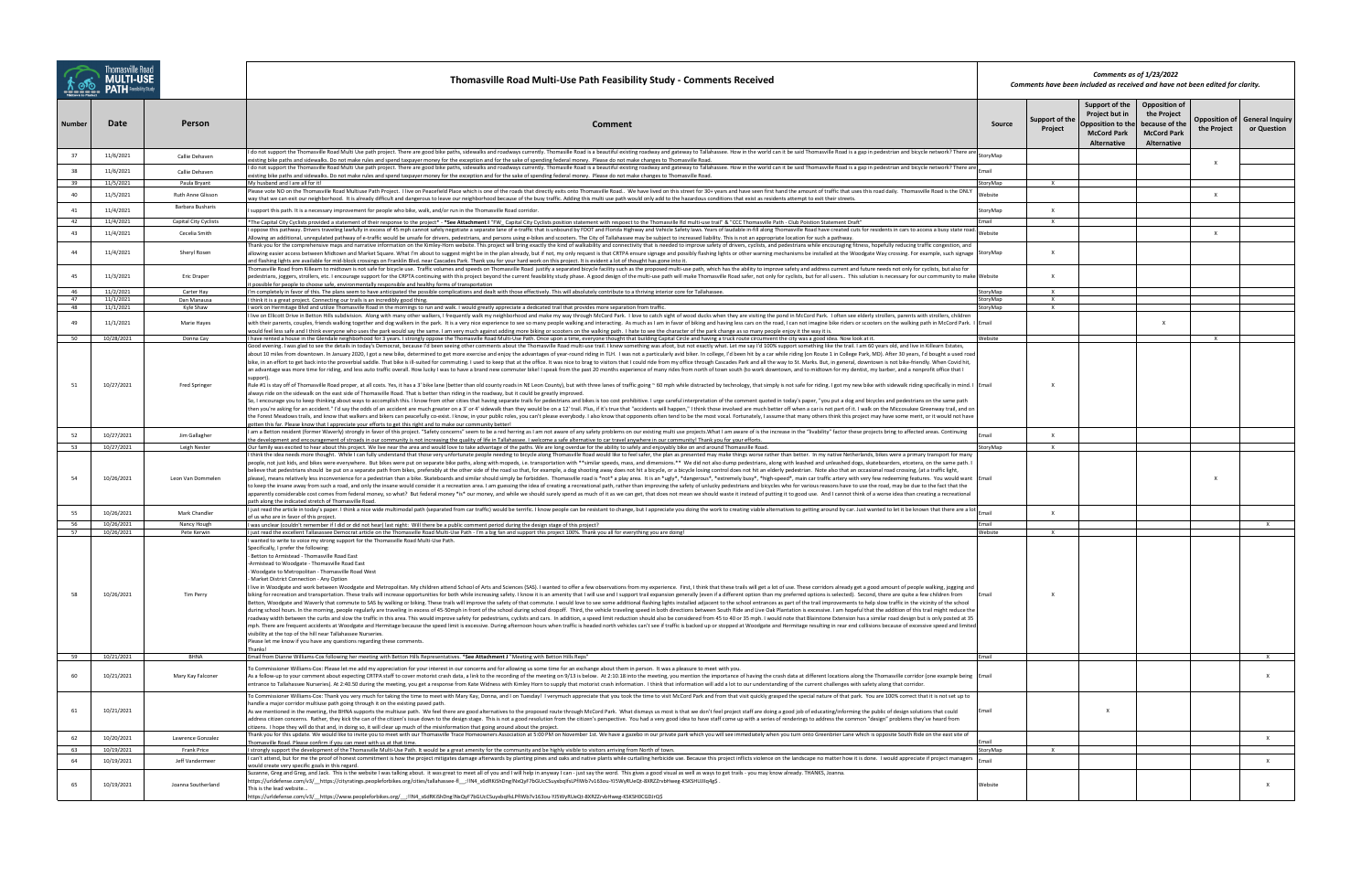|               |                          |                           | Thomasville Road Multi-Use Path Feasibility Study - Comments Received                                                                                                                                                                                                                                                                                                                                                                                                                                                                                                                                                                                                                                                                                                                                                                                                                                                                                                                                                                                                                                                                                                                                                                                                                                                                                                                                                                                                                                                                                                                                                                                                                                                                                                                                                                                                                                                                    |                      |                              |                                                                                            | Comments as of 1/23/2022<br>Comments have been included as received and have not been edited for clarity. |              |                                                       |  |  |  |
|---------------|--------------------------|---------------------------|------------------------------------------------------------------------------------------------------------------------------------------------------------------------------------------------------------------------------------------------------------------------------------------------------------------------------------------------------------------------------------------------------------------------------------------------------------------------------------------------------------------------------------------------------------------------------------------------------------------------------------------------------------------------------------------------------------------------------------------------------------------------------------------------------------------------------------------------------------------------------------------------------------------------------------------------------------------------------------------------------------------------------------------------------------------------------------------------------------------------------------------------------------------------------------------------------------------------------------------------------------------------------------------------------------------------------------------------------------------------------------------------------------------------------------------------------------------------------------------------------------------------------------------------------------------------------------------------------------------------------------------------------------------------------------------------------------------------------------------------------------------------------------------------------------------------------------------------------------------------------------------------------------------------------------------|----------------------|------------------------------|--------------------------------------------------------------------------------------------|-----------------------------------------------------------------------------------------------------------|--------------|-------------------------------------------------------|--|--|--|
| <b>Number</b> | Date                     | <b>Person</b>             | Comment                                                                                                                                                                                                                                                                                                                                                                                                                                                                                                                                                                                                                                                                                                                                                                                                                                                                                                                                                                                                                                                                                                                                                                                                                                                                                                                                                                                                                                                                                                                                                                                                                                                                                                                                                                                                                                                                                                                                  | Source               | Support of the<br>Project    | Support of the<br>Project but in<br>Opposition to the<br><b>McCord Park</b><br>Alternative | <b>Opposition of</b><br>the Project<br>because of the<br><b>McCord Park</b><br>Alternative                | the Project  | <b>Opposition of   General Inquiry</b><br>or Question |  |  |  |
| 37            | 11/6/2021                | Callie Dehaven            | I do not support the Thomasville Road Multi Use path project. There are good bike paths, sidewalks and roadways currently. Thomasille Road is a beautiful existing roadway and gateway to Tallahassee. How in the world can it<br>existing bike paths and sidewalks. Do not make rules and spend taxpayer money for the exception and for the sake of spending federal money. Please do not make changes to Thomasville Road.                                                                                                                                                                                                                                                                                                                                                                                                                                                                                                                                                                                                                                                                                                                                                                                                                                                                                                                                                                                                                                                                                                                                                                                                                                                                                                                                                                                                                                                                                                            | storyMap             |                              |                                                                                            |                                                                                                           |              |                                                       |  |  |  |
| 38            | 11/6/2021                | Callie Dehaven            | I do not support the Thomasville Road Multi Use path project. There are good bike paths, sidewalks and roadways currently. Thomasille Road is a beautiful existing roadway and gateway to Tallahassee. How in the world can it                                                                                                                                                                                                                                                                                                                                                                                                                                                                                                                                                                                                                                                                                                                                                                                                                                                                                                                                                                                                                                                                                                                                                                                                                                                                                                                                                                                                                                                                                                                                                                                                                                                                                                           | Email                |                              |                                                                                            |                                                                                                           | X            |                                                       |  |  |  |
| 39            | 11/5/2021                | Paula Bryant              | existing bike paths and sidewalks. Do not make rules and spend taxpayer money for the exception and for the sake of spending federal money. Please do not make changes to Thomasville Road.<br>My husband and I are all for it!                                                                                                                                                                                                                                                                                                                                                                                                                                                                                                                                                                                                                                                                                                                                                                                                                                                                                                                                                                                                                                                                                                                                                                                                                                                                                                                                                                                                                                                                                                                                                                                                                                                                                                          | storyMap             | $\mathbf{x}$                 |                                                                                            |                                                                                                           |              |                                                       |  |  |  |
| 40            | 11/5/2021                | Ruth Anne Glisson         | Please vote NO on the Thomasville Road Multiuse Path Project. I live on Peacefield Place which is one of the roads that directly exits onto Thomasville Road We have lived on this street for 30+ years and have seen first<br>way that we can exit our neighborhood. It is already difficult and dangerous to leave our neighborhood because of the busy traffic. Adding this multi use path would only add to the hazardous conditions that exist as reside                                                                                                                                                                                                                                                                                                                                                                                                                                                                                                                                                                                                                                                                                                                                                                                                                                                                                                                                                                                                                                                                                                                                                                                                                                                                                                                                                                                                                                                                            | Nebsite              |                              |                                                                                            |                                                                                                           | $\mathsf{x}$ |                                                       |  |  |  |
| 41            | 11/4/2021                | Barbara Busharis          | I support this path. It is a necessary improvement for people who bike, walk, and/or run in the Thomasville Road corridor.                                                                                                                                                                                                                                                                                                                                                                                                                                                                                                                                                                                                                                                                                                                                                                                                                                                                                                                                                                                                                                                                                                                                                                                                                                                                                                                                                                                                                                                                                                                                                                                                                                                                                                                                                                                                               | StoryMap             | X                            |                                                                                            |                                                                                                           |              |                                                       |  |  |  |
| 42            | 11/4/2021                | Capital City Cyclists     | *The Capital City Cyclists provided a statement of their response to the project* - *See Attachment I "FW Capital City Cyclists position statement with respoect to the Thomasville Rd multi-use trail" & "CCC Thomasville Pat                                                                                                                                                                                                                                                                                                                                                                                                                                                                                                                                                                                                                                                                                                                                                                                                                                                                                                                                                                                                                                                                                                                                                                                                                                                                                                                                                                                                                                                                                                                                                                                                                                                                                                           | Fmail                | $\mathbf{x}$                 |                                                                                            |                                                                                                           |              |                                                       |  |  |  |
| 43            | 11/4/2021                | Cecelia Smith             | oppose this pathway. Drivers traveling lawfully in excess of 45 mph cannot safely negotiate a separate lane of e-traffic that is unbound by FDOT and Florida Highway and Vehicle Safety laws. Years of laudable in-fill along<br>Allowing an additional, unregulated pathway of e-traffic would be unsafe for drivers, pedestrians, and persons using e-bikes and scooters. The City of Tallahassee may be subject to increased liability. This is not an appro                                                                                                                                                                                                                                                                                                                                                                                                                                                                                                                                                                                                                                                                                                                                                                                                                                                                                                                                                                                                                                                                                                                                                                                                                                                                                                                                                                                                                                                                          | Website              |                              |                                                                                            |                                                                                                           | $\times$     |                                                       |  |  |  |
| 44            | 11/4/2021                | Sheryl Rosen              | Thank you for the comprehensive maps and narrative information on the Kimley-Horn website. This project will bring exactly the kind of walkability and connectivity that is needed to improve safety of drivers, cyclists, and<br>allowing easier access between Midtown and Market Square. What I'm about to suggest might be in the plan already, but if not, my only request is that CRTPA ensure signage and possibly flashing lights or other warning mecha<br>and flashing lights are available for mid-block crossings on Franklin Blvd. near Cascades Park. Thank you for your hard work on this project. It is evident a lot of thought has gone into it.                                                                                                                                                                                                                                                                                                                                                                                                                                                                                                                                                                                                                                                                                                                                                                                                                                                                                                                                                                                                                                                                                                                                                                                                                                                                       |                      | $\mathbf{x}$                 |                                                                                            |                                                                                                           |              |                                                       |  |  |  |
| 45            | 11/3/2021                | Eric Draper               | Thomasville Road from Killearn to midtown is not safe for bicycle use. Traffic volumes and speeds on Thomasville Road justify a separated bicycle facility such as the proposed multi-use path, which has the ability to impro<br>pedestrians, joggers, strollers, etc. I encourage support for the CRPTA continuing with this project beyond the current feasibility study phase. A good design of the multi-use path will make Thomasville Road safer, not onl<br>possible for people to choose safe, environmentally responsible and healthy forms of transportation                                                                                                                                                                                                                                                                                                                                                                                                                                                                                                                                                                                                                                                                                                                                                                                                                                                                                                                                                                                                                                                                                                                                                                                                                                                                                                                                                                  |                      | $\mathbf{x}$                 |                                                                                            |                                                                                                           |              |                                                       |  |  |  |
| 46<br>47      | 11/2/2021<br>11/1/2021   | Carter Hay<br>Dan Manausa | I'm completely in favor of this. The plans seem to have anticipated the possible complications and dealt with those effectively. This will absolutely contribute to a thriving interior core for Tallahassee.<br>I think it is a great project. Connecting our trails is an incredibly good thing.                                                                                                                                                                                                                                                                                                                                                                                                                                                                                                                                                                                                                                                                                                                                                                                                                                                                                                                                                                                                                                                                                                                                                                                                                                                                                                                                                                                                                                                                                                                                                                                                                                       | StoryMap<br>StorvMap | $\mathbf{x}$<br>$\mathsf{X}$ |                                                                                            |                                                                                                           |              |                                                       |  |  |  |
| 48            | 11/1/2021                | Kyle Shaw                 | I work on Hermitage Blvd and utilize Thomasville Road in the mornings to run and walk. I would greatly appreciate a dedicated trail that provides more separation from traffic.                                                                                                                                                                                                                                                                                                                                                                                                                                                                                                                                                                                                                                                                                                                                                                                                                                                                                                                                                                                                                                                                                                                                                                                                                                                                                                                                                                                                                                                                                                                                                                                                                                                                                                                                                          | toryMap              | $\mathsf{x}$                 |                                                                                            |                                                                                                           |              |                                                       |  |  |  |
| 49            | 11/1/2021                | Marie Hayes               | I live on Ellicott Drive in Betton Hills subdivision. Along with many other walkers, I frequently walk my neighborhood and make my way through McCord Park. I love to catch sight of wood ducks when they are visiting the pon<br>with their parents, couples, friends walking together and dog walkers in the park. It is a very nice experience to see so many people walking and interacting. As much as I am in favor of biking and having less cars on the<br>would feel less safe and I think everyone who uses the park would say the same. I am very much against adding more biking or scooters on the walking path. I hate to see the character of the park change as so many people en                                                                                                                                                                                                                                                                                                                                                                                                                                                                                                                                                                                                                                                                                                                                                                                                                                                                                                                                                                                                                                                                                                                                                                                                                                        | Email                |                              |                                                                                            | $\boldsymbol{\mathsf{x}}$                                                                                 |              |                                                       |  |  |  |
| 50            | 10/28/2021               | Donna Cay                 | I have rented a house in the Glendale neighborhood for 3 years. I strongly oppose the Thomasville Road Multi-Use Path. Once upon a time, everyone thought that building Capital Circle and having a truck route circumvent the<br>Good evening. I was glad to see the details in today's Democrat, because I'd been seeing other comments about the Thomasville Road multi-use trail. I knew something was afoot, but not exactly what. Let me say I'd 100% supp                                                                                                                                                                                                                                                                                                                                                                                                                                                                                                                                                                                                                                                                                                                                                                                                                                                                                                                                                                                                                                                                                                                                                                                                                                                                                                                                                                                                                                                                         | Website              |                              |                                                                                            |                                                                                                           | $\mathsf{x}$ |                                                       |  |  |  |
|               | 10/27/2021               | Fred Springer             | about 10 miles from downtown. In January 2020, I got a new bike, determined to get more exercise and enjoy the advantages of year-round riding in TLH. I was not a particularly avid biker. In college, I'd been hit by a car<br>bike, in an effort to get back into the proverbial saddle. That bike is ill-suited for commuting. I used to keep that at the office. It was nice to brag to visitors that I could ride from my office a hrough Cascades Park a<br>an advantage was more time for riding, and less auto traffic overall. How lucky I was to have a brand new commuter bike! I speak from the past 20 months experience of many rides from north of town south (to work downtown,<br>support).<br>Rule #1 is stay off of Thomasville Road proper, at all costs. Yes, it has a 3' bike lane (better than old county roads in NE Leon County), but with three lanes of traffic going ~ 60 mph while distracted by technology, that                                                                                                                                                                                                                                                                                                                                                                                                                                                                                                                                                                                                                                                                                                                                                                                                                                                                                                                                                                                          |                      |                              |                                                                                            |                                                                                                           |              |                                                       |  |  |  |
|               |                          |                           | always ride on the sidewalk on the east side of Thomasville Road. That is better than riding in the roadway, but it could be greatly improved.<br>So, I encourage you to keep thinking about ways to accomplish this. I know from other cities that having separate trails for pedestrians and bikes is too cost prohibitive. I urge careful interpretation of the comment quote<br>then you're asking for an accident." I'd say the odds of an accident are much greater on a 3' or 4' sidewalk than they would be on a 12' trail. Plus, if it's true that "accidents will happen," I think those involved are mu<br>the Forest Meadows trails, and know that walkers and bikers can peacefully co-exist. I know, in your public roles, you can't please everybody. I also know that opponents often tend to be the most vocal. Fortunately, I assu<br>gotten this far. Please know that I appreciate your efforts to get this right and to make our community better!                                                                                                                                                                                                                                                                                                                                                                                                                                                                                                                                                                                                                                                                                                                                                                                                                                                                                                                                                                  |                      |                              |                                                                                            |                                                                                                           |              |                                                       |  |  |  |
| 52            | 10/27/2021               | Jim Gallagher             | I am a Betton resident (former Waverly) strongly in favor of this project. "Safety concerns" seem to be a red herring as I am not aware of any safety problems on our existing multi use projects. What I am aware of is the i<br>the development and encouragement of stroads in our community is not increasing the quality of life in Tallahassee. I welcome a safe alternative to car travel anywhere in our community! Thank you for your efforts.                                                                                                                                                                                                                                                                                                                                                                                                                                                                                                                                                                                                                                                                                                                                                                                                                                                                                                                                                                                                                                                                                                                                                                                                                                                                                                                                                                                                                                                                                  | mail:                | $\mathbf{x}$                 |                                                                                            |                                                                                                           |              |                                                       |  |  |  |
| 53            | 10/27/2021               | Leigh Nester              | Our family was excited to hear about this project. We live near the area and would love to take advantage of the paths. We are long overdue for the ability to safely and enjoyably bike on and around Thomasville Road.<br>I think the idea needs more thought. While I can fully understand that those very unfortunate people needing to bicycle along Thomasville Road would like to feel safer, the plan as presented may make things worse rather th                                                                                                                                                                                                                                                                                                                                                                                                                                                                                                                                                                                                                                                                                                                                                                                                                                                                                                                                                                                                                                                                                                                                                                                                                                                                                                                                                                                                                                                                               | StorvMap             | $\times$                     |                                                                                            |                                                                                                           |              |                                                       |  |  |  |
| 54            | 10/26/2021               | Leon Van Dommelen         | people, not just kids, and bikes were everywhere. But bikes were put on separate bike paths, along with mopeds, i.e. transportation with **similar speeds, mass, and dimensions.** We did not also dump pedestrians, along wit<br>believe that pedestrians should be put on a separate path from bikes, preferably at the other side of the road so that, for example, a dog shooting away does not hit a bicycle, or a bicycle losing control does not hit an e<br>please), means relatively less inconvenience for a pedestrian than a bike. Skateboards and similar should simply be forbidden. Thomasville road is *not* a play area. It is an *ugly*, *dangerous*, *extremely busy*, *high-sp<br>to keep the insane away from such a road, and only the insane would consider it a recreation area. I am guessing the idea of creating a recreational path, rather than improving the safety of unlucky pedestrians and bicycle<br>apparently considerable cost comes from federal money, so what? But federal money *is* our money, and while we should surely spend as much of it as we can get, that does not mean we should waste it instead of putting it to<br>path along the indicated stretch of Thomasville Road                                                                                                                                                                                                                                                                                                                                                                                                                                                                                                                                                                                                                                                                                                           |                      |                              |                                                                                            |                                                                                                           | <b>X</b>     |                                                       |  |  |  |
| 55            | 10/26/2021               | Mark Chandler             | I just read the article in today's paper. I think a nice wide multimodal path (separated from car traffic) would be terrific. I know people can be resistant to change, but I appreciate you doing the work to creating viable<br>of us who are in favor of this project.                                                                                                                                                                                                                                                                                                                                                                                                                                                                                                                                                                                                                                                                                                                                                                                                                                                                                                                                                                                                                                                                                                                                                                                                                                                                                                                                                                                                                                                                                                                                                                                                                                                                | Email                | $\times$                     |                                                                                            |                                                                                                           |              |                                                       |  |  |  |
| 56            | 10/26/2021               | Nancy Hough               | I was unclear (couldn't remember if I did or did not hear) last night: Will there be a public comment period during the design stage of this project?                                                                                                                                                                                                                                                                                                                                                                                                                                                                                                                                                                                                                                                                                                                                                                                                                                                                                                                                                                                                                                                                                                                                                                                                                                                                                                                                                                                                                                                                                                                                                                                                                                                                                                                                                                                    | Email                |                              |                                                                                            |                                                                                                           |              | $\mathsf{x}$                                          |  |  |  |
| 57            | 10/26/2021<br>10/26/2021 | Pete Kerwin<br>Tim Perry  | I just read the excellent Tallasassee Democrat article on the Thomasville Road Multi-Use Path - I'm a big fan and support this project 100%. Thank you all for everything you are doing!<br>I wanted to write to voice my strong support for the Thomasville Road Multi-Use Path.<br>Specifically, I prefer the following:<br>- Betton to Armistead - Thomasville Road East<br>rmistead to Woodgate - Thomasville Road East<br>- Woodgate to Metropolitan - Thomasville Road West<br>- Market District Connection - Any Option<br>I live in Woodgate and work between Woodgate and Metropolitan. My children attend School of Arts and Sciences (SAS). I wanted to offer a few observations from my experience. First, I think that these trails will get a lot<br>biking for recreation and transportation. These trails will increase opportunities for both while increasing safety. I know it is an amenity that I will use and I support trail expansion generally (even if a different opti<br>Betton, Woodgate and Waverly that commute to SAS by walking or biking. These trails will improve the safety of that commute. I would love to see some additional flashing lights installed adjacent to the school entrances as<br>during school hours. In the morning, people regularly are traveling in excess of 45-50mph in front of the school during school dropoff. Third, the vehicle traveling inged in both directions between South Ride and Live Oak<br>roadway width between the curbs and slow the traffic in this area. This would improve safety for pedestrians, cyclists and cars. In addition, a speed limit reduction should also be considered from 45 to 40 or 35 mph. I wou<br>mph. There are frequent accidents at Woodgate and Hermitage because the speed limit is excessive. During afternoon hours when traffic is headed north vehicles can't see if traffic is backed up or stopped at Woodgate and He | Website<br>Email     | $\mathbf{x}$                 |                                                                                            |                                                                                                           |              |                                                       |  |  |  |
|               |                          |                           | visibility at the top of the hill near Tallahassee Nurseries.<br>Please let me know if you have any questions regarding these comments.<br>Thanks                                                                                                                                                                                                                                                                                                                                                                                                                                                                                                                                                                                                                                                                                                                                                                                                                                                                                                                                                                                                                                                                                                                                                                                                                                                                                                                                                                                                                                                                                                                                                                                                                                                                                                                                                                                        |                      |                              |                                                                                            |                                                                                                           |              |                                                       |  |  |  |
| 59            | 10/21/2021               | <b>BHNA</b>               | Email from Dianne Williams-Cox following her meeting with Betton Hills Representatives. *See Attachment J "Meeting with Betton Hills Reps"                                                                                                                                                                                                                                                                                                                                                                                                                                                                                                                                                                                                                                                                                                                                                                                                                                                                                                                                                                                                                                                                                                                                                                                                                                                                                                                                                                                                                                                                                                                                                                                                                                                                                                                                                                                               | Email                |                              |                                                                                            |                                                                                                           |              | $\mathsf{X}$                                          |  |  |  |
| 60            | 10/21/2021               | Mary Kay Falconer         | To Commissioner Williams-Cox: Please let me add my appreciation for your interest in our concerns and for allowing us some time for an exchange about them in person. It was a pleasure to meet with you.<br>As a follow-up to your comment about expecting CRTPA staff to cover motorist crash data, a link to the recording of the meeting on 9/13 is below. At 2:10.18 into the meeting, you mention the importance of having the crash<br>entrance to Tallahassee Nurseries). At 2:40.50 during the meeting, you get a response from Kate Widness with Kimley Horn to supply that motorist crash information. I think that information will add a lot to our understandi                                                                                                                                                                                                                                                                                                                                                                                                                                                                                                                                                                                                                                                                                                                                                                                                                                                                                                                                                                                                                                                                                                                                                                                                                                                             |                      |                              |                                                                                            |                                                                                                           |              | $\mathsf{X}$                                          |  |  |  |
| 61            | 10/21/2021               |                           | To Commissioner Williams-Cox: Thank you very much for taking the time to meet with Mary Kay, Donna, and I on Tuesday! I verymuch appreciate that you took the time to visit McCord Park and from that visit quickly grasped th<br>handle a major corridor multiuse path going through it on the existing paved path.<br>As we mentioned in the meeting, the BHNA supports the multiuse path. We feel there are good alternatives to the proposed route through McCord Park. What dismays us most is that we don't feel project staff are doing a good<br>address citizen concerns. Rather, they kick the can of the citizen's issue down to the design stage. This is not a good resolution from the citizen's perspective. You had a very good idea to have staff come up with a serie<br>citizens. I hope they will do that and, in doing so, it will clear up much of the misinformation that going around about the project.                                                                                                                                                                                                                                                                                                                                                                                                                                                                                                                                                                                                                                                                                                                                                                                                                                                                                                                                                                                                         | Email                |                              | $\mathsf{x}$                                                                               |                                                                                                           |              |                                                       |  |  |  |
| 62            | 10/20/2021               | Lawrence Gonzalez         | Thank you for this update. We would like to invite you to meet with our Thomasville Trace Homeowners Association at 5:00 PM on November 1st. We have a gazebo in our private park which you will see immediately when you turn<br>Thomasville Road. Please confirm if you can meet with us at that time.                                                                                                                                                                                                                                                                                                                                                                                                                                                                                                                                                                                                                                                                                                                                                                                                                                                                                                                                                                                                                                                                                                                                                                                                                                                                                                                                                                                                                                                                                                                                                                                                                                 |                      |                              |                                                                                            |                                                                                                           |              | $\times$                                              |  |  |  |
| 63            | 10/19/2021               | Frank Price               | I strongly support the development of the Thomasville Multi-Use Path. It would be a great amenity for the community and be highly visible to visitors arriving from North of town.                                                                                                                                                                                                                                                                                                                                                                                                                                                                                                                                                                                                                                                                                                                                                                                                                                                                                                                                                                                                                                                                                                                                                                                                                                                                                                                                                                                                                                                                                                                                                                                                                                                                                                                                                       | StoryMap             | $\mathsf{X}$                 |                                                                                            |                                                                                                           |              |                                                       |  |  |  |
| 64            | 10/19/2021               | Jeff Vandermeer           | I can't attend, but for me the proof of honest commitment is how the project mitigates damage afterwards by planting pines and oaks and native plants while curtailing herbicide use. Because this project inflicts violence o<br>would create very specific goals in this regard.<br>Suzanne, Greg and Greg, and Jack. This is the website I was talking about. it was great to meet all of you and I will help in anyway I can - just say the word. This gives a good visual as well as ways to get trails - you m                                                                                                                                                                                                                                                                                                                                                                                                                                                                                                                                                                                                                                                                                                                                                                                                                                                                                                                                                                                                                                                                                                                                                                                                                                                                                                                                                                                                                     | mail <sup>-</sup>    |                              |                                                                                            |                                                                                                           |              | $\mathsf{X}$                                          |  |  |  |
|               | 10/19/2021               | Joanna Southerland        | https://urldefense.com/v3/_https://cityratings.peopleforbikes.org/cities/tallahassee-fl__;!!N4_s6dRKiShDng!NxQyF7bGUcCSuyxbqIfsLPfIWb7v163ou-YJ5WyRUeQt-8XRZZrvbHweg-KSKSHUJIIq4g\$.<br>This is the lead website<br>https://urldefense.com/v3/_https://www.peopleforbikes.org/__;!!N4_s6dRKiShDng!NxQyF7bGUcCSuyxbqIfsLPfIWb7v163ou-YJ5WyRUeQt-8XRZZrvbHweg-KSKSH0CGDJrQ\$                                                                                                                                                                                                                                                                                                                                                                                                                                                                                                                                                                                                                                                                                                                                                                                                                                                                                                                                                                                                                                                                                                                                                                                                                                                                                                                                                                                                                                                                                                                                                               | Website              |                              |                                                                                            |                                                                                                           |              | $\mathsf{X}$                                          |  |  |  |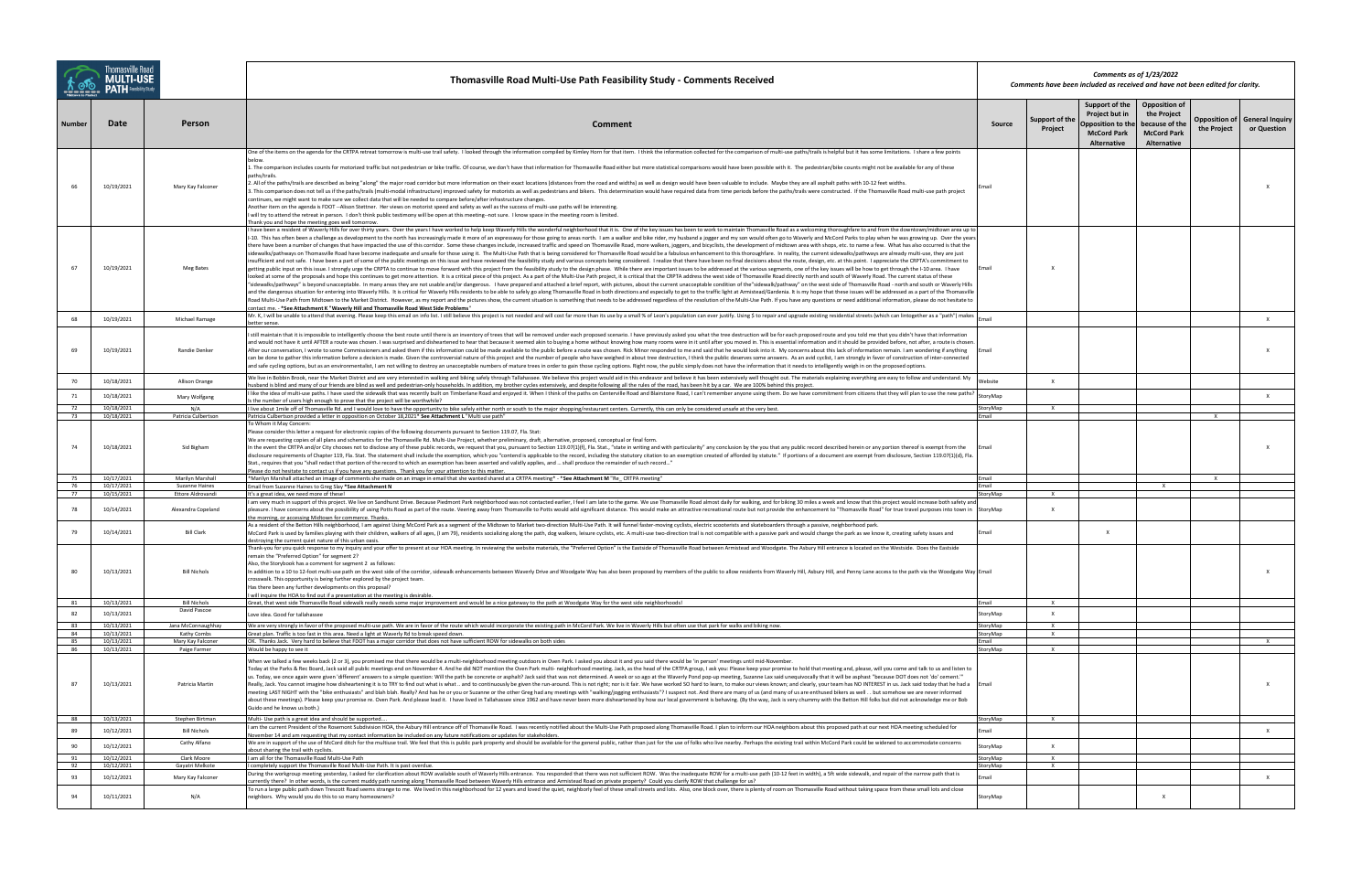|               |                          |                                         | Thomasville Road Multi-Use Path Feasibility Study - Comments Received                                                                                                                                                                                                                                                                                                                                                                                                                                                                                                                                                                                                                                                                                                                                                                                                                                                                                                                                                                                                                                                                                                                                                                                                                                                                                                                                                                                                                                                                                                                                                                                                                                                                                                                                                                                                                                                                                                                                                                                                                                                                                                                                                                                                                                                                                                                                                                      |                      | Comments as of 1/23/2022<br>Comments have been included as received and have not been edited for clarity.               |                                                                                            |              |                                                     |  |  |  |
|---------------|--------------------------|-----------------------------------------|--------------------------------------------------------------------------------------------------------------------------------------------------------------------------------------------------------------------------------------------------------------------------------------------------------------------------------------------------------------------------------------------------------------------------------------------------------------------------------------------------------------------------------------------------------------------------------------------------------------------------------------------------------------------------------------------------------------------------------------------------------------------------------------------------------------------------------------------------------------------------------------------------------------------------------------------------------------------------------------------------------------------------------------------------------------------------------------------------------------------------------------------------------------------------------------------------------------------------------------------------------------------------------------------------------------------------------------------------------------------------------------------------------------------------------------------------------------------------------------------------------------------------------------------------------------------------------------------------------------------------------------------------------------------------------------------------------------------------------------------------------------------------------------------------------------------------------------------------------------------------------------------------------------------------------------------------------------------------------------------------------------------------------------------------------------------------------------------------------------------------------------------------------------------------------------------------------------------------------------------------------------------------------------------------------------------------------------------------------------------------------------------------------------------------------------------|----------------------|-------------------------------------------------------------------------------------------------------------------------|--------------------------------------------------------------------------------------------|--------------|-----------------------------------------------------|--|--|--|
| <b>Number</b> | Date                     | Person                                  | Comment                                                                                                                                                                                                                                                                                                                                                                                                                                                                                                                                                                                                                                                                                                                                                                                                                                                                                                                                                                                                                                                                                                                                                                                                                                                                                                                                                                                                                                                                                                                                                                                                                                                                                                                                                                                                                                                                                                                                                                                                                                                                                                                                                                                                                                                                                                                                                                                                                                    | Source               | Support of the<br>Project but in<br>Support of the<br>Opposition to the<br>Project<br><b>McCord Park</b><br>Alternative | <b>Opposition of</b><br>the Project<br>because of the<br><b>McCord Park</b><br>Alternative | the Project  | <b>Opposition of General Inquiry</b><br>or Question |  |  |  |
| 66            | 10/19/2021               | Mary Kay Falconer                       | One of the items on the agenda for the CRTPA retreat tomorrow is multi-use trail safety. I looked through the information compiled by Kimley Horn for that item. I think the information collected for the comparison of multi<br>L. The comparison includes counts for motorized traffic but not pedestrian or bike traffic. Of course, we don't have that information for Thomasville Road either but more statistical comparisons would have been possible wi<br>paths/trails.<br>2. All of the paths/trails are described as being "along" the major road corridor but more information on their exact locations (distances from the road and widths) as well as design would have been valuable to include. Ma<br>3. This comparison does not tell us if the paths/trails (multi-modal infrastructure) improved safety for motorists as well as pedestrians and bikers. This determination would have required data from time periods before the<br>continues, we might want to make sure we collect data that will be needed to compare before/after infrastructure changes.<br>Another item on the agenda is FDOT --Alison Stettner. Her views on motorist speed and safety as well as the success of multi-use paths will be interesting.<br>will try to attend the retreat in person. I don't think public testimony will be open at this meeting-not sure. I know space in the meeting room is limited.<br>Thank you and hope the meeting goes well tomorrow.                                                                                                                                                                                                                                                                                                                                                                                                                                                                                                                                                                                                                                                                                                                                                                                                                                                                                                                                                                    | Email                |                                                                                                                         |                                                                                            |              | $\mathbf{x}$                                        |  |  |  |
| 67            | 10/19/2021               | Meg Bates                               | have been a resident of Waverly Hills for over thirty years. Over the years I have worked to help keep Waverly Hills the wonderful neighborhood that it is. One of the key issues has been to work to maintain Thomasville Roa<br>I-10. This has often been a challenge as development to the north has increasingly made it more of an expressway for those going to areas north. I am a walker and bike rider, my husband a jogger and my son would often go t<br>here have been a number of changes that have impacted the use of this corridor. Some these changes include, increased traffic and speed on Thomasville Road, more walkers, joggers, and bicyclists, the development of midtown<br>sidewalks/pathways on Thomasville Road have become inadequate and unsafe for those using it. The Multi-Use Path that is being considered for Thomasville Road would be a fabulous enhancement to this thoroughfare. In reality<br>insufficient and not safe. I have been a part of some of the public meetings on this issue and have reviewed the feasibility study and various concepts being considered. I realize that there have been no final decisions ab<br>getting public input on this issue. I strongly urge the CRPTA to continue to move forward with this project from the feasibility study to the design phase. While there are important issues to be addressed at the various se<br>looked at some of the proposals and hope this continues to get more attention. It is a critical piece of this project. As a part of the Multi-Use Path project, it is critical that the CRPTA address the west side of Thomasv<br>sidewalks/pathways" is beyond unacceptable. In many areas they are not usable and/or dangerous. I have prepared and attached a brief report, with pictures, about the current unacceptable condition of the "sidewalk/pathway"<br>and the dangerous situation for entering into Waverly Hills. It is critical for Waverly Hills residenty thills residents to be able to safely go along Thomasville Road in both directions and especially to get to the traffi<br>Road Multi-Use Path from Midtown to the Market District. However, as my report and the pictures show, the current situation is something that needs to be addressed regardless of the resolution of the Multi-Use Path. If you<br>contact me. - *See Attachment K "Waverly Hill and Thomasville Road West Side Problems" |                      |                                                                                                                         |                                                                                            |              |                                                     |  |  |  |
| 68            | 10/19/2021               | Michael Ramage                          | Mr. K, I will be unable to attend that evening. Please keep this email on info list. I still believe this project is not needed and will cost far more than its use by a small % of Leon's population can ever justify. Using<br>better sense.                                                                                                                                                                                                                                                                                                                                                                                                                                                                                                                                                                                                                                                                                                                                                                                                                                                                                                                                                                                                                                                                                                                                                                                                                                                                                                                                                                                                                                                                                                                                                                                                                                                                                                                                                                                                                                                                                                                                                                                                                                                                                                                                                                                             |                      |                                                                                                                         |                                                                                            |              | $\mathsf{X}$                                        |  |  |  |
| 69            | 10/19/2021               | Randie Denker                           | still maintain that it is impossible to intelligently choose the best route until there is an inventory of trees that will be removed under each proposed scenario. I have previously asked you what the tree destruction will<br>and would not have it until AFTER a route was chosen. I was surprised and disheartened to hear that because it seemed akin to buying a home without knowing how many rooms were in it until after you moved in. This is essent<br>After our conversation, I wrote to some Commissioners and asked them if this information could be made available to the public before a route was chosen. Rick Minor responded to me and said that he would look into it. My c<br>can be done to gather this information before a decision is made. Given the controversial nature of this project and the number of people who have weighed in about tree destruction, I think the public deserves some answers<br>and safe cycling options, but as an environmentalist, I am not willing to destroy an unacceptable numbers of mature trees in order to gain those cycling options. Right now, the public simply does not have the information t                                                                                                                                                                                                                                                                                                                                                                                                                                                                                                                                                                                                                                                                                                                                                                                                                                                                                                                                                                                                                                                                                                                                                                                                                                                                     | Email                |                                                                                                                         |                                                                                            |              | $\mathsf{x}$                                        |  |  |  |
| 70            | 10/18/2021               | Allison Orange                          | We live in Bobbin Brook, near the Market District and are very interested in walking and biking safely through Tallahassee. We believe this project would aid in this endeavor and believe it has been extensively well though<br>nusband is blind and many of our friends are blind as well and pedestrian-only households. In addition, my brother cycles extensively, and despite following all the rules of the road, has been hit by a car. We are 100% beh                                                                                                                                                                                                                                                                                                                                                                                                                                                                                                                                                                                                                                                                                                                                                                                                                                                                                                                                                                                                                                                                                                                                                                                                                                                                                                                                                                                                                                                                                                                                                                                                                                                                                                                                                                                                                                                                                                                                                                           | Website              | $\mathsf{x}$                                                                                                            |                                                                                            |              |                                                     |  |  |  |
| 71            | 10/18/2021               | Mary Wolfgang                           | like the idea of multi-use paths. I have used the sidewalk that was recently built on Timberlane Road and enjoyed it. When I think of the paths on Centerville Road and Blairstone Road, I can't remember anyone using them. D<br>s the number of users high enough to prove that the project will be worthwhile?                                                                                                                                                                                                                                                                                                                                                                                                                                                                                                                                                                                                                                                                                                                                                                                                                                                                                                                                                                                                                                                                                                                                                                                                                                                                                                                                                                                                                                                                                                                                                                                                                                                                                                                                                                                                                                                                                                                                                                                                                                                                                                                          | StoryMap             |                                                                                                                         |                                                                                            |              | $\mathsf{x}$                                        |  |  |  |
| 72<br>73      | 10/18/2021<br>10/18/2021 | N/A<br>Patricia Culbertson              | live about 1mile off of Thomasville Rd. and I would love to have the opportunity to bike safely either north or south to the major shopping/restaurant centers. Currently, this can only be considered unsafe at the very best<br>"Patricia Culbertson provided a letter in opposition on October 18,2021* See Attachment L "Multi use path"                                                                                                                                                                                                                                                                                                                                                                                                                                                                                                                                                                                                                                                                                                                                                                                                                                                                                                                                                                                                                                                                                                                                                                                                                                                                                                                                                                                                                                                                                                                                                                                                                                                                                                                                                                                                                                                                                                                                                                                                                                                                                               | StoryMap<br>Email    | $\mathsf{X}$                                                                                                            |                                                                                            | $\mathbf{x}$ |                                                     |  |  |  |
| 74            | 10/18/2021               | Sid Bigham                              | To Whom it May Concern:<br>Please consider this letter a request for electronic copies of the following documents pursuant to Section 119.07, Fla. Stat:<br>We are requesting copies of all plans and schematics for the Thomasville Rd. Multi-Use Project, whether preliminary, draft, alternative, proposed, conceptual or final form.<br>In the event the CRTPA and/or City chooses not to disclose any of these public records, we request that you, pursuant to Section 119.07(1)(f), Fla. Stat., "state in writing and with particularity" any conclusion by the you<br>disclosure requirements of Chapter 119, Fla. Stat. The statement shall include the exemption, which you "contend is applicable to the record, including the statutory citation to an exemption reated of afforded by statute."<br>Stat., requires that you "shall redact that portion of the record to which an exemption has been asserted and validly applies, and  shall produce the remainder of such record"                                                                                                                                                                                                                                                                                                                                                                                                                                                                                                                                                                                                                                                                                                                                                                                                                                                                                                                                                                                                                                                                                                                                                                                                                                                                                                                                                                                                                                            | Email                |                                                                                                                         |                                                                                            |              |                                                     |  |  |  |
| 75            | 10/17/2021               | Marilyn Marshall                        | lease do not hesitate to contact us if you have any questions. Thank you for your attention to this matter.<br>"Marilyn Marshall attached an image of comments she made on an image in email that she wanted shared at a CRTPA meeting* - *See Attachment M "Re CRTPA meeting"                                                                                                                                                                                                                                                                                                                                                                                                                                                                                                                                                                                                                                                                                                                                                                                                                                                                                                                                                                                                                                                                                                                                                                                                                                                                                                                                                                                                                                                                                                                                                                                                                                                                                                                                                                                                                                                                                                                                                                                                                                                                                                                                                             | Email                |                                                                                                                         |                                                                                            | $\mathsf{X}$ |                                                     |  |  |  |
| 76            | 10/17/2021               | Suzanne Haines                          | Email from Suzanne Haines to Greg Slav *See Attachment N                                                                                                                                                                                                                                                                                                                                                                                                                                                                                                                                                                                                                                                                                                                                                                                                                                                                                                                                                                                                                                                                                                                                                                                                                                                                                                                                                                                                                                                                                                                                                                                                                                                                                                                                                                                                                                                                                                                                                                                                                                                                                                                                                                                                                                                                                                                                                                                   | Email                |                                                                                                                         | $\mathsf{x}$                                                                               |              |                                                     |  |  |  |
| 77<br>78      | 10/15/2021<br>10/14/2021 | Ettore Aldrovandi<br>Alexandra Copeland | t's a great idea, we need more of these!<br>am very much in support of this project. We live on Sandhurst Drive. Because Piedmont Park neighborhood was not contacted earlier, I feel I am late to the game. We use Thomasville Road almost daily for walking, and for bik<br>pleasure. I have concerns about the possibility of using Potts Road as part of the route. Veering away from Thomasville to Potts would add significant distance. This would make an attractive recreational route but not prov<br>the morning, or accessing Midtown for commerce. Thanks.                                                                                                                                                                                                                                                                                                                                                                                                                                                                                                                                                                                                                                                                                                                                                                                                                                                                                                                                                                                                                                                                                                                                                                                                                                                                                                                                                                                                                                                                                                                                                                                                                                                                                                                                                                                                                                                                    | StoryMap<br>StoryMap | $\mathsf{x}$<br>$\times$                                                                                                |                                                                                            |              |                                                     |  |  |  |
| 79            | 10/14/2021               | Bill Clark                              | As a resident of the Betton Hills neighborhood, I am against Using McCord Park as a segment of the Midtown to Market two-direction Multi-Use Path. It will funnel faster-moving cyclists, electric scooterists and skateboarde<br>McCord Park is used by families playing with their children, walkers of all ages, (I am 79), residents socializing along the path, dog walkers, leisure cyclists, etc. A multi-use two-direction trail is not compatible with<br>estroying the current quiet nature of this urban oasis                                                                                                                                                                                                                                                                                                                                                                                                                                                                                                                                                                                                                                                                                                                                                                                                                                                                                                                                                                                                                                                                                                                                                                                                                                                                                                                                                                                                                                                                                                                                                                                                                                                                                                                                                                                                                                                                                                                  | Email                | $\mathsf{X}$                                                                                                            |                                                                                            |              |                                                     |  |  |  |
|               | 10/13/2021               | <b>Bill Nichols</b>                     | Thank-you for you quick response to my inquiry and your offer to present at our HOA meeting. In reviewing the website materials, the "Preferred Option" is the Eastside of Thomasville Road between Armistead and Woodgate. Th<br>emain the "Preferred Option" for segment 2?<br>Iso, the Storybook has a comment for segment 2 as follows:<br>In addition to a 10 to 12-foot multi-use path on the west side of the corridor, sidewalk enhancements between Waverly Drive and Woodgate Way has also been proposed by members of the public to allow residents from Waverly H<br>crosswalk. This opportunity is being further explored by the project team.<br>Has there been any further developments on this proposal?<br>will inquire the HOA to find out if a presentation at the meeting is desirable.                                                                                                                                                                                                                                                                                                                                                                                                                                                                                                                                                                                                                                                                                                                                                                                                                                                                                                                                                                                                                                                                                                                                                                                                                                                                                                                                                                                                                                                                                                                                                                                                                                |                      |                                                                                                                         |                                                                                            |              |                                                     |  |  |  |
| 81            | 10/13/2021               | <b>Bill Nichols</b><br>David Pascoe     | Great, that west side Thomasville Road sidewalk really needs some major improvement and would be a nice gateway to the path at Woodgate Way for the west side neighborhoods!                                                                                                                                                                                                                                                                                                                                                                                                                                                                                                                                                                                                                                                                                                                                                                                                                                                                                                                                                                                                                                                                                                                                                                                                                                                                                                                                                                                                                                                                                                                                                                                                                                                                                                                                                                                                                                                                                                                                                                                                                                                                                                                                                                                                                                                               | Fmail                | $\mathsf{X}$                                                                                                            |                                                                                            |              |                                                     |  |  |  |
| 82            | 10/13/2021               |                                         | ove idea. Good for tallahassee.                                                                                                                                                                                                                                                                                                                                                                                                                                                                                                                                                                                                                                                                                                                                                                                                                                                                                                                                                                                                                                                                                                                                                                                                                                                                                                                                                                                                                                                                                                                                                                                                                                                                                                                                                                                                                                                                                                                                                                                                                                                                                                                                                                                                                                                                                                                                                                                                            | StoryMap             | $\times$                                                                                                                |                                                                                            |              |                                                     |  |  |  |
| 83<br>84      | 10/13/2021<br>10/13/2021 | Jana McConnaughhay<br>Kathy Combs       | We are very strongly in favor of the proposed multi-use path. We are in favor of the route which would incorporate the existing path in McCord Park. We live in Waverly Hills but often use that park for walks and biking now<br>Great plan. Traffic is too fast in this area. Need a light at Waverly Rd to break speed down.                                                                                                                                                                                                                                                                                                                                                                                                                                                                                                                                                                                                                                                                                                                                                                                                                                                                                                                                                                                                                                                                                                                                                                                                                                                                                                                                                                                                                                                                                                                                                                                                                                                                                                                                                                                                                                                                                                                                                                                                                                                                                                            | StoryMap<br>StoryMap | $\mathsf{x}$<br>$\mathbf{x}$                                                                                            |                                                                                            |              |                                                     |  |  |  |
| 85            | 10/13/2021               | Mary Kay Falconer                       | OK. Thanks Jack. Very hard to believe that FDOT has a major corridor that does not have sufficient ROW for sidewalks on both sides                                                                                                                                                                                                                                                                                                                                                                                                                                                                                                                                                                                                                                                                                                                                                                                                                                                                                                                                                                                                                                                                                                                                                                                                                                                                                                                                                                                                                                                                                                                                                                                                                                                                                                                                                                                                                                                                                                                                                                                                                                                                                                                                                                                                                                                                                                         | Fmail                |                                                                                                                         |                                                                                            |              | $\mathsf{X}$                                        |  |  |  |
| 86<br>87      | 10/13/2021<br>10/13/2021 | Paige Farmer<br>Patricia Martin         | Would be happy to see it<br>When we talked a few weeks back (2 or 3), you promised me that there would be a multi-neighborhood meeting outdoors in Oven Park. I asked you about it and you said there would be 'in person' meetings until mid-November.<br>Today at the Parks & Rec Board, Jack said all public meetings end on November 4. And he did NOT mention the Oven Park multi- neighborhood meeting. Jack, as the head of the CRTPA group, I ask you: Please keep your promise t<br>us. Today, we once again were given 'different' answers to a simple question: Will the path be concrete or asphalt? Jack said that was not determined. A week or so ago at the Waverly Pond pop-up meeting, Suzanne Lax said u<br>Really, Jack. You cannot imagine how disheartening it is to TRY to find out what is what  and to continuously be given the run-around. This is not right; nor is it fair. We have worked SO hard to learn, to make our view<br>meeting LAST NIGHT with the "bike enthusiasts" and blah blah. Really? And has he or you or Suzanne or the other Greg had any meetings with "walking/jogging enthusiasts"? I suspect not. And there are many of us are enthused<br>about these meetings). Please keep your promise re. Oven Park. And please lead it. I have lived in Tallahassee since 1962 and have never been more disheartened by how our local government is behaving. (By the way, Jack is<br>Guido and he knows us both.)                                                                                                                                                                                                                                                                                                                                                                                                                                                                                                                                                                                                                                                                                                                                                                                                                                                                                                                                                                              | StoryMap<br>Email    | $\mathsf{x}$                                                                                                            |                                                                                            |              | $\mathsf{x}$                                        |  |  |  |
| 88            | 10/13/2021               | Stephen Birtman                         | Multi- Use path is a great idea and should be supported                                                                                                                                                                                                                                                                                                                                                                                                                                                                                                                                                                                                                                                                                                                                                                                                                                                                                                                                                                                                                                                                                                                                                                                                                                                                                                                                                                                                                                                                                                                                                                                                                                                                                                                                                                                                                                                                                                                                                                                                                                                                                                                                                                                                                                                                                                                                                                                    | StoryMap             | $\mathsf{X}$                                                                                                            |                                                                                            |              |                                                     |  |  |  |
| 89            | 10/12/2021               | <b>Bill Nichols</b><br>Cathy Alfano     | am the current President of the Rosemont Subdivision HOA, the Asbury Hill entrance off of Thomasville Road. I was recently notified about the Multi-Use Path proposed along Thomasville Road. I plan to inform our HOA neighbo<br>lovember 14 and am requesting that my contact information be included on any future notifications or updates for stakeholders.<br>We are in support of the use of McCord ditch for the multiuse trail. We feel that this is public park property and should be available for the general public, rather than just for the use of folks who live nearby. Perhaps                                                                                                                                                                                                                                                                                                                                                                                                                                                                                                                                                                                                                                                                                                                                                                                                                                                                                                                                                                                                                                                                                                                                                                                                                                                                                                                                                                                                                                                                                                                                                                                                                                                                                                                                                                                                                                          | Email                |                                                                                                                         |                                                                                            |              | $\mathsf{X}$                                        |  |  |  |
| 90            | 10/12/2021               |                                         | bout sharing the trail with cyclists.                                                                                                                                                                                                                                                                                                                                                                                                                                                                                                                                                                                                                                                                                                                                                                                                                                                                                                                                                                                                                                                                                                                                                                                                                                                                                                                                                                                                                                                                                                                                                                                                                                                                                                                                                                                                                                                                                                                                                                                                                                                                                                                                                                                                                                                                                                                                                                                                      | StoryMap             | $\times$                                                                                                                |                                                                                            |              |                                                     |  |  |  |
| 91            | 10/12/2021               | Clark Moore                             | am all for the Thomasville Road Multi-Use Path                                                                                                                                                                                                                                                                                                                                                                                                                                                                                                                                                                                                                                                                                                                                                                                                                                                                                                                                                                                                                                                                                                                                                                                                                                                                                                                                                                                                                                                                                                                                                                                                                                                                                                                                                                                                                                                                                                                                                                                                                                                                                                                                                                                                                                                                                                                                                                                             | StoryMap             | $\mathsf{X}$<br>$\mathsf{x}$                                                                                            |                                                                                            |              |                                                     |  |  |  |
| 92<br>93      | 10/12/2021<br>10/12/2021 | Gayatri Melkote<br>Mary Kay Falconer    | completely support the Thomasville Road Multi-Use Path. It is past overdue.<br>During the workgroup meeting yesterday, I asked for clarification about ROW available south of Waverly Hills entrance. You responded that there was not sufficient ROW. Was the inadequate ROW for a multi-use path (10-12 fee                                                                                                                                                                                                                                                                                                                                                                                                                                                                                                                                                                                                                                                                                                                                                                                                                                                                                                                                                                                                                                                                                                                                                                                                                                                                                                                                                                                                                                                                                                                                                                                                                                                                                                                                                                                                                                                                                                                                                                                                                                                                                                                              | StoryMap<br>Email    |                                                                                                                         |                                                                                            |              | $\mathsf{X}$                                        |  |  |  |
| 94            | 10/11/2021               | N/A                                     | urrently there? In other words, is the current muddy path running along Thomasville Road between Waverly Hills entrance and Armistead Road on private property? Could you clarify ROW that challenge for us?<br>o run a large public path down Trescott Road seems strange to me. We lived in this neighborhood for 12 years and loved the quiet, neighborly feel of these small streets and lots. Also, one block over, there is plenty of ro<br>eighbors. Why would you do this to so many homeowners?                                                                                                                                                                                                                                                                                                                                                                                                                                                                                                                                                                                                                                                                                                                                                                                                                                                                                                                                                                                                                                                                                                                                                                                                                                                                                                                                                                                                                                                                                                                                                                                                                                                                                                                                                                                                                                                                                                                                   | StoryMap             |                                                                                                                         | $\mathsf{X}$                                                                               |              |                                                     |  |  |  |
|               |                          |                                         |                                                                                                                                                                                                                                                                                                                                                                                                                                                                                                                                                                                                                                                                                                                                                                                                                                                                                                                                                                                                                                                                                                                                                                                                                                                                                                                                                                                                                                                                                                                                                                                                                                                                                                                                                                                                                                                                                                                                                                                                                                                                                                                                                                                                                                                                                                                                                                                                                                            |                      |                                                                                                                         |                                                                                            |              |                                                     |  |  |  |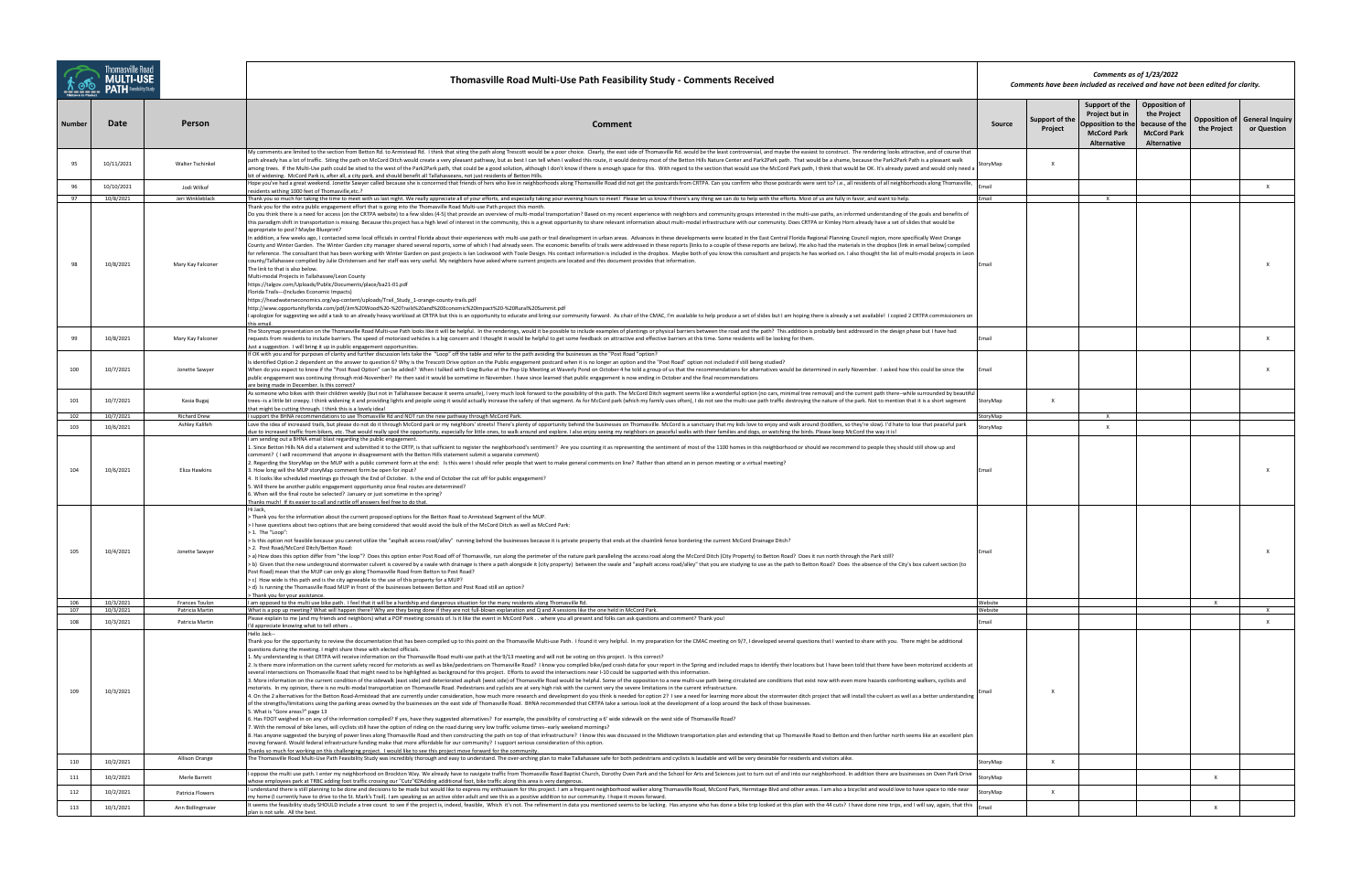|               |                        |                                       | Thomasville Road Multi-Use Path Feasibility Study - Comments Received                                                                                                                                                                                                                                                                                                                                                                                                                                                                                                                                                                                                                                                                                                                                                                                                                                                                                                                                                                                                                                                                                                                                                                                                                                                                                                                                                                                                                                                                                                                                                                                                                                                                                                                                                                                                                                                                                                                                                                                                                                                                                                                                                                                                                                                                                                                                                                                                                                                                                                                                                                                                                                                                                                                                          | Comments as of 1/23/2022<br>Comments have been included as received and have not been edited for clarity. |                           |                                                                                            |                                                                                                                  |                                                |  |  |
|---------------|------------------------|---------------------------------------|----------------------------------------------------------------------------------------------------------------------------------------------------------------------------------------------------------------------------------------------------------------------------------------------------------------------------------------------------------------------------------------------------------------------------------------------------------------------------------------------------------------------------------------------------------------------------------------------------------------------------------------------------------------------------------------------------------------------------------------------------------------------------------------------------------------------------------------------------------------------------------------------------------------------------------------------------------------------------------------------------------------------------------------------------------------------------------------------------------------------------------------------------------------------------------------------------------------------------------------------------------------------------------------------------------------------------------------------------------------------------------------------------------------------------------------------------------------------------------------------------------------------------------------------------------------------------------------------------------------------------------------------------------------------------------------------------------------------------------------------------------------------------------------------------------------------------------------------------------------------------------------------------------------------------------------------------------------------------------------------------------------------------------------------------------------------------------------------------------------------------------------------------------------------------------------------------------------------------------------------------------------------------------------------------------------------------------------------------------------------------------------------------------------------------------------------------------------------------------------------------------------------------------------------------------------------------------------------------------------------------------------------------------------------------------------------------------------------------------------------------------------------------------------------------------------|-----------------------------------------------------------------------------------------------------------|---------------------------|--------------------------------------------------------------------------------------------|------------------------------------------------------------------------------------------------------------------|------------------------------------------------|--|--|
| <b>Number</b> | Date                   | Person                                | <b>Comment</b>                                                                                                                                                                                                                                                                                                                                                                                                                                                                                                                                                                                                                                                                                                                                                                                                                                                                                                                                                                                                                                                                                                                                                                                                                                                                                                                                                                                                                                                                                                                                                                                                                                                                                                                                                                                                                                                                                                                                                                                                                                                                                                                                                                                                                                                                                                                                                                                                                                                                                                                                                                                                                                                                                                                                                                                                 | Source                                                                                                    | Support of the<br>Project | Support of the<br>Project but in<br>Opposition to the<br><b>McCord Park</b><br>Alternative | <b>Opposition of</b><br>the Project<br>because of the<br>the Project<br><b>McCord Park</b><br><b>Alternative</b> | Opposition of   General Inquiry<br>or Question |  |  |
| 95            | 10/11/2021             | Walter Tschinkel                      | My comments are limited to the section from Betton Rd. to Armistead Rd. I think that siting the path along Trescott would be a poor choice. Clearly, the east side of Thomasville Rd. would be the least controversial, and ma<br>path already has a lot of traffic. Siting the path on McCord Ditch would create a very pleasant pathway, but as best I can tell when I walked this route, it would destroy most of the Betton Hills Nature Center and Park2Par<br>mong trees. If the Multi-Use path could be sited to the west of the Park2Park path, that could be a good solution, although I don't know if there is enough space for this. With regard to the section that would use the McCo<br>bit of widening. McCord Park is, after all, a city park, and should benefit all Tallahasseans, not just residents of Betton Hills.                                                                                                                                                                                                                                                                                                                                                                                                                                                                                                                                                                                                                                                                                                                                                                                                                                                                                                                                                                                                                                                                                                                                                                                                                                                                                                                                                                                                                                                                                                                                                                                                                                                                                                                                                                                                                                                                                                                                                                       | itoryMap                                                                                                  | $\mathsf{x}$              |                                                                                            |                                                                                                                  |                                                |  |  |
|               | 10/10/2021             | Jodi Wilkof                           | Hope you've had a great weekend. Jonette Sawyer called because she is concerned that friends of hers who live in neighborhoods along Thomasville Road did not get the postcards from CRTPA. Can you confirm who those postcard<br>residents withing 1000 feet of Thomasville, etc.?                                                                                                                                                                                                                                                                                                                                                                                                                                                                                                                                                                                                                                                                                                                                                                                                                                                                                                                                                                                                                                                                                                                                                                                                                                                                                                                                                                                                                                                                                                                                                                                                                                                                                                                                                                                                                                                                                                                                                                                                                                                                                                                                                                                                                                                                                                                                                                                                                                                                                                                            | Email                                                                                                     |                           |                                                                                            |                                                                                                                  | $\mathsf{X}$                                   |  |  |
| 97            | 10/8/2021              | Jeri Winkleblack                      | Thank you so much for taking the time to meet with us last night. We really appreciate all of your efforts, and especially taking your evening hours to meet! Please let us know if there's any thing we can do to help with t<br>Thank you for the extra public engagement effort that is going into the Thomasville Road Multi-use Path project this month.                                                                                                                                                                                                                                                                                                                                                                                                                                                                                                                                                                                                                                                                                                                                                                                                                                                                                                                                                                                                                                                                                                                                                                                                                                                                                                                                                                                                                                                                                                                                                                                                                                                                                                                                                                                                                                                                                                                                                                                                                                                                                                                                                                                                                                                                                                                                                                                                                                                  | Email                                                                                                     |                           | $\mathsf{x}$                                                                               |                                                                                                                  |                                                |  |  |
|               | 10/8/2021              | Mary Kay Falconer                     | Do you think there is a need for access (on the CRTPA website) to a few slides (4-5) that provide an overview of multi-modal transportation? Based on my recent experience with neighbors and community groups interested in t<br>this paradigm shift in transportation is missing. Because this project has a high level of interest in the community, this is a great opportunity to share relevant information about multi-modal infrastructure with our comm<br>appropriate to post? Maybe Blueprint?<br>In addition, a few weeks ago, I contacted some local officials in central Florida about their experiences with multi-use path or trail development in urban areas. Advances in these developments were located in the East Cen<br>County and Winter Garden. The Winter Garden city manager shared several reports, some of which I had already seen. The economic benefits of trails were addressed in these reports (links to a couple of these reports are bel<br>for reference. The consultant that has been working with Winter Garden on past projects is lan Lockwood with Toole Design. His contact information is included in the dropbox. Maybe both of you know this consultant and proj<br>county/Tallahassee compiled by Julie Christensen and her staff was very useful. My neighbors have asked where current projects are located and this document provides that information.<br>The link to that is also below.<br>Multi-modal Projects in Tallahassee/Leon County<br>https://talgov.com/Uploads/Public/Documents/place/ba21-01.pdf<br>Florida Trails---(Includes Economic Impacts)<br>https://headwaterseconomics.org/wp-content/uploads/Trail_Study_1-orange-county-trails.pdf<br>http://www.opportunityflorida.com/pdf/Jim%20Wood%20-%20Trails%20and%20Economic%20Impact%20-%20Rural%20Summit.pdf<br>l apologize for suggesting we add a task to an already heavy workload at CRTPA but this is an opportunity to educate and bring our community forward. As chair of the CMAC, I'm available to help produce a set of slides but<br>is email                                                                                                                                                                                                                                                                                                                                                                                                                                                                                                                                                                                                                                                                                                                                | Fmail                                                                                                     |                           |                                                                                            |                                                                                                                  | $\mathbf{x}$                                   |  |  |
|               | 10/8/2021              | Mary Kay Falconer                     | The Storymap presentation on the Thomasville Road Multi-use Path looks like it will be helpful. In the renderings, would it be possible to include examples of plantings or physical barriers between the road and the path? T<br>requests from residents to include barriers. The speed of motorized vehicles is a big concern and I thought it would be helpful to get some feedback on attractive and effective barriers at this time. Some residents will be<br>ust a suggestion. I will bring it up in public engagement opportunities.                                                                                                                                                                                                                                                                                                                                                                                                                                                                                                                                                                                                                                                                                                                                                                                                                                                                                                                                                                                                                                                                                                                                                                                                                                                                                                                                                                                                                                                                                                                                                                                                                                                                                                                                                                                                                                                                                                                                                                                                                                                                                                                                                                                                                                                                   | Fmail                                                                                                     |                           |                                                                                            |                                                                                                                  | $\mathsf{X}$                                   |  |  |
| 100           | 10/7/2021              | Jonette Sawyer                        | If OK with you and for purposes of clarity and further discussion lets take the "Loop" off the table and refer to the path avoiding the businesses as the "Post Road "option?<br>Is identified Option 2 dependent on the answer to question 6? Why is the Trescott Drive option on the Public engagement postcard when it is no longer an option and the "Post Road" option not included if still being studied<br>When do you expect to know if the "Post Road Option" can be added? When I talked with Greg Burke at the Pop-Up Meeting at Waverly Pond on October 4 he told a group of us that the recommendations for alternatives would be d<br>public engagement was continuing through mid-November? He then said it would be sometime in November. I have since learned that public engagement is now ending in October and the final recommendations<br>are being made in December. Is this correct?                                                                                                                                                                                                                                                                                                                                                                                                                                                                                                                                                                                                                                                                                                                                                                                                                                                                                                                                                                                                                                                                                                                                                                                                                                                                                                                                                                                                                                                                                                                                                                                                                                                                                                                                                                                                                                                                                                  | Email                                                                                                     |                           |                                                                                            |                                                                                                                  | $\mathbf{x}$                                   |  |  |
| 101           | 10/7/2021              | Kasia Bugaj                           | As someone who bikes with their children weekly (but not in Tallahassee because it seems unsafe), I very much look forward to the possibility of this path. The McCord Ditch segment seems like a wonderful option (no cars, m<br>trees--is a little bit creepy. I think widening it and providing lights and people using it would actually increase the safety of that segment. As for McCord park (which my family uses often), I do not see the multi-use pa<br>that might be cutting through. I think this is a lovely idea!                                                                                                                                                                                                                                                                                                                                                                                                                                                                                                                                                                                                                                                                                                                                                                                                                                                                                                                                                                                                                                                                                                                                                                                                                                                                                                                                                                                                                                                                                                                                                                                                                                                                                                                                                                                                                                                                                                                                                                                                                                                                                                                                                                                                                                                                              | StoryMap                                                                                                  | $\mathsf{x}$              |                                                                                            |                                                                                                                  |                                                |  |  |
| 102           | 10/7/2021              | <b>Richard Drew</b><br>Ashley Kalifeh | I support the BHNA recommendations to use Thomasville Rd and NOT run the new pathway through McCord Park.<br>Love the idea of increased trails, but please do not do it through McCord park or my neighbors' streets! There's plenty of opportunity behind the businesses on Thomasville. McCord is a sanctuary that my kids love to enjoy                                                                                                                                                                                                                                                                                                                                                                                                                                                                                                                                                                                                                                                                                                                                                                                                                                                                                                                                                                                                                                                                                                                                                                                                                                                                                                                                                                                                                                                                                                                                                                                                                                                                                                                                                                                                                                                                                                                                                                                                                                                                                                                                                                                                                                                                                                                                                                                                                                                                     | StorvMap                                                                                                  |                           | $\times$                                                                                   |                                                                                                                  |                                                |  |  |
| 103           | 10/6/2021              |                                       | due to increased traffic from bikers, etc. That would really spoil the opportunity, especially for little ones, to walk around and explore. I also enjoy seeing my neighbors on peaceful walks with their families and dogs, o                                                                                                                                                                                                                                                                                                                                                                                                                                                                                                                                                                                                                                                                                                                                                                                                                                                                                                                                                                                                                                                                                                                                                                                                                                                                                                                                                                                                                                                                                                                                                                                                                                                                                                                                                                                                                                                                                                                                                                                                                                                                                                                                                                                                                                                                                                                                                                                                                                                                                                                                                                                 | StoryMap                                                                                                  |                           | $\mathsf{x}$                                                                               |                                                                                                                  |                                                |  |  |
|               | 10/6/2021              | Eliza Hawkins                         | I am sending out a BHNA email blast regarding the public engagement.<br>. Since Betton Hills NA did a statement and submitted it to the CRTP, is that sufficient to register the neighborhood's sentiment? Are you counting it as representing the sentiment of most of the 1100 homes in this neighbo<br>comment? (I will recommend that anyone in disagreement with the Betton Hills statement submit a separate comment)<br>2. Regarding the StoryMap on the MUP with a public comment form at the end: Is this were I should refer people that want to make general comments on line? Rather than attend an in person meeting or a virtual meeting?<br>1. How long will the MUP storyMap comment form be open for input?<br>. It looks like scheduled meetings go through the End of October. Is the end of October the cut off for public engagement?<br>5. Will there be another public engagement opportunity once final routes are determined?<br>. When will the final route be selected? January or just sometime in the spring?<br>Thanks much! If its easier to call and rattle off answers feel free to do that.                                                                                                                                                                                                                                                                                                                                                                                                                                                                                                                                                                                                                                                                                                                                                                                                                                                                                                                                                                                                                                                                                                                                                                                                                                                                                                                                                                                                                                                                                                                                                                                                                                                                                  | imai                                                                                                      |                           |                                                                                            |                                                                                                                  |                                                |  |  |
| 105<br>106    | 10/4/2021<br>10/3/2021 | Jonette Sawyer<br>Frances Toulon      | Hi Jack.<br>Thank you for the information about the current proposed options for the Betton Road to Armistead Segment of the MUP.<br>I have questions about two options that are being considered that would avoid the bulk of the McCord Ditch as well as McCord Park:<br>1. The "Loop":<br>> Is this option not feasible because you cannot utilize the "asphalt access road/alley" running behind the businesses because it is private property that ends at the chainlink fence bordering the current McCord Drainage D<br>2. Post Road/McCord Ditch/Betton Road:<br>> a) How does this option differ from "the loop"? Does this option enter Post Road off of Thomasville, run along the perimeter of the nature park paralleling the access road along the McCord Ditch (City Property) to Betton<br>> b) Given that the new underground stormwater culvert is covered by a swale with drainage is there a path alongside it (city property) between the swale and "asphalt access road/alley" that you are studying to use as the<br>Post Road) mean that the MUP can only go along Thomasville Road from Betton to Post Road?<br>> c) How wide is this path and is the city agreeable to the use of this property for a MUP?<br>> d) Is running the Thomasville Road MUP in front of the businesses between Betton and Post Road still an option?<br>> Thank you for your assistance.<br>I am opposed to the multi use bike path. I feel that it will be a hardship and dangerous situation for the many residents along Thomasyille Rd.                                                                                                                                                                                                                                                                                                                                                                                                                                                                                                                                                                                                                                                                                                                                                                                                                                                                                                                                                                                                                                                                                                                                                                                                                                                               | Fmai<br>Website                                                                                           |                           |                                                                                            | $\mathsf{X}$                                                                                                     |                                                |  |  |
| 107           | 10/3/2021              | Patricia Martin                       | What is a pop up meeting? What will happen there? Why are they being done if they are not full-blown explanation and Q and A sessions like the one held in McCord Park.                                                                                                                                                                                                                                                                                                                                                                                                                                                                                                                                                                                                                                                                                                                                                                                                                                                                                                                                                                                                                                                                                                                                                                                                                                                                                                                                                                                                                                                                                                                                                                                                                                                                                                                                                                                                                                                                                                                                                                                                                                                                                                                                                                                                                                                                                                                                                                                                                                                                                                                                                                                                                                        | Website                                                                                                   |                           |                                                                                            |                                                                                                                  | $\mathsf{X}$                                   |  |  |
| 108           | 10/3/2021              | Patricia Martin                       | lease explain to me (and my friends and neighbors) what a POP meeting consists of. Is it like the event in McCord Park where you all present and folks can ask questions and comment? Thank you!<br>I'd appreciate knowing what to tell others.                                                                                                                                                                                                                                                                                                                                                                                                                                                                                                                                                                                                                                                                                                                                                                                                                                                                                                                                                                                                                                                                                                                                                                                                                                                                                                                                                                                                                                                                                                                                                                                                                                                                                                                                                                                                                                                                                                                                                                                                                                                                                                                                                                                                                                                                                                                                                                                                                                                                                                                                                                | Email                                                                                                     |                           |                                                                                            |                                                                                                                  | $\mathsf{X}$                                   |  |  |
|               | 10/3/2021              |                                       | Hello Jack--<br>Thank you for the opportunity to review the documentation that has been compiled up to this point on the Thomasville Multi-use Path. I found it very helpful. In my preparation for the CMAC meeting on 9/7, I developed sever<br>questions during the meeting. I might share these with elected officials.<br>. My understanding is that CRTPA will receive information on the Thomasville Road multi-use path at the 9/13 meeting and will not be voting on this project. Is this correct?<br>2. Is there more information on the current safety record for motorists as well as bike/pedestrians on Thomasville Road? I know you compiled bike/ped crash data for your report in the Spring and included maps to identify t<br>several intersections on Thomasville Road that might need to be highlighted as background for this project. Efforts to avoid the intersections near I-10 could be supported with this information.<br>3. More information on the current condition of the sidewalk (east side) and deteriorated asphalt (west side) of Thomasville Road would be helpful. Some of the opposition to a new multi-use path being circulated are condit<br>motorists. In my opinion, there is no multi-modal transportation on Thomasville Road. Pedestrians and cyclists are at very high risk with the current very the severe limitations in the current infrastructure.<br>4. On the 2 alternatives for the Betton Road-Armistead that are currently under consideration, how much more research and development do you think is needed for option 2? I see a need for learning more about the stormwater<br>of the strengths/limitations using the parking areas owned by the businesses on the east side of Thomasville Road. BHNA recommended that CRTPA take a serious look at the development of a loop around the back of those busin<br>5. What is "Gore areas?" page 13<br>. Has FDOT weighed in on any of the information compiled? If yes, have they suggested alternatives? For example, the possibility of constructing a 6' wide sidewalk on the west side of Thomasville Road?<br>. With the removal of bike lanes, will cyclists still have the option of riding on the road during very low traffic volume times-early weekend mornings?<br>8. Has anyone suggested the burying of power lines along Thomasville Road and then constructing the path on top of that infrastructure? I know this was discussed in the Midtown transportation plan and extending that up Tho<br>moving forward. Would federal infrastructure funding make that more affordable for our community? I support serious consideration of this option.<br>Thanks so much for working on this challenging project. I would like to see this project move forward for the community. |                                                                                                           | X                         |                                                                                            |                                                                                                                  |                                                |  |  |
| 110           | 10/2/2021              | Allison Orange                        | The Thomasville Road Multi-Use Path Feasibility Study was incredibly thorough and easy to understand. The over-arching plan to make Tallahassee safe for both pedestrians and cyclists is laudable and will be very desirable                                                                                                                                                                                                                                                                                                                                                                                                                                                                                                                                                                                                                                                                                                                                                                                                                                                                                                                                                                                                                                                                                                                                                                                                                                                                                                                                                                                                                                                                                                                                                                                                                                                                                                                                                                                                                                                                                                                                                                                                                                                                                                                                                                                                                                                                                                                                                                                                                                                                                                                                                                                  | <b>StoryMap</b>                                                                                           | $\mathsf{X}$              |                                                                                            |                                                                                                                  |                                                |  |  |
| 111           | 10/2/2021              | Merle Barrett                         | oppose the multi use path. I enter my neighborhood on Brockton Way. We already have to navigate traffic from Thomasville Road Baptist Church, Dorothy Oven Park and the School for Arts and Sciences just to turn out of and i<br>whose employees park at TRBC adding foot traffic crossing our "Cutz"€. Adding additional foot, bike traffic along this area is very dangerous.<br>understand there is still planning to be done and decisions to be made but would like to express my enthusiasm for this project. I am a frequent neighborhood walker along Thomasville Road, McCord Park, Hermitage Blvd and o                                                                                                                                                                                                                                                                                                                                                                                                                                                                                                                                                                                                                                                                                                                                                                                                                                                                                                                                                                                                                                                                                                                                                                                                                                                                                                                                                                                                                                                                                                                                                                                                                                                                                                                                                                                                                                                                                                                                                                                                                                                                                                                                                                                             | StoryMap                                                                                                  |                           |                                                                                            | X                                                                                                                |                                                |  |  |
| 112           | 10/2/2021              | Patricia Flowers                      | y home (I currently have to drive to the St. Mark's Trail). I am speaking as an active older adult and see this as a positive addition to our community. I hope it moves forward.<br>t seems the feasibility study SHOULD include a tree count to see if the project is, indeed, feasible, Which it's not. The refinement in data you mentioned seems to be lacking. Has anyone who has done a bike trip looked at                                                                                                                                                                                                                                                                                                                                                                                                                                                                                                                                                                                                                                                                                                                                                                                                                                                                                                                                                                                                                                                                                                                                                                                                                                                                                                                                                                                                                                                                                                                                                                                                                                                                                                                                                                                                                                                                                                                                                                                                                                                                                                                                                                                                                                                                                                                                                                                             | StoryMap                                                                                                  | $\mathsf{x}$              |                                                                                            |                                                                                                                  |                                                |  |  |
| 113           | 10/1/2021              | Ann Bidlingmaier                      | lan is not safe. All the best                                                                                                                                                                                                                                                                                                                                                                                                                                                                                                                                                                                                                                                                                                                                                                                                                                                                                                                                                                                                                                                                                                                                                                                                                                                                                                                                                                                                                                                                                                                                                                                                                                                                                                                                                                                                                                                                                                                                                                                                                                                                                                                                                                                                                                                                                                                                                                                                                                                                                                                                                                                                                                                                                                                                                                                  | mail:                                                                                                     |                           |                                                                                            | $\times$                                                                                                         |                                                |  |  |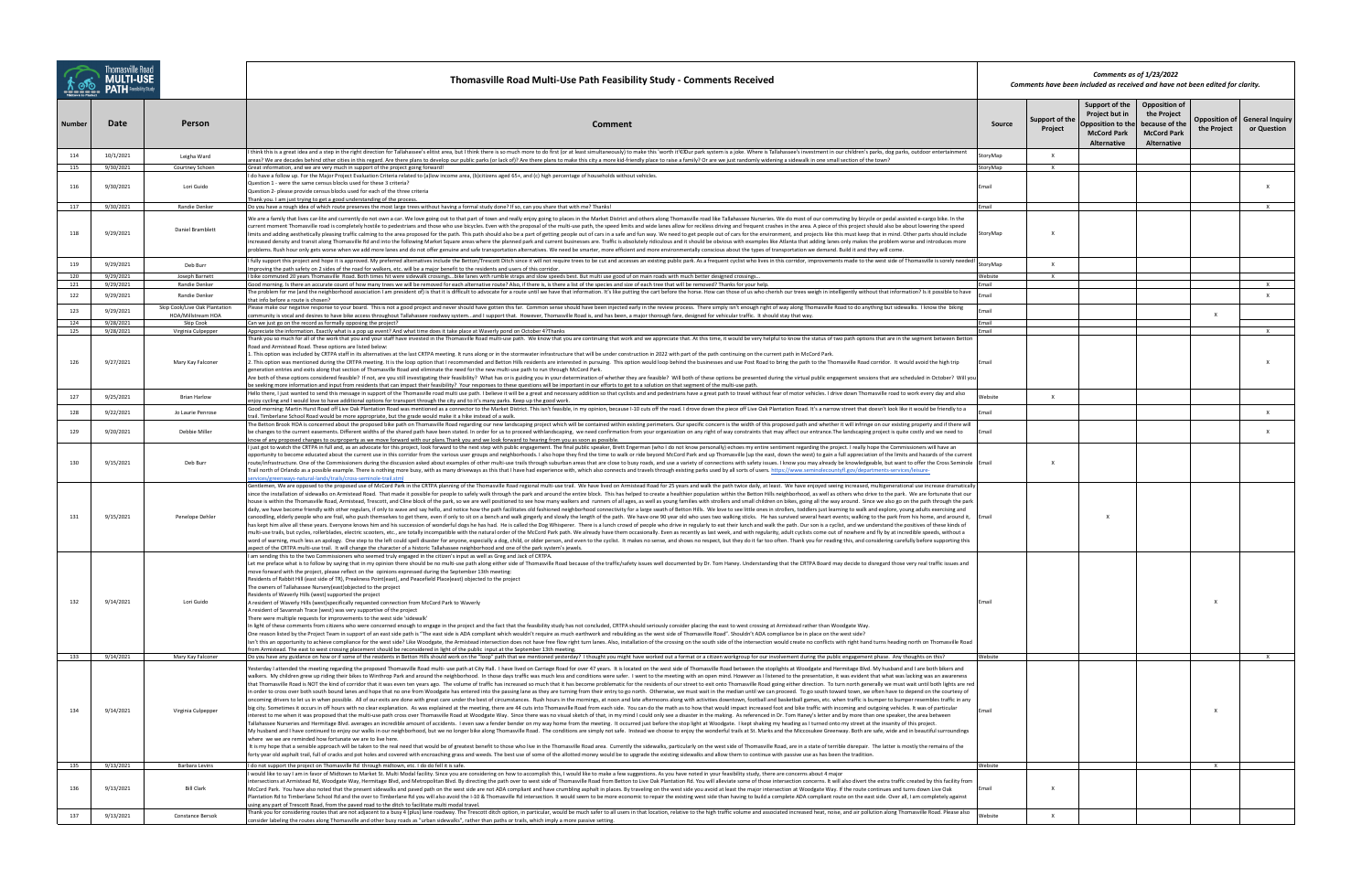| Thomasville Road |
|------------------|
| <b>MULTI-USE</b> |

|               |                        |                                 | Thomasville Road Multi-Use Path Feasibility Study - Comments Received                                                                                                                                                                                                                                                                                                                                                                                                                                                                                                                                                                                                                                                                                                                                                                                                                                                                                                                                                                                                                                                                                                                                                                                                                                                                                                                                                                                                                                                                                                                                                                                                                                                                                                                                                                                                                                                                                                                                                                                                                                                                                                                                                                                                                                                                                                                                                                                                                                                                                                                                                                          | Comments as of 1/23/2022<br>Comments have been included as received and have not been edited for clarity. |                           |                                                                                            |                                                                                            |              |                                                       |
|---------------|------------------------|---------------------------------|------------------------------------------------------------------------------------------------------------------------------------------------------------------------------------------------------------------------------------------------------------------------------------------------------------------------------------------------------------------------------------------------------------------------------------------------------------------------------------------------------------------------------------------------------------------------------------------------------------------------------------------------------------------------------------------------------------------------------------------------------------------------------------------------------------------------------------------------------------------------------------------------------------------------------------------------------------------------------------------------------------------------------------------------------------------------------------------------------------------------------------------------------------------------------------------------------------------------------------------------------------------------------------------------------------------------------------------------------------------------------------------------------------------------------------------------------------------------------------------------------------------------------------------------------------------------------------------------------------------------------------------------------------------------------------------------------------------------------------------------------------------------------------------------------------------------------------------------------------------------------------------------------------------------------------------------------------------------------------------------------------------------------------------------------------------------------------------------------------------------------------------------------------------------------------------------------------------------------------------------------------------------------------------------------------------------------------------------------------------------------------------------------------------------------------------------------------------------------------------------------------------------------------------------------------------------------------------------------------------------------------------------|-----------------------------------------------------------------------------------------------------------|---------------------------|--------------------------------------------------------------------------------------------|--------------------------------------------------------------------------------------------|--------------|-------------------------------------------------------|
| <b>Number</b> | Date                   | Person                          | Comment                                                                                                                                                                                                                                                                                                                                                                                                                                                                                                                                                                                                                                                                                                                                                                                                                                                                                                                                                                                                                                                                                                                                                                                                                                                                                                                                                                                                                                                                                                                                                                                                                                                                                                                                                                                                                                                                                                                                                                                                                                                                                                                                                                                                                                                                                                                                                                                                                                                                                                                                                                                                                                        | Source                                                                                                    | Support of the<br>Project | Support of the<br>Project but in<br>Opposition to the<br><b>McCord Park</b><br>Alternative | <b>Opposition of</b><br>the Project<br>because of the<br><b>McCord Park</b><br>Alternative | the Project  | <b>Opposition of   General Inquiry</b><br>or Question |
| 114           | 10/1/2021              | Leigha Ward                     | think this is a great idea and a step in the right direction for Tallahassee's elitist area, but I think there is so much more to do first (or at least simultaneously) to make this 'worth it'€ Our park system is a joke. W<br>reas? We are decades behind other cities in this regard. Are there plans to develop our public parks (or lack of? Are there plans to make this city a more kid-friendly place to raise a family? Or are we just randomly widen                                                                                                                                                                                                                                                                                                                                                                                                                                                                                                                                                                                                                                                                                                                                                                                                                                                                                                                                                                                                                                                                                                                                                                                                                                                                                                                                                                                                                                                                                                                                                                                                                                                                                                                                                                                                                                                                                                                                                                                                                                                                                                                                                                                | StoryMap                                                                                                  | $\mathbf{x}$              |                                                                                            |                                                                                            |              |                                                       |
| 115           | 9/30/2021              | Courtney Schoen                 | Great information, and we are very much in support of the project going forward!<br>do have a follow up. For the Major Project Evaluation Criteria related to (a)low income area, (b)citizens aged 65+, and (c) high percentage of households without vehicles.                                                                                                                                                                                                                                                                                                                                                                                                                                                                                                                                                                                                                                                                                                                                                                                                                                                                                                                                                                                                                                                                                                                                                                                                                                                                                                                                                                                                                                                                                                                                                                                                                                                                                                                                                                                                                                                                                                                                                                                                                                                                                                                                                                                                                                                                                                                                                                                | StoryMap                                                                                                  | $\mathsf{X}$              |                                                                                            |                                                                                            |              |                                                       |
| 116           | 9/30/2021              | Lori Guido                      | Question 1 - were the same census blocks used for these 3 criteria?<br>Question 2- please provide census blocks used for each of the three criteria<br>hank you. I am just trying to get a good understanding of the process.                                                                                                                                                                                                                                                                                                                                                                                                                                                                                                                                                                                                                                                                                                                                                                                                                                                                                                                                                                                                                                                                                                                                                                                                                                                                                                                                                                                                                                                                                                                                                                                                                                                                                                                                                                                                                                                                                                                                                                                                                                                                                                                                                                                                                                                                                                                                                                                                                  | Email                                                                                                     |                           |                                                                                            |                                                                                            |              |                                                       |
| 117           | 9/30/2021              | Randie Denker                   | Do you have a rough idea of which route preserves the most large trees without having a formal study done? If so, can you share that with me? Thanks!                                                                                                                                                                                                                                                                                                                                                                                                                                                                                                                                                                                                                                                                                                                                                                                                                                                                                                                                                                                                                                                                                                                                                                                                                                                                                                                                                                                                                                                                                                                                                                                                                                                                                                                                                                                                                                                                                                                                                                                                                                                                                                                                                                                                                                                                                                                                                                                                                                                                                          | Email                                                                                                     |                           |                                                                                            |                                                                                            |              | $\mathsf{X}$                                          |
| 118           | 9/29/2021              | Daniel Bramblett                | We are a family that lives car-lite and currently do not own a car. We love going out to that part of town and really enjoy going to places in the Market District and others along Thomasville road like Tallahassee Nurserie<br>current moment Thomasville road is completely hostile to pedestrians and those who use bicycles. Even with the proposal of the multi-use path, the speed limits and wide lanes allow for reckless driving and frequent crashes<br>limits and adding aesthetically pleasing traffic calming to the area proposed for the path. This path should also be a part of getting people out of cars in a safe and fun way. We need to get people out of cars for the env<br>ncreased density and transit along Thomasville Rd and into the following Market Square areas where the planned park and current businesses are. Traffic is absolutely ridiculous and it should be obvious with examples like A<br>roblems. Rush hour only gets worse when we add more lanes and do not offer genuine and safe transportation alternatives. We need be smarter, more efficient and more environmentally conscious about the types of transportati                                                                                                                                                                                                                                                                                                                                                                                                                                                                                                                                                                                                                                                                                                                                                                                                                                                                                                                                                                                                                                                                                                                                                                                                                                                                                                                                                                                                                                                                         | StoryMap                                                                                                  | X                         |                                                                                            |                                                                                            |              |                                                       |
| 119           | 9/29/2021              | Deb Burr                        | fully support this project and hope it is approved. My preferred alternatives include the Betton/Trescott Ditch since it will not require trees to be cut and accesses an existing public park. As a frequent cyclist who live<br>nproving the path safety on 2 sides of the road for walkers, etc. will be a major benefit to the residents and users of this corridor                                                                                                                                                                                                                                                                                                                                                                                                                                                                                                                                                                                                                                                                                                                                                                                                                                                                                                                                                                                                                                                                                                                                                                                                                                                                                                                                                                                                                                                                                                                                                                                                                                                                                                                                                                                                                                                                                                                                                                                                                                                                                                                                                                                                                                                                        | StoryMap                                                                                                  | $\mathsf{x}$              |                                                                                            |                                                                                            |              |                                                       |
| 120           | 9/29/2021              | Joseph Barnett                  | bike commuted 20 years Thomasville Road. Both times hit were sidewalk crossingsbike lanes with rumble straps and slow speeds best. But multi use good uf on main roads with much better designed crossings                                                                                                                                                                                                                                                                                                                                                                                                                                                                                                                                                                                                                                                                                                                                                                                                                                                                                                                                                                                                                                                                                                                                                                                                                                                                                                                                                                                                                                                                                                                                                                                                                                                                                                                                                                                                                                                                                                                                                                                                                                                                                                                                                                                                                                                                                                                                                                                                                                     | Website                                                                                                   | $\mathsf{X}$              |                                                                                            |                                                                                            |              |                                                       |
| 121<br>122    | 9/29/2021<br>9/29/2021 | Randie Denker<br>Randie Denker  | Good morning. Is there an accurate count of how many trees we will be removed for each alternative route? Also, if there is, is there a list of the species and size of each tree that will be removed? Thanks for your help.<br>he problem for me (and the neighborhood association I am president of) is that it is difficult to advocate for a route until we have that information. It's like putting the cart before the horse. How can those of us who ch                                                                                                                                                                                                                                                                                                                                                                                                                                                                                                                                                                                                                                                                                                                                                                                                                                                                                                                                                                                                                                                                                                                                                                                                                                                                                                                                                                                                                                                                                                                                                                                                                                                                                                                                                                                                                                                                                                                                                                                                                                                                                                                                                                                | Email<br>Email                                                                                            |                           |                                                                                            |                                                                                            |              | X<br>$\mathsf{X}$                                     |
| 123           | 9/29/2021              | Skip Cook/Live Oak Plantation   | hat info before a route is chosen?<br>Please make our negative response to your board. This is not a good project and never should have gotten this far. Common sense should have been injected early in the review process. There simply isn't enough right of way                                                                                                                                                                                                                                                                                                                                                                                                                                                                                                                                                                                                                                                                                                                                                                                                                                                                                                                                                                                                                                                                                                                                                                                                                                                                                                                                                                                                                                                                                                                                                                                                                                                                                                                                                                                                                                                                                                                                                                                                                                                                                                                                                                                                                                                                                                                                                                            | Email                                                                                                     |                           |                                                                                            |                                                                                            |              |                                                       |
| 124           | 9/28/2021              | HOA/Millstream HOA<br>Skip Cook | ommunity is vocal and desires to have bike access throughout Tallahassee roadway systemand I support that. However, Thomasville Road is, and has been, a major thorough fare, designed for vehicular traffic. It should sta<br>Can we just go on the record as formally opposing the project?                                                                                                                                                                                                                                                                                                                                                                                                                                                                                                                                                                                                                                                                                                                                                                                                                                                                                                                                                                                                                                                                                                                                                                                                                                                                                                                                                                                                                                                                                                                                                                                                                                                                                                                                                                                                                                                                                                                                                                                                                                                                                                                                                                                                                                                                                                                                                  | Email                                                                                                     |                           |                                                                                            |                                                                                            | $\mathsf{x}$ |                                                       |
| 125           | 9/28/2021              | Virginia Culpepper              | Appreciate the information. Exactly what is a pop up event? And what time does it take place at Waverly pond on October 4?Thanks<br>Thank you so much for all of the work that you and your staff have invested in the Thomasville Road multi-use path. We know that you are continuing that work and we appreciate that. At this time, it would be very helpful t                                                                                                                                                                                                                                                                                                                                                                                                                                                                                                                                                                                                                                                                                                                                                                                                                                                                                                                                                                                                                                                                                                                                                                                                                                                                                                                                                                                                                                                                                                                                                                                                                                                                                                                                                                                                                                                                                                                                                                                                                                                                                                                                                                                                                                                                             | Email                                                                                                     |                           |                                                                                            |                                                                                            |              | X                                                     |
| 126           | 9/27/2021              | Mary Kay Falconer               | Road and Armistead Road. These options are listed below:<br>L. This option was included by CRTPA staff in its alternatives at the last CRTPA meeting. It runs along or in the stormwater infrastructure that will be under construction in 2022 with part of the path continuing on the cu<br>2. This option was mentioned during the CRTPA meeting. It is the loop option that I recommended and Betton Hills residents are interested in pursuing. This option would loop behind the businesses and use Post Road to bring<br>generation entries and exits along that section of Thomasville Road and eliminate the need for the new multi-use path to run through McCord Park.<br>Are both of these options considered feasible? If not, are you still investigating their feasiblity? What has or is guiding you in your determination of whether they are feasible? Will both of these options be presented du<br>De seeking more information and input from residents that can impact their feasibility? Your responses to these questions will be important in our efforts to get to a solution on that segment of the multi-use path.                                                                                                                                                                                                                                                                                                                                                                                                                                                                                                                                                                                                                                                                                                                                                                                                                                                                                                                                                                                                                                                                                                                                                                                                                                                                                                                                                                                                                                                                                                  | Email                                                                                                     |                           |                                                                                            |                                                                                            |              |                                                       |
| 127           | 9/25/2021              | <b>Brian Harlow</b>             | Hello there, I just wanted to send this message in support of the Thomasville road multi use path. I believe it will be a great and necessary addition so that cyclists and and pedestrians have a great path to travel withou                                                                                                                                                                                                                                                                                                                                                                                                                                                                                                                                                                                                                                                                                                                                                                                                                                                                                                                                                                                                                                                                                                                                                                                                                                                                                                                                                                                                                                                                                                                                                                                                                                                                                                                                                                                                                                                                                                                                                                                                                                                                                                                                                                                                                                                                                                                                                                                                                 | Website                                                                                                   | $\mathsf{x}$              |                                                                                            |                                                                                            |              |                                                       |
|               |                        |                                 | njoy cycling and I would love to have additional options for transport through the city and to it's many parks. Keep up the good work.<br>Good morning: Martin Hurst Road off Live Oak Plantation Road was mentioned as a connector to the Market District. This isn't feasible, in my opinion, because I-10 cuts off the road. I drove down the piece off Live Oak Plan                                                                                                                                                                                                                                                                                                                                                                                                                                                                                                                                                                                                                                                                                                                                                                                                                                                                                                                                                                                                                                                                                                                                                                                                                                                                                                                                                                                                                                                                                                                                                                                                                                                                                                                                                                                                                                                                                                                                                                                                                                                                                                                                                                                                                                                                       |                                                                                                           |                           |                                                                                            |                                                                                            |              | $\times$                                              |
| 128           | 9/22/2021              | Jo Laurie Penrose               | rail. Timberlane School Road would be more appropriate, but the grade would make it a hike instead of a walk.<br>The Betton Brook HOA is concerned about the proposed bike path on Thomasville Road regarding our new landscaping project which will be contained within existing perimeters. Our specific concern is the width of this propose                                                                                                                                                                                                                                                                                                                                                                                                                                                                                                                                                                                                                                                                                                                                                                                                                                                                                                                                                                                                                                                                                                                                                                                                                                                                                                                                                                                                                                                                                                                                                                                                                                                                                                                                                                                                                                                                                                                                                                                                                                                                                                                                                                                                                                                                                                | Email                                                                                                     |                           |                                                                                            |                                                                                            |              |                                                       |
| 129           | 9/20/2021              | Debbie Miller                   | be changes to the current easements. Different widths of the shared path have been stated. In order for us to proceed withlandscaping, we need confirmation from your organization on any right of way constraints that may af<br>know of any proposed changes to ourproperty as we move forward with our plans.Thank you and we look forward to hearing from you as soon as possible.                                                                                                                                                                                                                                                                                                                                                                                                                                                                                                                                                                                                                                                                                                                                                                                                                                                                                                                                                                                                                                                                                                                                                                                                                                                                                                                                                                                                                                                                                                                                                                                                                                                                                                                                                                                                                                                                                                                                                                                                                                                                                                                                                                                                                                                         | Email                                                                                                     |                           |                                                                                            |                                                                                            |              | $\mathsf{x}$                                          |
| 130           | 9/15/2021              | Deb Burr                        | just got to watch the CRTPA in full and, as an advocate for this project, look forward to the next step with public engagement. The final public speaker, Brett Engerman (who I do not know personally) echoes my entire senti<br>opportunity to become educated about the current use in this corridor from the various user groups and neighborhoods. I also hope they find the time to walk or ride beyond McCord Park and up Thomasville (up the east, down<br>oute/infrastructure. One of the Commissioners during the discussion asked about examples of other multi-use trails through suburban areas that are close to busy roads, and use a variety of connections with safety issues. I<br>Trail north of Orlando as a possible example. There is nothing more busy, with as many driveways as this that I have had experience with, which also connects and travels through existing parks used by all sorts of users. h<br>vices/greenways-natural-lands/trails/cross-seminole-trail stm                                                                                                                                                                                                                                                                                                                                                                                                                                                                                                                                                                                                                                                                                                                                                                                                                                                                                                                                                                                                                                                                                                                                                                                                                                                                                                                                                                                                                                                                                                                                                                                                                                           |                                                                                                           | X                         |                                                                                            |                                                                                            |              |                                                       |
| 131           | 9/15/2021              | Penelope Dehler                 | ientlemen, We are opposed to the proposed use of McCord Park in the CRTPA planning of the Thomasville Road regional multi-use trail. We have lived on Armistead Road for 25 years and walk the path twice daily, at least. We<br>ince the installation of sidewalks on Armistead Road. That made it possible for people to safely walk through the park and around the entire block. This has helped to create a healthier population within the Betton Hills n<br>house is within the Thomasville Road, Armistead, Trescott, and Cline block of the park, so we are well positioned to see how many walkers and runners of all ages, as well as young families with strollers and small children<br>daily, we have become friendly with other regulars, if only to wave and say hello, and notice how the path facilitates old fashioned neighborhood connectivity for a large swath of Betton Hills. We love to see little ones i<br>canoodling, elderly people who are frail, who push themselves to get there, even if only to sit on a bench and walk gingerly and slowly the length of the path. We have one 90 year old who uses two walking sticks. He has su<br>has kept him alive all these years. Everyone knows him and his succession of wonderful dogs he has had. He is called the Dog Whisperer. There is a lunch crowd of people who drive in regularly to eat their lunch and walk th<br>multi-use trails, but cycles, rollerblades, electric scooters, etc., are totally incompatible with the natural order of the McCord Park path. We already have them occasionally. Even as recently as last week, and with regul<br>word of warning, much less an apology. One step to the left could spell disaster for anyone, especially a dog, child, or older person, and even to the cyclist. It makes no sense, and shows no respect, but they do it far to<br>bect of the CRTPA multi-use trail. It will change the character of a historic Tallahassee neighborhood and one of the park system's jewels.                                                                                                                                                                                                                                                                                                                                                                                                                                                                                                                                                                                                                     |                                                                                                           |                           | X                                                                                          |                                                                                            |              |                                                       |
| 132           | 9/14/2021              | Lori Guido                      | am sending this to the two Commissioners who seemed truly engaged in the citizen's input as well as Greg and Jack of CRTPA.<br>et me preface what is to follow by saying that in my opinion there should be no multi-use path along either side of Thomasville Road because of the traffic/safety issues well documented by Dr. Tom Haney. Understanding that<br>move forward with the project, please reflect on the opinions expressed during the September 13th meeting:<br>Residents of Rabbit Hill (east side of TR), Preakness Point(east), and Peacefield Place(east) objected to the project<br>The owners of Tallahassee Nursery(east)objected to the project<br>Residents of Waverly Hills (west) supported the project<br>A resident of Waverly Hills (west)specifically requested connection from McCord Park to Waverly<br>A resident of Savannah Trace (west) was very supportive of the project<br>There were multiple requests for improvements to the west side 'sidewalk'<br>In light of these comments from citizens who were concerned enough to engage in the project and the fact that the feasibility study has not concluded, CRTPA should seriously consider placing the east to west crossing at Ar<br>One reason listed by the Project Team in support of an east side path is "The east side is ADA compliant which wouldn't require as much earthwork and rebuilding as the west side of Thomasville Road". Shouldn't ADA complian<br>Isn't this an opportunity to achieve compliance for the west side? Like Woodgate, the Armistead intersection does not have free flow right turn lanes. Also, installation of the crossing on the south side of the intersectio<br>om Armistead. The east to west crossing placement should be reconsidered in light of the public input at the September 13th meeting.                                                                                                                                                                                                                                                                                                                                                                                                                                                                                                                                                                                                                                                                                                                                                                                                      | Email                                                                                                     |                           |                                                                                            |                                                                                            |              |                                                       |
| 133           | 9/14/2021              | Mary Kay Falconer               | Do you have any guidance on how or if some of the residents in Betton Hills should work on the "loop" path that we mentioned yesterday? I thought you might have worked out a format or a citizen workgroup for our involvemen                                                                                                                                                                                                                                                                                                                                                                                                                                                                                                                                                                                                                                                                                                                                                                                                                                                                                                                                                                                                                                                                                                                                                                                                                                                                                                                                                                                                                                                                                                                                                                                                                                                                                                                                                                                                                                                                                                                                                                                                                                                                                                                                                                                                                                                                                                                                                                                                                 | Website                                                                                                   |                           |                                                                                            |                                                                                            |              | $\mathsf{X}$                                          |
| 134           | 9/14/2021              | Virginia Culpepper              | esterday I attended the meeting regarding the proposed Thomasville Road multi- use path at City Hall. I have lived on Carriage Road for over 47 years. It is located on the west side of Thomasville Road between the stopligh<br>walkers. My children grew up riding their bikes to Winthrop Park and around the neighborhood. In those days traffic was much less and conditions were safer. I went to the meeting with an open mind. However as I listened to<br>that Thomasville Road is NOT the kind of corridor that it was even ten years ago. The volume of traffic has increased so much that it has become problematic for the residents of our street to exit onto Thomasville Road goi<br>in order to cross over both south bound lanes and hope that no one from Woodgate has entered into the passing lane as they are turning from their entry to go north. Otherwise, we must wait in the median until we can procee<br>oncoming drivers to let us in when possible. All of our exits are done with great care under the best of circumstances. Rush hours in the mornings, at noon and late afternoons along with activities downtown, football and b<br>big city. Sometimes it occurs in off hours with no clear explanation. As was explained at the meeting, there are 44 cuts into Thomasville Road from each side. You can do the math as to how that would impact increased foot<br>interest to me when it was proposed that the multi-use path cross over Thomasville Road at Woodgate Way. Since there was no visual sketch of that, in my mind I could only see a disaster in the making. As referenced in Dr.<br>Tallahassee Nurseries and Hermitage Blvd. averages an incredible amount of accidents. I even saw a fender bender on my way home from the meeting. It occurred just before the stop light at Woodgate. I kept shaking my headin<br>My husband and I have continued to enjoy our walks in our neighborhood, but we no longer bike along Thomasville Road. The conditions are simply not safe. Instead we choose to enjoy the wonderful trails at St. Marks and the<br>where we we are reminded how fortunate we are to live here.<br>It is my hope that a sensible approach will be taken to the real need that would be of greatest benefit to those who live in the Thomasville Road area. Currently the sidewalks, particularly on the west side of Thomasville<br>forty year old asphalt trail, full of cracks and pot holes and covered with encroaching grass and weeds. The best use of some of the allotted money would be to upgrade the existing sidewalks and allow them to continue with |                                                                                                           |                           |                                                                                            |                                                                                            |              |                                                       |
| 135           | 9/13/2021              | Barbara Levins                  | I do not support the project on Thomasville Rd through midtown, etc. I do do fell it is safe.                                                                                                                                                                                                                                                                                                                                                                                                                                                                                                                                                                                                                                                                                                                                                                                                                                                                                                                                                                                                                                                                                                                                                                                                                                                                                                                                                                                                                                                                                                                                                                                                                                                                                                                                                                                                                                                                                                                                                                                                                                                                                                                                                                                                                                                                                                                                                                                                                                                                                                                                                  | Website                                                                                                   |                           |                                                                                            |                                                                                            | $\mathsf{x}$ |                                                       |
| 136           | 9/13/2021              | <b>Bill Clark</b>               | would like to say I am in favor of Midtown to Market St. Multi Modal facility. Since you are considering on how to accomplish this, I would like to make a few suggestions. As you have noted in your feasibility study, there<br>ntersections at Armistead Rd, Woodgate Way, Hermitage Blvd, and Metropolitan Blvd. By directing the path over to west side of Thomasville Road from Betton to Live Oak Plantation Rd. You will alleviate some of those interse<br>McCord Park. You have also noted that the present sidewalks and paved path on the west side are not ADA compliant and have crumbling asphalt in places. By traveling on the west side you avoid at least the major intersectio<br>Plantation Rd to Timberlane School Rd and the over to Timberlane Rd you will also avoid the I-10 & Thomasville Rd intersection. It would seem to be more economic to repair the existing west side than having to build a comp<br>sing any part of Trescott Road, from the paved road to the ditch to facilitate multi modal travel.                                                                                                                                                                                                                                                                                                                                                                                                                                                                                                                                                                                                                                                                                                                                                                                                                                                                                                                                                                                                                                                                                                                                                                                                                                                                                                                                                                                                                                                                                                                                                                                                     | Email                                                                                                     | $\mathbf{x}$              |                                                                                            |                                                                                            |              |                                                       |
| 137           | 9/13/2021              | Constance Bersok                | Thank you for considering routes that are not adjacent to a busy 4 (plus) lane roadway. The Trescott ditch option, in particular, would be much safer to all users in that location, relative to the high traffic volume and a<br>nsider labeling the routes along Thomasville and other busy roads as "urban sidewalks", rather than paths or trails, which imply a more passive setting.                                                                                                                                                                                                                                                                                                                                                                                                                                                                                                                                                                                                                                                                                                                                                                                                                                                                                                                                                                                                                                                                                                                                                                                                                                                                                                                                                                                                                                                                                                                                                                                                                                                                                                                                                                                                                                                                                                                                                                                                                                                                                                                                                                                                                                                     | Website                                                                                                   | X                         |                                                                                            |                                                                                            |              |                                                       |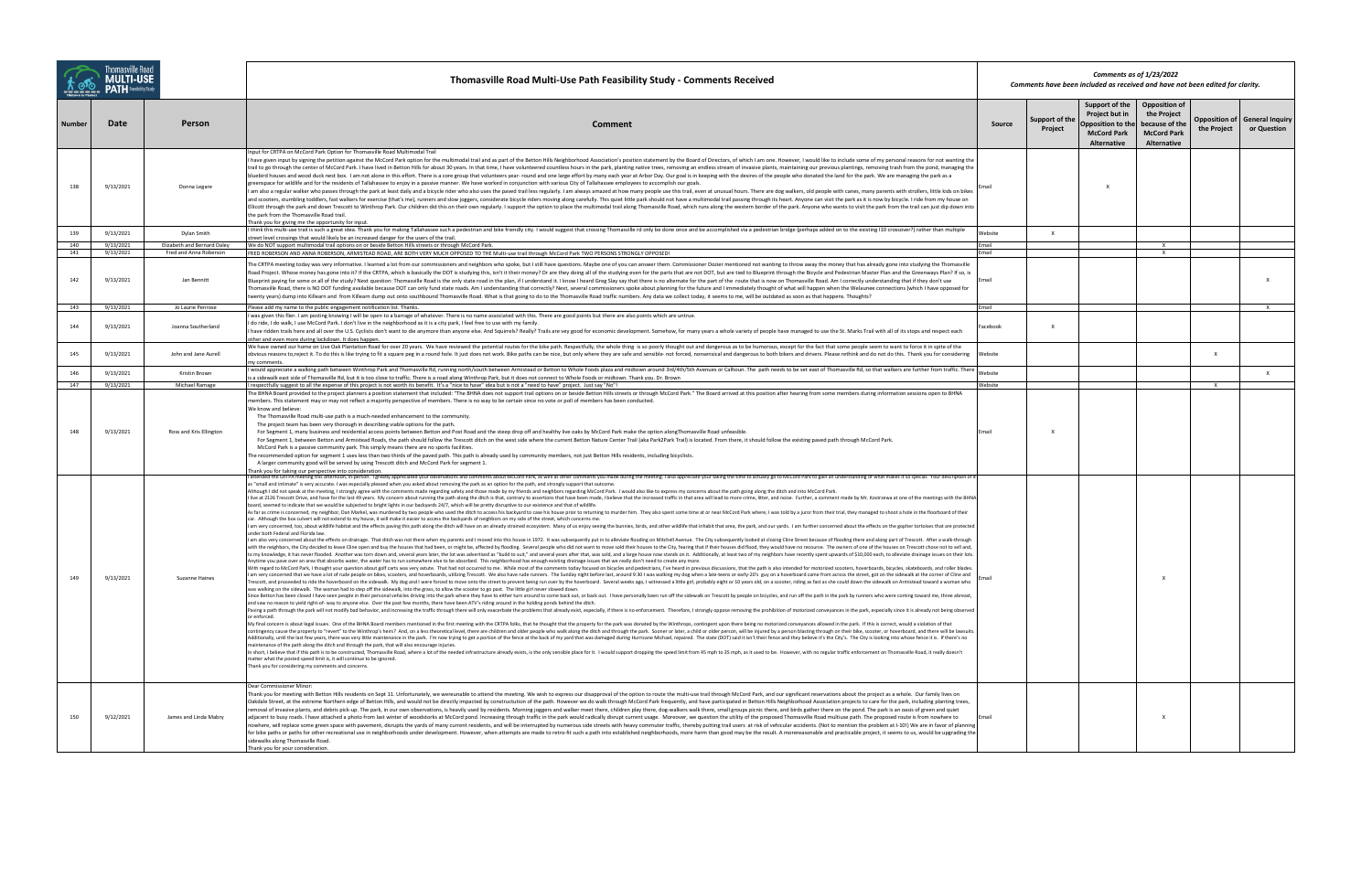|            |                        |                                       | Thomasville Road Multi-Use Path Feasibility Study - Comments Received                                                                                                                                                                                                                                                                                                                                                                                                                                                                                                                                                                                                                                                                                                                                                                                                                                                                                                                                                                                                                                                                                                                                                                                                                                                                                                                                                                                                                                                                                                                                                                                                                                                                                                                                                                                                                                                                                                                                                                                                                                                                                                                                                                                                                                                                                                                                                                                                                                                                                                                                                                                                                                                                                                                                                                                                                                                                                                                                                                                                                                                                                                                                                                                                                                                                                                                                                                                                                                                                                                                                                                                                                                                                                                                                                                                                                                                                                                                                                                                                                                                                                                                                                                                                                                                                                                                                                                                                                                                                                                                                                                                                                                                                                                                                                                                                                                                                                                                                                                                                                                                                                                                                                                                                                                                                                     |                | Comments as of 1/23/2022<br>Comments have been included as received and have not been edited for clarity.               |                                                                                            |              |                                                     |  |
|------------|------------------------|---------------------------------------|-----------------------------------------------------------------------------------------------------------------------------------------------------------------------------------------------------------------------------------------------------------------------------------------------------------------------------------------------------------------------------------------------------------------------------------------------------------------------------------------------------------------------------------------------------------------------------------------------------------------------------------------------------------------------------------------------------------------------------------------------------------------------------------------------------------------------------------------------------------------------------------------------------------------------------------------------------------------------------------------------------------------------------------------------------------------------------------------------------------------------------------------------------------------------------------------------------------------------------------------------------------------------------------------------------------------------------------------------------------------------------------------------------------------------------------------------------------------------------------------------------------------------------------------------------------------------------------------------------------------------------------------------------------------------------------------------------------------------------------------------------------------------------------------------------------------------------------------------------------------------------------------------------------------------------------------------------------------------------------------------------------------------------------------------------------------------------------------------------------------------------------------------------------------------------------------------------------------------------------------------------------------------------------------------------------------------------------------------------------------------------------------------------------------------------------------------------------------------------------------------------------------------------------------------------------------------------------------------------------------------------------------------------------------------------------------------------------------------------------------------------------------------------------------------------------------------------------------------------------------------------------------------------------------------------------------------------------------------------------------------------------------------------------------------------------------------------------------------------------------------------------------------------------------------------------------------------------------------------------------------------------------------------------------------------------------------------------------------------------------------------------------------------------------------------------------------------------------------------------------------------------------------------------------------------------------------------------------------------------------------------------------------------------------------------------------------------------------------------------------------------------------------------------------------------------------------------------------------------------------------------------------------------------------------------------------------------------------------------------------------------------------------------------------------------------------------------------------------------------------------------------------------------------------------------------------------------------------------------------------------------------------------------------------------------------------------------------------------------------------------------------------------------------------------------------------------------------------------------------------------------------------------------------------------------------------------------------------------------------------------------------------------------------------------------------------------------------------------------------------------------------------------------------------------------------------------------------------------------------------------------------------------------------------------------------------------------------------------------------------------------------------------------------------------------------------------------------------------------------------------------------------------------------------------------------------------------------------------------------------------------------------------------------------------------------------------------------------------------------|----------------|-------------------------------------------------------------------------------------------------------------------------|--------------------------------------------------------------------------------------------|--------------|-----------------------------------------------------|--|
| Number     | Date                   | Person                                | Comment                                                                                                                                                                                                                                                                                                                                                                                                                                                                                                                                                                                                                                                                                                                                                                                                                                                                                                                                                                                                                                                                                                                                                                                                                                                                                                                                                                                                                                                                                                                                                                                                                                                                                                                                                                                                                                                                                                                                                                                                                                                                                                                                                                                                                                                                                                                                                                                                                                                                                                                                                                                                                                                                                                                                                                                                                                                                                                                                                                                                                                                                                                                                                                                                                                                                                                                                                                                                                                                                                                                                                                                                                                                                                                                                                                                                                                                                                                                                                                                                                                                                                                                                                                                                                                                                                                                                                                                                                                                                                                                                                                                                                                                                                                                                                                                                                                                                                                                                                                                                                                                                                                                                                                                                                                                                                                                                                   | Source         | Support of the<br>Project but in<br>Support of the<br>Opposition to the<br>Project<br><b>McCord Park</b><br>Alternative | <b>Opposition of</b><br>the Project<br>because of the<br><b>McCord Park</b><br>Alternative | the Project  | <b>Opposition of General Inquiry</b><br>or Question |  |
| 138        | 9/13/2021              | Donna Legare                          | nput for CRTPA on McCord Park Option for Thomasville Road Multimodal Trail<br>I have given input by signing the petition against the McCord Park option for the multimodal trail and as part of the Betton Hills Neighborhood Association's position statement by the Board of Directors, of which I am one.<br>trail to go through the center of McCord Park. I have lived in Betton Hills for about 30 years. In that time, I have volunteered countless hours in the park, planting native trees, removing an endless stream of invasive pl<br>bluebird houses and wood duck nest box. I am not alone in this effort. There is a core group that volunteers year- round and one large effort by many each year at Arbor Day. Our goal is in keeping with the desires of the p<br>greenspace for wildlife and for the residents of Tallahassee to enjoy in a passive manner. We have worked in conjunction with various City of Tallahassee employees to accomplish our goals.<br>I am also a regular walker who passes through the park at least daily and a bicycle rider who also uses the paved trail less regularly. I am always amazed at how many people use this trail, even at unusual hours. There are<br>and scooters, stumbling toddlers, fast walkers for exercise (that's me), runners and slow joggers, considerate bicycle riders moving along carefully. This quiet little park should not have a multimodal trail passing throug<br>Ellicott through the park and down Trescott to Winthrop Park. Our children did this on their own regularly. I support the option to place the multimodal trail along Thomasville Road, which runs along the western border of<br>the park from the Thomasville Road trail.<br>Thank you for giving me the opportunity for input.                                                                                                                                                                                                                                                                                                                                                                                                                                                                                                                                                                                                                                                                                                                                                                                                                                                                                                                                                                                                                                                                                                                                                                                                                                                                                                                                                                                                                                                                                                                                                                                                                                                                                                                                                                                                                                                                                                                                                                                                                                                                                                                                                                                                                                                                                                                                                                                                                                                                                                                                                                                                                                                                                                                                                                                                                                                                                                                                                                                                                                                                                                                                                                                                                                                                                                                                                                                                                                                                                                                                                                  |                |                                                                                                                         |                                                                                            |              |                                                     |  |
| 139        | 9/13/2021              | Dylan Smith                           | I think this multi-use trail is such a great idea. Thank you for making Tallahassee such a pedestrian and bike friendly city. I would suggest that crossing Thomasville rd only be done once and be accomplished via a pedestr                                                                                                                                                                                                                                                                                                                                                                                                                                                                                                                                                                                                                                                                                                                                                                                                                                                                                                                                                                                                                                                                                                                                                                                                                                                                                                                                                                                                                                                                                                                                                                                                                                                                                                                                                                                                                                                                                                                                                                                                                                                                                                                                                                                                                                                                                                                                                                                                                                                                                                                                                                                                                                                                                                                                                                                                                                                                                                                                                                                                                                                                                                                                                                                                                                                                                                                                                                                                                                                                                                                                                                                                                                                                                                                                                                                                                                                                                                                                                                                                                                                                                                                                                                                                                                                                                                                                                                                                                                                                                                                                                                                                                                                                                                                                                                                                                                                                                                                                                                                                                                                                                                                            | Website        | $\mathsf{x}$                                                                                                            |                                                                                            |              |                                                     |  |
| 140        | 9/13/2021              | Elizabeth and Bernard Daley           | treet level crossings that would likely be an increased danger for the users of the trail.<br>We do NOT support multimodal trail options on or beside Betton Hills streets or through McCord Park.                                                                                                                                                                                                                                                                                                                                                                                                                                                                                                                                                                                                                                                                                                                                                                                                                                                                                                                                                                                                                                                                                                                                                                                                                                                                                                                                                                                                                                                                                                                                                                                                                                                                                                                                                                                                                                                                                                                                                                                                                                                                                                                                                                                                                                                                                                                                                                                                                                                                                                                                                                                                                                                                                                                                                                                                                                                                                                                                                                                                                                                                                                                                                                                                                                                                                                                                                                                                                                                                                                                                                                                                                                                                                                                                                                                                                                                                                                                                                                                                                                                                                                                                                                                                                                                                                                                                                                                                                                                                                                                                                                                                                                                                                                                                                                                                                                                                                                                                                                                                                                                                                                                                                        | Email          |                                                                                                                         | $\mathbf{x}$                                                                               |              |                                                     |  |
| 141<br>142 | 9/13/2021<br>9/13/2021 | Fred and Anna Roberson<br>Jan Bennitt | FRED ROBERSON AND ANNA ROBERSON, ARMISTEAD ROAD, ARE BOTH VERY MUCH OPPOSED TO THE Multi-use trail through McCord Park TWO PERSONS STRONGLY OPPOSED!<br>The CRTPA meeting today was very informative. I learned a lot from our commissioners and neighbors who spoke, but I still have questions. Maybe one of you can answer them. Commissioner Dozier mentioned not wanting to throw<br>Road Project. Whose money has gone into it? If the CRTPA, which is basically the DOT is studying this, isn't it their money? Or are they doing all of the studying even for the parts that are not DOT, but are tied to Bluepr<br>Blueprint paying for some or all of the study? Next question: Thomasville Road is the only state road in the plan, if I understand it. I know I heard Greg Slay say that there is no alternate for the part of the route that<br>Thomasville Road, there is NO DOT funding available because DOT can only fund state roads. Am I understanding that correctly? Next, several commissioners spoke about planning for the future and I immediately thought of wha<br>twenty years) dump into Killearn and from Killearn dump out onto southbound Thomasville Road. What is that going to do to the Thomasville Road traffic numbers. Any data we collect today, it seems to me, will be outdated as                                                                                                                                                                                                                                                                                                                                                                                                                                                                                                                                                                                                                                                                                                                                                                                                                                                                                                                                                                                                                                                                                                                                                                                                                                                                                                                                                                                                                                                                                                                                                                                                                                                                                                                                                                                                                                                                                                                                                                                                                                                                                                                                                                                                                                                                                                                                                                                                                                                                                                                                                                                                                                                                                                                                                                                                                                                                                                                                                                                                                                                                                                                                                                                                                                                                                                                                                                                                                                                                                                                                                                                                                                                                                                                                                                                                                                                                                                                                                                                                                             | Email<br>Email |                                                                                                                         | $\mathsf{X}$                                                                               |              |                                                     |  |
| 143        | 9/13/2021              | Jo Laurie Penrose                     | Please add my name to the public engagement notification list. Thanks.<br>I was given this flier. I am posting knowing I will be open to a barrage of whatever. There is no name associated with this. There are good points but there are also points which are untrue.                                                                                                                                                                                                                                                                                                                                                                                                                                                                                                                                                                                                                                                                                                                                                                                                                                                                                                                                                                                                                                                                                                                                                                                                                                                                                                                                                                                                                                                                                                                                                                                                                                                                                                                                                                                                                                                                                                                                                                                                                                                                                                                                                                                                                                                                                                                                                                                                                                                                                                                                                                                                                                                                                                                                                                                                                                                                                                                                                                                                                                                                                                                                                                                                                                                                                                                                                                                                                                                                                                                                                                                                                                                                                                                                                                                                                                                                                                                                                                                                                                                                                                                                                                                                                                                                                                                                                                                                                                                                                                                                                                                                                                                                                                                                                                                                                                                                                                                                                                                                                                                                                  | Email          |                                                                                                                         |                                                                                            |              | $\mathsf{X}$                                        |  |
| 144        | 9/13/2021              | Joanna Southerland                    | I do ride, I do walk, I use McCord Park. I don't live in the neighborhood as it is a city park, I feel free to use with my family.<br>I have ridden trails here and all over the U.S. Cyclists don't want to die anymore than anyone else. And Squirrels? Really? Trails are vey good for economic development. Somehow, for many years a whole variety of people ha<br>other and even more during lockdown. It does happen.                                                                                                                                                                                                                                                                                                                                                                                                                                                                                                                                                                                                                                                                                                                                                                                                                                                                                                                                                                                                                                                                                                                                                                                                                                                                                                                                                                                                                                                                                                                                                                                                                                                                                                                                                                                                                                                                                                                                                                                                                                                                                                                                                                                                                                                                                                                                                                                                                                                                                                                                                                                                                                                                                                                                                                                                                                                                                                                                                                                                                                                                                                                                                                                                                                                                                                                                                                                                                                                                                                                                                                                                                                                                                                                                                                                                                                                                                                                                                                                                                                                                                                                                                                                                                                                                                                                                                                                                                                                                                                                                                                                                                                                                                                                                                                                                                                                                                                                              | Facebook       | $\mathsf{x}$                                                                                                            |                                                                                            |              |                                                     |  |
| 145        | 9/13/2021              | John and Jane Aurell                  | We have owned our home on Live Oak Plantation Road for over 20 years. We have reviewed the potential routes for the bike path. Respectfully, the whole thing is so poorly thought out and dangerous as to be humorous, except<br>obvious reasons to,reject it. To do this is like trying to fit a square peg in a round hole. It just does not work. Bike paths can be nice, but only where they are safe and sensible- not forced, nonsensical and dangerous t<br>ny comments.                                                                                                                                                                                                                                                                                                                                                                                                                                                                                                                                                                                                                                                                                                                                                                                                                                                                                                                                                                                                                                                                                                                                                                                                                                                                                                                                                                                                                                                                                                                                                                                                                                                                                                                                                                                                                                                                                                                                                                                                                                                                                                                                                                                                                                                                                                                                                                                                                                                                                                                                                                                                                                                                                                                                                                                                                                                                                                                                                                                                                                                                                                                                                                                                                                                                                                                                                                                                                                                                                                                                                                                                                                                                                                                                                                                                                                                                                                                                                                                                                                                                                                                                                                                                                                                                                                                                                                                                                                                                                                                                                                                                                                                                                                                                                                                                                                                                           | Website        |                                                                                                                         |                                                                                            | $\mathsf{x}$ |                                                     |  |
| 146        | 9/13/2021              | Kristin Brown                         | would appreciate a walking path between Winthrop Park and Thomasville Rd, running north/south between Armistead or Betton to Whole Foods plaza and midtown around 3rd/4th/5th Avenues or Calhoun. The path needs to be set eas<br>a sidewalk east side of Thomasville Rd, but it is too close to traffic. There is a road along Winthrop Park, but it does not connect to Whole Foods or midtown. Thank you, Dr. Brown                                                                                                                                                                                                                                                                                                                                                                                                                                                                                                                                                                                                                                                                                                                                                                                                                                                                                                                                                                                                                                                                                                                                                                                                                                                                                                                                                                                                                                                                                                                                                                                                                                                                                                                                                                                                                                                                                                                                                                                                                                                                                                                                                                                                                                                                                                                                                                                                                                                                                                                                                                                                                                                                                                                                                                                                                                                                                                                                                                                                                                                                                                                                                                                                                                                                                                                                                                                                                                                                                                                                                                                                                                                                                                                                                                                                                                                                                                                                                                                                                                                                                                                                                                                                                                                                                                                                                                                                                                                                                                                                                                                                                                                                                                                                                                                                                                                                                                                                    | Website        |                                                                                                                         |                                                                                            |              | $\mathsf{X}$                                        |  |
| 147        | 9/13/2021              | Michael Ramage                        | respectfully suggest to all the expense of this project is not worth its benefit. It's a "nice to have" idea but is not a "need to have" project. Just say "No"!<br>The BHNA Board provided to the project planners a position statement that included: "The BHNA does not support trail options on or beside Betton Hills streets or through McCord Park." The Board arrived at this position aft                                                                                                                                                                                                                                                                                                                                                                                                                                                                                                                                                                                                                                                                                                                                                                                                                                                                                                                                                                                                                                                                                                                                                                                                                                                                                                                                                                                                                                                                                                                                                                                                                                                                                                                                                                                                                                                                                                                                                                                                                                                                                                                                                                                                                                                                                                                                                                                                                                                                                                                                                                                                                                                                                                                                                                                                                                                                                                                                                                                                                                                                                                                                                                                                                                                                                                                                                                                                                                                                                                                                                                                                                                                                                                                                                                                                                                                                                                                                                                                                                                                                                                                                                                                                                                                                                                                                                                                                                                                                                                                                                                                                                                                                                                                                                                                                                                                                                                                                                        | Website        |                                                                                                                         |                                                                                            | $\mathsf{x}$ |                                                     |  |
|            | 9/13/2021              | Ross and Kris Ellington               | members. This statement may or may not reflect a majority perspective of members. There is no way to be certain since no vote or poll of members has been conducted.<br>We know and believe:<br>The Thomasville Road multi-use path is a much-needed enhancement to the community.<br>The project team has been very thorough in describing viable options for the path.<br>For Segment 1, many business and residential access points between Betton and Post Road and the steep drop off and healthy live oaks by McCord Park make the option along Thomasville Road unfeasible.<br>For Segment 1, between Betton and Armistead Roads, the path should follow the Trescott ditch on the west side where the current Betton Nature Center Trail (aka Park2Park Trail) is located. From there, it should follow the<br>McCord Park is a passive community park. This simply means there are no sports facilities.<br>he recommended option for segment 1 uses less than two thirds of the paved path. This path is already used by community members, not just Betton Hills residents, including bicyclists.<br>A larger community good will be served by using Trescott ditch and McCord Park for segment 1.<br>hank you for taking our perspective into consideration.                                                                                                                                                                                                                                                                                                                                                                                                                                                                                                                                                                                                                                                                                                                                                                                                                                                                                                                                                                                                                                                                                                                                                                                                                                                                                                                                                                                                                                                                                                                                                                                                                                                                                                                                                                                                                                                                                                                                                                                                                                                                                                                                                                                                                                                                                                                                                                                                                                                                                                                                                                                                                                                                                                                                                                                                                                                                                                                                                                                                                                                                                                                                                                                                                                                                                                                                                                                                                                                                                                                                                                                                                                                                                                                                                                                                                                                                                                                                                                                                                                                                                  | Fmail          |                                                                                                                         |                                                                                            |              |                                                     |  |
| 149        | 9/13/2021              | Suzanne Haines                        | attended the CRTPA meeting this afternoon, in-person. I greatly appreciated your observations and comments about McCord Park, as well as other comments you made during the meeting. I also appreciate your taking the time to<br>as "small and intimate" is very accurate. I was especially pleased when you asked about removing the park as an option for the path, and strongly support that outcome.<br>Although I did not speak at the meeting, I strongly agree with the comments made regarding safety and those made by my friends and neighbors regarding McCord Park. I would also like to express my concerns about the path go<br>live at 2126 Trescott Drive, and have for the last 49 years. My concern about running the path along the othis that, contrary to assertions that have been made, I believe that the increased traffic in that area will lead t<br>ooard, seemed to indicate that we would be subjected to bright lights in our backyards 24/7, which will be pretty disruptive to our existence and that of wildlife.<br>As far as crime is concerned, my neighbor, Dan Markel, was murdered by two people who used the ditch to access his backyard to case his house prior to returning to murder him. They also spent some time at or near McCord Pa<br>car. Although the box culvert will not extend to my house, it will make it easier to access the backyards of neighbors on my side of the street, which concerns me.<br>I am very concerned, too, about wildlife habitat and the effects paving this path along the ditch will have on an already strained ecosystem. Many of us enjoy seeing the bunnies, birds, and other wildlife that inhabit that<br>under both Federal and Florida law.<br>I am also very concerned about the effects on drainage. That ditch was not there when my parents and I moved into this house in 1972. It was subsequently put in to alleviate flooding on Mitchell Avenue. The City subsequent<br>with the neighbors, the City decided to leave Cline open and buy the houses that had been, or might be, affected by flooding. Several people who did not want to move sold their houses to the City, fearing that if their hou<br>to my knowledge, it has never flooded. Another was torn down and, several years later, the lot was advertised as "build to suit," and several years after that, was sold, and a large house now stands on it. Additionally, at<br>Anytime you pave over an area that absorbs water, the water has to run somewhere else to be absorbed. This neighborhood has enough existing drainage issues that we really don't need to create any more.<br>With regard to McCord Park, I thought your question about golf carts was very astute. That had not occurred to me. While most of the comments today focused on bicycles and pedestrians, I've heard in previous discussions, t<br>I am very concerned that we have a lot of rude people on bikes, scooters, and hoverboards, utilizing Trescott. We also have rude runners. The Sunday night before last, around 9:30 I was walking my dog when a late-teens or<br>Trescott, and proceeded to ride the hoverboard on the sidewalk. My dog and I were forced to move onto the street to prevent being run over by the hoverboard. Several weeks ago, I witnessed a little girl, probably eight or<br>was walking on the sidewalk. The woman had to step off the sidewalk, into the grass, to allow the scooter to go past. The little girl never slowed down.<br>Since Betton has been closed I have seen people in their personal vehicles driving into the park where they have to either turn around to come back out, or back out. I have personally been run off the sidewalk on Trescott<br>and saw no reason to yield right-of- way to anyone else. Over the past few months, there have been ATV's riding around in the holding ponds behind the ditch.<br>Paving a path through the park will not modify bad behavior, and increasing the traffic through there will only exacerbate the problems that already exist, especially, if there is no enforcement. Therefore, I strongly oppo<br>or enforced.<br>My final concern is about legal issues. One of the BHNA Board members mentioned in the first meeting with the CRTPA folks, that he thought that the property for the park was donated by the Winthrops, contingent upon there<br>contingency cause the property to "revert" to the Winthrop's heirs? And, on a less theoretical level, there are children and older people who walk along the ditch and through the park. Sooner or later, a child or older per<br>Additionally, until the last few years, there was very little maintenance in the park. I'm now trying to get a portion of the fence at the back of my yard that was damaged during Hurricane Michael, repaired. The state (DOT<br>maintenance of the path along the ditch and through the park, that will also encourage injuries.<br>In short, I believe that if this path is to be constructed, Thomasville Road, where a lot of the needed infrastructure already exists, is the only sensible place for it. I would support dropping the speed limit from 45 mph<br>matter what the posted speed limit is, it will continue to be ignored.<br>Thank you for considering my comments and concerns. |                |                                                                                                                         |                                                                                            |              |                                                     |  |
| 150        | 9/12/2021              | James and Linda Mabry                 | Dear Commissioner Minor:<br>Thank you for meeting with Betton Hills residents on Sept 11. Unfortunately, we wereunable to attend the meeting. We wish to express our disapproval of the option to route the multi-use trail through McCord Park, and our s<br>Oakdale Street, at the extreme Northern edge of Betton Hills, and would not be directly impacted by constructution of the path. However we do walk through McCord Park frequently, and have participated in Betton Hills Neigh<br>removal of invasive plants, and debris pick-up. The park, in our own observations, is heavily used by residents. Morning joggers and walker meet there, children play there, dog-walkers walk there, small groups picnic there<br>adjacent to busy roads. I have attached a photo from last winter of woodstorks at McCord pond. Increasing through traffic in the park would radically disrupt current usage. Moreover, we question the utility of the proposed<br>nowhere, will replace some green space with pavement, disrupts the yards of many current residents, and will be interrupted by numerous side streets with heavy commuter traffic, thereby putting trail users at risk of vehic<br>for bike paths or paths for other recreational use in neighborhoods under development. However, when attempts are made to retro-fit such a path into established neighborhoods, more harm than good may be the result. A morer<br>sidewalks along Thomasville Road.<br>Thank you for your consideration.                                                                                                                                                                                                                                                                                                                                                                                                                                                                                                                                                                                                                                                                                                                                                                                                                                                                                                                                                                                                                                                                                                                                                                                                                                                                                                                                                                                                                                                                                                                                                                                                                                                                                                                                                                                                                                                                                                                                                                                                                                                                                                                                                                                                                                                                                                                                                                                                                                                                                                                                                                                                                                                                                                                                                                                                                                                                                                                                                                                                                                                                                                                                                                                                                                                                                                                                                                                                                                                                                                                                                                                                                                                                                                                                                                                                                                            | Email          |                                                                                                                         | x                                                                                          |              |                                                     |  |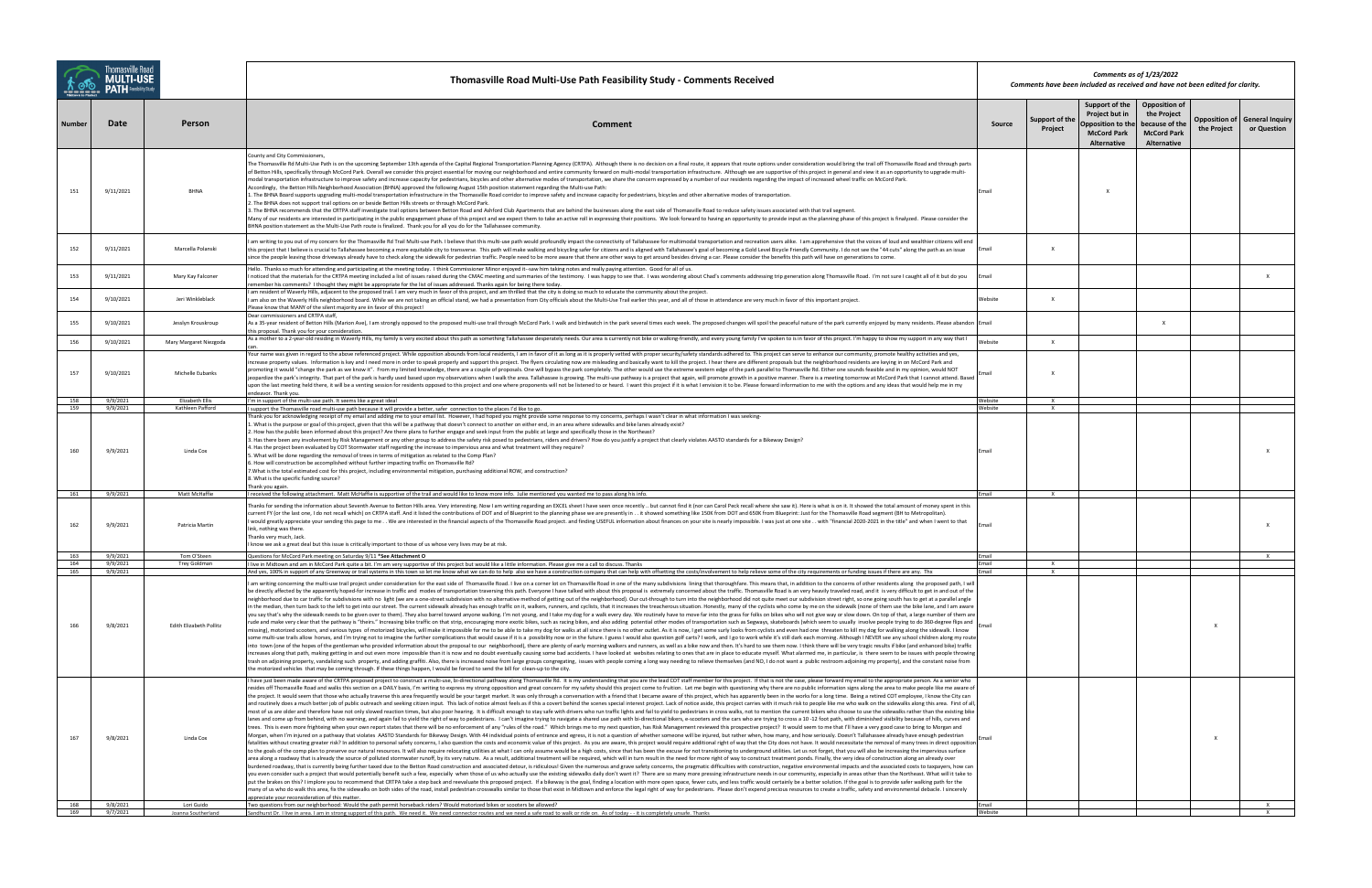|               |                      |                                    | Thomasville Road Multi-Use Path Feasibility Study - Comments Received                                                                                                                                                                                                                                                                                                                                                                                                                                                                                                                                                                                                                                                                                                                                                                                                                                                                                                                                                                                                                                                                                                                                                                                                                                                                                                                                                                                                                                                                                                                                                                                                                                                                                                                                                                                                                                                                                                                                                                                                                                                                                                                                                                                                                                                                                                                                                                                                                                                                                                                                                                                                                                                                                                                                                                                                                                                                                                                                                                                                                                                                                                                                                                                                                                                                                                                                                                                                                                                                                                                                                                                                                                   |                | Comments as of 1/23/2022<br>Comments have been included as received and have not been edited for clarity.               |                                                                                            |             |                                                       |  |  |
|---------------|----------------------|------------------------------------|---------------------------------------------------------------------------------------------------------------------------------------------------------------------------------------------------------------------------------------------------------------------------------------------------------------------------------------------------------------------------------------------------------------------------------------------------------------------------------------------------------------------------------------------------------------------------------------------------------------------------------------------------------------------------------------------------------------------------------------------------------------------------------------------------------------------------------------------------------------------------------------------------------------------------------------------------------------------------------------------------------------------------------------------------------------------------------------------------------------------------------------------------------------------------------------------------------------------------------------------------------------------------------------------------------------------------------------------------------------------------------------------------------------------------------------------------------------------------------------------------------------------------------------------------------------------------------------------------------------------------------------------------------------------------------------------------------------------------------------------------------------------------------------------------------------------------------------------------------------------------------------------------------------------------------------------------------------------------------------------------------------------------------------------------------------------------------------------------------------------------------------------------------------------------------------------------------------------------------------------------------------------------------------------------------------------------------------------------------------------------------------------------------------------------------------------------------------------------------------------------------------------------------------------------------------------------------------------------------------------------------------------------------------------------------------------------------------------------------------------------------------------------------------------------------------------------------------------------------------------------------------------------------------------------------------------------------------------------------------------------------------------------------------------------------------------------------------------------------------------------------------------------------------------------------------------------------------------------------------------------------------------------------------------------------------------------------------------------------------------------------------------------------------------------------------------------------------------------------------------------------------------------------------------------------------------------------------------------------------------------------------------------------------------------------------------------------|----------------|-------------------------------------------------------------------------------------------------------------------------|--------------------------------------------------------------------------------------------|-------------|-------------------------------------------------------|--|--|
| <b>Number</b> | Date                 | Person                             | Comment                                                                                                                                                                                                                                                                                                                                                                                                                                                                                                                                                                                                                                                                                                                                                                                                                                                                                                                                                                                                                                                                                                                                                                                                                                                                                                                                                                                                                                                                                                                                                                                                                                                                                                                                                                                                                                                                                                                                                                                                                                                                                                                                                                                                                                                                                                                                                                                                                                                                                                                                                                                                                                                                                                                                                                                                                                                                                                                                                                                                                                                                                                                                                                                                                                                                                                                                                                                                                                                                                                                                                                                                                                                                                                 | Source         | Support of the<br>Project but in<br>Support of the<br>Opposition to the<br>Project<br><b>McCord Park</b><br>Alternative | <b>Opposition of</b><br>the Project<br>because of the<br><b>McCord Park</b><br>Alternative | the Project | <b>Opposition of   General Inquiry</b><br>or Question |  |  |
| 151           | 9/11/2021            | <b>BHNA</b>                        | County and City Commissioners,<br>The Thomasville Rd Multi-Use Path is on the upcoming September 13th agenda of the Capital Regional Transportation Planning Agency (CRTPA). Although there is no decision on a final route, it appears that route options under<br>of Betton Hills, specifically through McCord Park. Overall we consider this project essential for moving our neighborhood and entire community forward on multi-modal transportation infrastructure. Although we are supportiv<br>modal transportation infrastructure to improve safety and increase capacity for pedestrians, bicycles and other alternative modes of transportation, we share the concern expressed by a number of our residents regarding the<br>Accordingly, the Betton Hills Neighborhood Association (BHNA) approved the following August 15th position statement regarding the Multi-use Path:<br>. The BHNA Board supports upgrading multi-modal transportation infrastructure in the Thomasville Road corridor to improve safety and increase capacity for pedestrians, bicycles and other alternative modes of transportation<br>. The BHNA does not support trail options on or beside Betton Hills streets or through McCord Park.<br>3. The BHNA recommends that the CRTPA staff investigate trail options between Betton Road and Ashford Club Apartments that are behind the businesses along the east side of Thomasville Road to reduce safety issues associate<br>Many of our residents are interested in participating in the public engagement phase of this project and we expect them to take an active roll in expressing their positions. We look forward to having an opportunity to prov<br>BHNA position statement as the Multi-Use Path route is finalized. Thank you for all you do for the Tallahassee community.                                                                                                                                                                                                                                                                                                                                                                                                                                                                                                                                                                                                                                                                                                                                                                                                                                                                                                                                                                                                                                                                                                                                                                                                                                                                                                                                                                                                                                                                                                                                                                                                                                                                                                                                                                                                                                                                     | Fmail          | $\mathsf{x}$                                                                                                            |                                                                                            |             |                                                       |  |  |
| 152           | 9/11/2021            | Marcella Polanski                  | am writing to you out of my concern for the Thomasville Rd Trail Multi-use Path. I believe that this multi-use path would profoundly impact the connectivity of Tallahassee for multimodal transportation and recreation users<br>this project that I believe is crucial to Tallahassee becoming a more equitable city to transverse. This path will make walking and bicycling safer for citizens and is aligned with Tallahassee's goal of becoming a Gold Lev<br>since the people leaving those driveways already have to check along the sidewalk for pedestrian traffic. People need to be more aware that there are other ways to get around besides driving a car. Please consider the bene                                                                                                                                                                                                                                                                                                                                                                                                                                                                                                                                                                                                                                                                                                                                                                                                                                                                                                                                                                                                                                                                                                                                                                                                                                                                                                                                                                                                                                                                                                                                                                                                                                                                                                                                                                                                                                                                                                                                                                                                                                                                                                                                                                                                                                                                                                                                                                                                                                                                                                                                                                                                                                                                                                                                                                                                                                                                                                                                                                                                      | Email          | $\mathsf{x}$                                                                                                            |                                                                                            |             |                                                       |  |  |
| 153           | 9/11/2021            | Mary Kay Falconer                  | Hello. Thanks so much for attending and participating at the meeting today. I think Commissioner Minor enjoyed it--saw him taking notes and really paying attention. Good for all of us.<br>I noticed that the materials for the CRTPA meeting included a list of issues raised during the CMAC meeting and summaries of the testimony. I was happy to see that. I was wondering about Chad's comments addressing trip gen<br>emember his comments? I thought they might be appropriate for the list of issues addressed. Thanks again for being there today.                                                                                                                                                                                                                                                                                                                                                                                                                                                                                                                                                                                                                                                                                                                                                                                                                                                                                                                                                                                                                                                                                                                                                                                                                                                                                                                                                                                                                                                                                                                                                                                                                                                                                                                                                                                                                                                                                                                                                                                                                                                                                                                                                                                                                                                                                                                                                                                                                                                                                                                                                                                                                                                                                                                                                                                                                                                                                                                                                                                                                                                                                                                                           | Email          |                                                                                                                         |                                                                                            |             | $\mathsf{X}$                                          |  |  |
| 154           | 9/10/2021            | Jeri Winkleblack                   | I am resident of Waverly Hills, adjacent to the proposed trail. I am very much in favor of this project, and am thrilled that the city is doing so much to educate the community about the project.<br>I am also on the Waverly Hills neighborhood board. While we are not taking an official stand, we had a presentation from City officials about the Multi-Use Trail earlier this year, and all of those in attendance are very m<br>Please know that MANY of the silent majority are iin favor of this project!<br>Dear commissioners and CRTPA staff,                                                                                                                                                                                                                                                                                                                                                                                                                                                                                                                                                                                                                                                                                                                                                                                                                                                                                                                                                                                                                                                                                                                                                                                                                                                                                                                                                                                                                                                                                                                                                                                                                                                                                                                                                                                                                                                                                                                                                                                                                                                                                                                                                                                                                                                                                                                                                                                                                                                                                                                                                                                                                                                                                                                                                                                                                                                                                                                                                                                                                                                                                                                                             | Website        | $\mathsf{x}$                                                                                                            |                                                                                            |             |                                                       |  |  |
| 155           | 9/10/2021            | Jesslyn Krouskroup                 | As a 35-year resident of Betton Hills (Marion Ave), I am strongly opposed to the proposed multi-use trail through McCord Park. I walk and birdwatch in the park several times each week. The proposed changes will spoil the p<br>this proposal. Thank you for your consideration.                                                                                                                                                                                                                                                                                                                                                                                                                                                                                                                                                                                                                                                                                                                                                                                                                                                                                                                                                                                                                                                                                                                                                                                                                                                                                                                                                                                                                                                                                                                                                                                                                                                                                                                                                                                                                                                                                                                                                                                                                                                                                                                                                                                                                                                                                                                                                                                                                                                                                                                                                                                                                                                                                                                                                                                                                                                                                                                                                                                                                                                                                                                                                                                                                                                                                                                                                                                                                      |                |                                                                                                                         | $\mathsf{X}$                                                                               |             |                                                       |  |  |
| 156           | 9/10/2021            | Mary Margaret Niezgoda             | As a mother to a 2-year-old residing in Waverly Hills, my family is very excited about this path as something Tallahassee desperately needs. Our area is currently not bike or walking-friendly, and every young family I've s                                                                                                                                                                                                                                                                                                                                                                                                                                                                                                                                                                                                                                                                                                                                                                                                                                                                                                                                                                                                                                                                                                                                                                                                                                                                                                                                                                                                                                                                                                                                                                                                                                                                                                                                                                                                                                                                                                                                                                                                                                                                                                                                                                                                                                                                                                                                                                                                                                                                                                                                                                                                                                                                                                                                                                                                                                                                                                                                                                                                                                                                                                                                                                                                                                                                                                                                                                                                                                                                          | Website        | $\mathsf{x}$                                                                                                            |                                                                                            |             |                                                       |  |  |
| 157           | 9/10/2021            | Michelle Eubanks                   | Your name was given in regard to the above referenced project. While opposition abounds from local residents, I am in favor of it as long as it is properly vetted with proper security/safety standards adhered to. This proj<br>increase property values. Information is key and I need more in order to speak properly and support this project. The flyers circulating now are misleading and basically want to kill the project. I hear there are different<br>promoting it would "change the park as we know it". From my limited knowledge, there are a couple of proposals. One will bypass the park completely. The other would use the extreme western edge of the park parallel to Thom<br>ieopardize the park's integrity. That part of the park is hardly used based upon my observations when I walk the area. Tallahassee is growing. The multi-use pathway is a project that again, will promote growth in a positiv<br>upon the last meeting held there, it will be a venting session for residents opposed to this project and one where proponents will not be listened to or heard. I want this project if it is what I envision it to be. Please<br>endeavor. Thank you                                                                                                                                                                                                                                                                                                                                                                                                                                                                                                                                                                                                                                                                                                                                                                                                                                                                                                                                                                                                                                                                                                                                                                                                                                                                                                                                                                                                                                                                                                                                                                                                                                                                                                                                                                                                                                                                                                                                                                                                                                                                                                                                                                                                                                                                                                                                                                                                                                                                                                            |                |                                                                                                                         |                                                                                            |             |                                                       |  |  |
| 158           | 9/9/2021             | Elizabeth Ellis                    | I'm in support of the multi-use path. It seems like a great idea!                                                                                                                                                                                                                                                                                                                                                                                                                                                                                                                                                                                                                                                                                                                                                                                                                                                                                                                                                                                                                                                                                                                                                                                                                                                                                                                                                                                                                                                                                                                                                                                                                                                                                                                                                                                                                                                                                                                                                                                                                                                                                                                                                                                                                                                                                                                                                                                                                                                                                                                                                                                                                                                                                                                                                                                                                                                                                                                                                                                                                                                                                                                                                                                                                                                                                                                                                                                                                                                                                                                                                                                                                                       | Website        | $\mathsf{X}$                                                                                                            |                                                                                            |             |                                                       |  |  |
| 159           | 9/9/2021             | Kathleen Pafford                   | I support the Thomasville road multi-use path because it will provide a better, safer connection to the places I'd like to go.<br>hank you for acknowledging receipt of my email and adding me to your email list. However, I had hoped you might provide some response to my concerns, perhaps I wasn't clear in what information I was seeking-                                                                                                                                                                                                                                                                                                                                                                                                                                                                                                                                                                                                                                                                                                                                                                                                                                                                                                                                                                                                                                                                                                                                                                                                                                                                                                                                                                                                                                                                                                                                                                                                                                                                                                                                                                                                                                                                                                                                                                                                                                                                                                                                                                                                                                                                                                                                                                                                                                                                                                                                                                                                                                                                                                                                                                                                                                                                                                                                                                                                                                                                                                                                                                                                                                                                                                                                                       | Website        | $\mathsf{X}$                                                                                                            |                                                                                            |             |                                                       |  |  |
| 160           | 9/9/2021             | Linda Cox                          | What is the purpose or goal of this project, given that this will be a pathway that doesn't connect to another on either end, in an area where sidewalks and bike lanes already exist?<br>2. How has the public been informed about this project? Are there plans to further engage and seek input from the public at large and specifically those in the Northeast?<br>3. Has there been any involvement by Risk Management or any other group to address the safety risk posed to pedestrians, riders and drivers? How do you justify a project that clearly violates AASTO standards for a Bikeway<br>I. Has the project been evaluated by COT Stormwater staff regarding the increase to impervious area and what treatment will they require?<br>5. What will be done regarding the removal of trees in terms of mitigation as related to the Comp Plan?<br>5. How will construction be accomplished without further impacting traffic on Thomasville Rd?<br>". What is the total estimated cost for this project, including environmental mitigation, purchasing additional ROW, and construction?<br>8. What is the specific funding source?                                                                                                                                                                                                                                                                                                                                                                                                                                                                                                                                                                                                                                                                                                                                                                                                                                                                                                                                                                                                                                                                                                                                                                                                                                                                                                                                                                                                                                                                                                                                                                                                                                                                                                                                                                                                                                                                                                                                                                                                                                                                                                                                                                                                                                                                                                                                                                                                                                                                                                                                                     | Email          |                                                                                                                         |                                                                                            |             | $\mathsf{x}$                                          |  |  |
| 161           | 9/9/2021             | Matt McHaffie                      | hank you again.<br>received the following attachment. Matt McHaffie is supportive of the trail and would like to know more info. Julie mentioned you wanted me to pass along his info.                                                                                                                                                                                                                                                                                                                                                                                                                                                                                                                                                                                                                                                                                                                                                                                                                                                                                                                                                                                                                                                                                                                                                                                                                                                                                                                                                                                                                                                                                                                                                                                                                                                                                                                                                                                                                                                                                                                                                                                                                                                                                                                                                                                                                                                                                                                                                                                                                                                                                                                                                                                                                                                                                                                                                                                                                                                                                                                                                                                                                                                                                                                                                                                                                                                                                                                                                                                                                                                                                                                  | Email          | $\mathsf{x}$                                                                                                            |                                                                                            |             |                                                       |  |  |
| 162           | 9/9/2021             | Patricia Martin                    | Thanks for sending the information about Seventh Avenue to Betton Hills area. Very interesting. Now I am writing regarding an EXCEL sheet I have seen once recently  but cannot find it (nor can Carol Peck recall where she<br>current FY (or the last one, I do not recall which) on CRTPA staff. And it listed the contributions of DOT and of Blueprint to the planning phase we are presently in it showed something like 150K from DOT and 650K from<br>would greatly appreciate your sending this page to me We are interested in the financial aspects of the Thomasville Road project. and finding USEFUL information about finances on your site is nearly impossible. I was jus<br>link, nothing was there.<br>Thanks very much, Jack<br>know we ask a great deal but this issue is critically important to those of us whose very lives may be at risk.                                                                                                                                                                                                                                                                                                                                                                                                                                                                                                                                                                                                                                                                                                                                                                                                                                                                                                                                                                                                                                                                                                                                                                                                                                                                                                                                                                                                                                                                                                                                                                                                                                                                                                                                                                                                                                                                                                                                                                                                                                                                                                                                                                                                                                                                                                                                                                                                                                                                                                                                                                                                                                                                                                                                                                                                                                     | Fmail          |                                                                                                                         |                                                                                            |             |                                                       |  |  |
| 163<br>164    | 9/9/2021<br>9/9/2021 | Tom O'Steen<br><b>Trey Goldman</b> | Questions for McCord Park meeting on Saturday 9/11 *See Attachment O<br>Uive in Midtown and am in McCord Park quite a bit I'm am very sunnortive of this project but would like a little information. Please give me a call to discuss. Thanks                                                                                                                                                                                                                                                                                                                                                                                                                                                                                                                                                                                                                                                                                                                                                                                                                                                                                                                                                                                                                                                                                                                                                                                                                                                                                                                                                                                                                                                                                                                                                                                                                                                                                                                                                                                                                                                                                                                                                                                                                                                                                                                                                                                                                                                                                                                                                                                                                                                                                                                                                                                                                                                                                                                                                                                                                                                                                                                                                                                                                                                                                                                                                                                                                                                                                                                                                                                                                                                          | Email<br>Fmail |                                                                                                                         |                                                                                            |             | $\mathsf{x}$                                          |  |  |
| 165           | 9/9/2021             |                                    | And yes, 100% in support of any Greenway or trail systems in this town so let me know what we can do to help also we have a construction company that can help with offsetting the costs/involvement to help relieve some of t                                                                                                                                                                                                                                                                                                                                                                                                                                                                                                                                                                                                                                                                                                                                                                                                                                                                                                                                                                                                                                                                                                                                                                                                                                                                                                                                                                                                                                                                                                                                                                                                                                                                                                                                                                                                                                                                                                                                                                                                                                                                                                                                                                                                                                                                                                                                                                                                                                                                                                                                                                                                                                                                                                                                                                                                                                                                                                                                                                                                                                                                                                                                                                                                                                                                                                                                                                                                                                                                          | Email          |                                                                                                                         |                                                                                            |             |                                                       |  |  |
| 166           | 9/8/2021             | Edith Elizabeth Pollitz            | am writing concerning the multi-use trail project under consideration for the east side of Thomasville Road. I live on a corner lot on Thomasville Road in one of the many subdivisions lining that thoroughfare. This means t<br>be directly affected by the apparently hoped-for increase in traffic and modes of transportation traversing this path. Everyone I have talked with about this proposal is extremely concerned about the traffic. Thomasville R<br>neighborhood due to car traffic for subdivisions with no light (we are a one-street subdivision with no alternative method of getting out of the neighborhood). Our cut-through to turn into the neighborhood did not quite me<br>in the median, then turn back to the left to get into our street. The current sidewalk already has enough traffic on it, walkers, runners, and cyclists, that it increases the treacherous situation. Honestly, many of the cy<br>you say that's why the sidewalk needs to be given over to them). They also barrel toward anyone walking. I'm not young, and I take my dog for a walk every day. We routinely have to move far into the grass for folks on bike<br>rude and make very clear that the pathway is "theirs." Increasing bike traffic on that strip, encouraging more exotic bikes, such as racing bikes, and also adding potential other modes of transportation such as Segways, sk<br>missing), motorized scooters, and various types of motorized bicycles, will make it impossible for me to be able to take my dog for walks at all since there is no other outlet. As it is now, I get some surly looks from cyc<br>some multi-use trails allow horses, and I'm trying not to imagine the further complications that would cause if it is a possibility now or in the future. I guess I would also question golf carts? I work, and I go to work w<br>into town (one of the hopes of the gentleman who provided information about the proposal to our neighborhood), there are plenty of early morning walkers and runners, as well as a bike now and then. It's hard to see them no<br>increases along that path, making getting in and out even more impossible than it is now and no doubt eventually causing some bad accidents. I have looked at websites relating to ones that are in place to educate myself. W<br>trash on adjoining property, vandalizing such property, and adding graffiti. Also, there is increased noise from large groups congregating, issues with people coming a long way needing to relieve themselves (and NO, I do n<br>the motorized vehicles that may be coming through. If these things happen, I would be forced to send the bill for clean-up to the city.                                                                                                                                                                                                                                                                                                                                                                                                                                                                                                                                                                                                                                                                                                                                                                                                                                                                                                                                                                           |                |                                                                                                                         |                                                                                            |             |                                                       |  |  |
| 167<br>168    | 9/8/2021<br>9/8/2021 | Linda Cox<br>Lori Guido            | I have just been made aware of the CRTPA proposed project to construct a multi-use, bi-directional pathway along Thomasville Rd. It is my understanding that you are the lead COT staff member for this project. If that is no<br>resides off Thomasville Road and walks this section on a DAILY basis, I'm writing to express my strong opposition and great concern for my safety should this project come to fruition. Let me begin with questioning why ther<br>the project. It would seem that those who actually traverse this area frequently would be your target market. It was only through a conversation with a friend that I became aware of this project, which has apparently been<br>and routinely does a much better job of public outreach and seeking citizen input. This lack of notice almost feels as if this a covert behind the scenes special interest project. Lack of notice aside, this project carries<br>most of us are older and therefore have not only slowed reaction times, but also poor hearing. It is difficult enough to stay safe with drivers who run traffic lights and fail to yield to pedestrians in cross walks, not to<br>lanes and come up from behind, with no warning, and again fail to yield the right of way to pedestrians. I can't imagine trying to navigate a shared use path with bi-directional bikers, e-scooters and the cars who are tryi<br>trees. This is even more frighteing when your own report states that there will be no enforcement of any "rules of the road." Which brings me to my next question, has Risk Management reviewed this prospective project? It w<br>Morgan, when I'm injured on a pathway that violates AASTO Standards for Bikeway Design. With 44 individual points of entrance and egress, it is not a question of whether someone will be injured, but rather when, how many,<br>fatalities without creating greater risk? In addition to personal safety concerns, I also question the costs and economic value of this project. As you are aware, this project would require additional right of way that the<br>to the goals of the comp plan to preserve our natural resources. It will also require relocating utilities at what I can only assume would be a high costs, since that has been the excuse for not transitioning to undergroun<br>area along a roadway that is already the source of polluted stormwater runoff, by its very nature. As a result, additional treatment will be required, which will in turn result in the need for more right of way to construc<br>burdened roadway, that is currently being further taxed due to the Betton Road construction and associated detour, is ridiculous! Given the numerous and grave safety concerns, the pragmatic difficulties with construction,<br>you even consider such a project that would potentially benefit such a few, especially when those of us who actually use the existing sidewalks daily don't want it? There are so many more pressing infrastructure needs in o<br>put the brakes on this? I implore you to recommend that CRTPA take a step back and reevaluate this proposed project. If a bikeway is the goal, finding a location with more open space, fewer cuts, and less traffic would cer<br>many of us who do walk this area, fix the sidewalks on both sides of the road, install pedestrian crosswalks similar to those that exist in Midtown and enforce the legal right of way for pedestrians. Please don't expend pr<br>ppreciate your reconsideration of this matter.<br>Two questions from our neighborhood: Would the path permit horseback riders? Would motorized bikes or scooters be allowed? | Email          |                                                                                                                         |                                                                                            |             | $\mathsf{X}$                                          |  |  |
| 169           | 9/7/2021             | Joanna Southerland                 | Sandhurst Dr. I live in area. I am in strong support of this path. We need it. We need connector routes and we need a safe road to walk or ride on. As of today -- it is completely unsafe. Thanks                                                                                                                                                                                                                                                                                                                                                                                                                                                                                                                                                                                                                                                                                                                                                                                                                                                                                                                                                                                                                                                                                                                                                                                                                                                                                                                                                                                                                                                                                                                                                                                                                                                                                                                                                                                                                                                                                                                                                                                                                                                                                                                                                                                                                                                                                                                                                                                                                                                                                                                                                                                                                                                                                                                                                                                                                                                                                                                                                                                                                                                                                                                                                                                                                                                                                                                                                                                                                                                                                                      | Website        |                                                                                                                         |                                                                                            |             | $\mathsf{X}$                                          |  |  |
|               |                      |                                    |                                                                                                                                                                                                                                                                                                                                                                                                                                                                                                                                                                                                                                                                                                                                                                                                                                                                                                                                                                                                                                                                                                                                                                                                                                                                                                                                                                                                                                                                                                                                                                                                                                                                                                                                                                                                                                                                                                                                                                                                                                                                                                                                                                                                                                                                                                                                                                                                                                                                                                                                                                                                                                                                                                                                                                                                                                                                                                                                                                                                                                                                                                                                                                                                                                                                                                                                                                                                                                                                                                                                                                                                                                                                                                         |                |                                                                                                                         |                                                                                            |             |                                                       |  |  |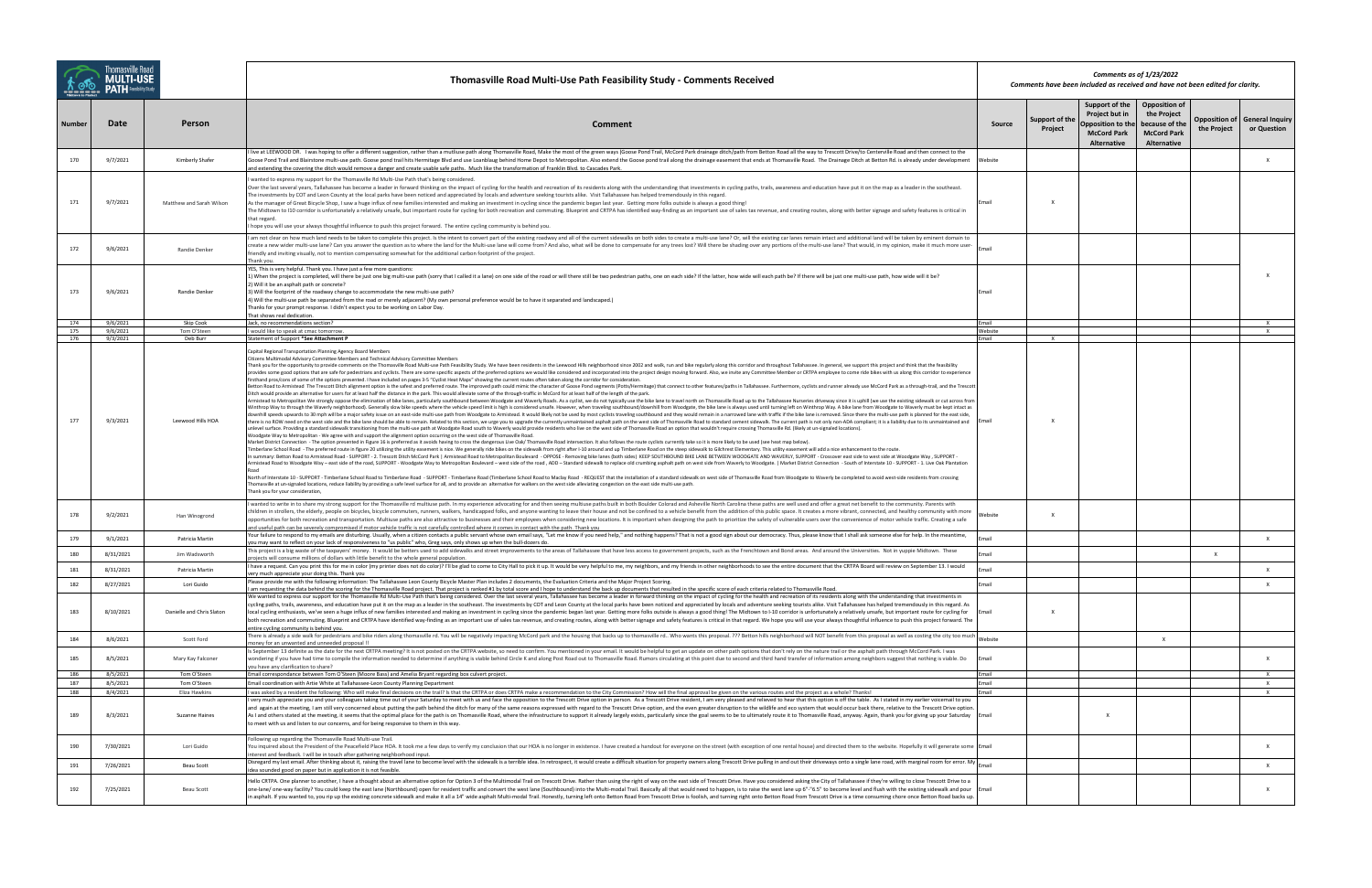| Thomasville Road |
|------------------|
| <b>MULTI-USE</b> |

|               |                      |                              | Thomasville Road Multi-Use Path Feasibility Study - Comments Received                                                                                                                                                                                                                                                                                                                                                                                                                                                                                                                                                                                                                                                                                                                                                                                                                                                                                                                                                                                                                                                                                                                                                                                                                                                                                                                                                                                                                                                                                                                                                                                                                                                                                                                                                                                                                                                                                                                                                                                                                                                                                                                                                                                                                                                                                                                                                                                                                                                                                                                                                                                                                                                                                                                                                                                                                                                                                                                                                                                                                                                                                                                                                                                                                                                                                                                                                                                                                                                                                                                                                                                                                                                                                                                                                                                                                                                                                                                                     | Comments as of 1/23/2022<br>Comments have been included as received and have not been edited for clarity. |                           |                                                                                                   |                                                                                            |              |                                                       |
|---------------|----------------------|------------------------------|-----------------------------------------------------------------------------------------------------------------------------------------------------------------------------------------------------------------------------------------------------------------------------------------------------------------------------------------------------------------------------------------------------------------------------------------------------------------------------------------------------------------------------------------------------------------------------------------------------------------------------------------------------------------------------------------------------------------------------------------------------------------------------------------------------------------------------------------------------------------------------------------------------------------------------------------------------------------------------------------------------------------------------------------------------------------------------------------------------------------------------------------------------------------------------------------------------------------------------------------------------------------------------------------------------------------------------------------------------------------------------------------------------------------------------------------------------------------------------------------------------------------------------------------------------------------------------------------------------------------------------------------------------------------------------------------------------------------------------------------------------------------------------------------------------------------------------------------------------------------------------------------------------------------------------------------------------------------------------------------------------------------------------------------------------------------------------------------------------------------------------------------------------------------------------------------------------------------------------------------------------------------------------------------------------------------------------------------------------------------------------------------------------------------------------------------------------------------------------------------------------------------------------------------------------------------------------------------------------------------------------------------------------------------------------------------------------------------------------------------------------------------------------------------------------------------------------------------------------------------------------------------------------------------------------------------------------------------------------------------------------------------------------------------------------------------------------------------------------------------------------------------------------------------------------------------------------------------------------------------------------------------------------------------------------------------------------------------------------------------------------------------------------------------------------------------------------------------------------------------------------------------------------------------------------------------------------------------------------------------------------------------------------------------------------------------------------------------------------------------------------------------------------------------------------------------------------------------------------------------------------------------------------------------------------------------------------------------------------------------------------------|-----------------------------------------------------------------------------------------------------------|---------------------------|---------------------------------------------------------------------------------------------------|--------------------------------------------------------------------------------------------|--------------|-------------------------------------------------------|
| <b>Number</b> | Date                 | Person                       | Comment                                                                                                                                                                                                                                                                                                                                                                                                                                                                                                                                                                                                                                                                                                                                                                                                                                                                                                                                                                                                                                                                                                                                                                                                                                                                                                                                                                                                                                                                                                                                                                                                                                                                                                                                                                                                                                                                                                                                                                                                                                                                                                                                                                                                                                                                                                                                                                                                                                                                                                                                                                                                                                                                                                                                                                                                                                                                                                                                                                                                                                                                                                                                                                                                                                                                                                                                                                                                                                                                                                                                                                                                                                                                                                                                                                                                                                                                                                                                                                                                   | Source                                                                                                    | Support of the<br>Project | Support of the<br>Project but in<br><b>Opposition to the</b><br><b>McCord Park</b><br>Alternative | <b>Opposition of</b><br>the Project<br>because of the<br><b>McCord Park</b><br>Alternative | the Project  | <b>Opposition of   General Inquiry</b><br>or Question |
| 170           | 9/7/2021             | Kimberly Shafer              | live at LEEWOOD DR. I was hoping to offer a different suggestion, rather than a mutliuse path along Thomasville Road, Make the most of the green ways (Goose Pond Trail, McCord Park drainage ditch/path from Betton Road all<br>Goose Pond Trail and Blairstone multi-use path. Goose pond trail hits Hermitage Blvd and use Loanblaug behind Home Depot to Metropolitan. Also extend the Goose pond trail along the drainage easement that ends at Thomasvill<br>nd extending the covering the ditch would remove a danger and create usable safe paths. Much like the transformation of Franklin Blvd. to Cascades Park.                                                                                                                                                                                                                                                                                                                                                                                                                                                                                                                                                                                                                                                                                                                                                                                                                                                                                                                                                                                                                                                                                                                                                                                                                                                                                                                                                                                                                                                                                                                                                                                                                                                                                                                                                                                                                                                                                                                                                                                                                                                                                                                                                                                                                                                                                                                                                                                                                                                                                                                                                                                                                                                                                                                                                                                                                                                                                                                                                                                                                                                                                                                                                                                                                                                                                                                                                                               | Website                                                                                                   |                           |                                                                                                   |                                                                                            |              | $\mathsf{X}$                                          |
| 171           | 9/7/2021             | Matthew and Sarah Wilson     | wanted to express my support for the Thomasville Rd Multi-Use Path that's being considered.<br>Over the last several years, Tallahassee has become a leader in forward thinking on the impact of cycling for the health and recreation of its residents along with the understanding that investments in cycling paths, trail<br>The investments by COT and Leon County at the local parks have been noticed and appreciated by locals and adventure seeking tourists alike. Visit Tallahassee has helped tremendously in this regard.<br>As the manager of Great Bicycle Shop, I saw a huge influx of new families interested and making an investment in cycling since the pandemic began last year. Getting more folks outside is always a good thing!<br>The Midtown to 110 corridor is unfortunately a relatively unsafe, but important route for cycling for both recreation and commuting. Blueprint and CRTPA has identified way-finding as an important use of sales tax revenue,<br>that regard.<br>hope you will use your always thoughtful influence to push this project forward. The entire cycling community is behind you.                                                                                                                                                                                                                                                                                                                                                                                                                                                                                                                                                                                                                                                                                                                                                                                                                                                                                                                                                                                                                                                                                                                                                                                                                                                                                                                                                                                                                                                                                                                                                                                                                                                                                                                                                                                                                                                                                                                                                                                                                                                                                                                                                                                                                                                                                                                                                                                                                                                                                                                                                                                                                                                                                                                                                                                                                                                                | Email                                                                                                     | x                         |                                                                                                   |                                                                                            |              |                                                       |
| 172           | 9/6/2021             | Randie Denker                | am not clear on how much land needs to be taken to complete this project. Is the intent to convert part of the existing roadway and all of the current sidewalks on both sides to create a multi-use lane? Or, will the existi<br>reate a new wider multi-use lane? Can you answer the question as to where the land for the Multi-use lane will come from? And also, what will be done to compensate for any trees lost? Will there be shading over any portion<br>friendly and inviting visually, not to mention compensating somewhat for the additional carbon footprint of the project.<br>hank vou                                                                                                                                                                                                                                                                                                                                                                                                                                                                                                                                                                                                                                                                                                                                                                                                                                                                                                                                                                                                                                                                                                                                                                                                                                                                                                                                                                                                                                                                                                                                                                                                                                                                                                                                                                                                                                                                                                                                                                                                                                                                                                                                                                                                                                                                                                                                                                                                                                                                                                                                                                                                                                                                                                                                                                                                                                                                                                                                                                                                                                                                                                                                                                                                                                                                                                                                                                                                  |                                                                                                           |                           |                                                                                                   |                                                                                            |              |                                                       |
| 173           | 9/6/2021             | Randie Denker                | YES, This is very helpful. Thank you. I have just a few more questions:<br>1) When the project is completed, will there be just one big multi-use path (sorry that I called it a lane) on one side of the road or will there still be two pedestrian paths, one on each side? If the latter, how wide wil<br>2) Will it be an asphalt path or concrete?<br>3) Will the footprint of the roadway change to accommodate the new multi-use path?<br>4) Will the multi-use path be separated from the road or merely adjacent? (My own personal preference would be to have it separated and landscaped.)<br>Thanks for your prompt response. I didn't expect you to be working on Labor Day.<br>That shows real dedication.                                                                                                                                                                                                                                                                                                                                                                                                                                                                                                                                                                                                                                                                                                                                                                                                                                                                                                                                                                                                                                                                                                                                                                                                                                                                                                                                                                                                                                                                                                                                                                                                                                                                                                                                                                                                                                                                                                                                                                                                                                                                                                                                                                                                                                                                                                                                                                                                                                                                                                                                                                                                                                                                                                                                                                                                                                                                                                                                                                                                                                                                                                                                                                                                                                                                                  | Email                                                                                                     |                           |                                                                                                   |                                                                                            |              |                                                       |
| 174<br>175    | 9/6/2021<br>9/6/2021 | Skip Cook<br>Tom O'Steen     | Jack, no recommendations section?<br>would like to speak at cmac tomorrow                                                                                                                                                                                                                                                                                                                                                                                                                                                                                                                                                                                                                                                                                                                                                                                                                                                                                                                                                                                                                                                                                                                                                                                                                                                                                                                                                                                                                                                                                                                                                                                                                                                                                                                                                                                                                                                                                                                                                                                                                                                                                                                                                                                                                                                                                                                                                                                                                                                                                                                                                                                                                                                                                                                                                                                                                                                                                                                                                                                                                                                                                                                                                                                                                                                                                                                                                                                                                                                                                                                                                                                                                                                                                                                                                                                                                                                                                                                                 | Fmail<br>Website                                                                                          |                           |                                                                                                   |                                                                                            |              | $\mathsf{X}$<br>$\times$                              |
| 176           | 9/3/2021             | Deb Burr                     | Statement of Support *See Attachment P                                                                                                                                                                                                                                                                                                                                                                                                                                                                                                                                                                                                                                                                                                                                                                                                                                                                                                                                                                                                                                                                                                                                                                                                                                                                                                                                                                                                                                                                                                                                                                                                                                                                                                                                                                                                                                                                                                                                                                                                                                                                                                                                                                                                                                                                                                                                                                                                                                                                                                                                                                                                                                                                                                                                                                                                                                                                                                                                                                                                                                                                                                                                                                                                                                                                                                                                                                                                                                                                                                                                                                                                                                                                                                                                                                                                                                                                                                                                                                    | Email                                                                                                     | $\mathsf{x}$              |                                                                                                   |                                                                                            |              |                                                       |
| 177           | 9/3/2021             | Leewood Hills HOA            | Capital Regional Transportation Planning Agency Board Members<br>Citizens Multimodal Advisory Committee Members and Technical Advisory Committee Members<br>Thank you for the opportunity to provide comments on the Thomasville Road Multi-use Path Feasibility Study. We have been residents in the Leewood Hills neighborhood since 2002 and walk, run and bike regularly along this co<br>provides some good options that are safe for pedestrians and cyclists. There are some specific aspects of the preferred options we would like considered and incorporated into the project design moving forward. Also, we inv<br>firsthand pros/cons of some of the options presented. I have included on pages 3-5 "Cyclist Heat Maps" showing the current routes often taken along the corridor for consideration.<br>Betton Road to Armistead The Trescott Ditch alignment option is the safest and preferred route. The improved path could mimic the character of Goose Pond segments (Potts/Hermitage) that connect to other features/paths in T<br>Ditch would provide an alternative for users for at least half the distance in the park. This would alleviate some of the through-traffic in McCord for at least half of the length of the park.<br>Armistead to Metropolitan We strongly oppose the elimination of bike lanes, particularly southbound between Woodgate and Waverly Roads. As a cyclist, we do not typically use the bike lane to travel north on Thomasville Roa<br>Winthrop Way to through the Waverly neighborhood). Generally slow bike speeds where the vehicle speed limit is high is considered unsafe. However, when traveling southbound/downhill from Woodgate, the bike lane is always u<br>downhill speeds upwards to 30 mph will be a major safety issue on an east-side multi-use path from Woodgate to Armistead. It would likely not be used by most cyclists traveling southbound and they would remain in a narrowe<br>there is no ROW need on the west side and the bike lane should be able to remain. Related to this section, we urge you to upgrade the currently unmaintained asphalt path on the west side of Thomasville Road to standard cem<br>unlevel surface. Providing a standard sidewalk transitioning from the multi-use path at Woodgate Road south to Waverly would provide residents who live on the west side of Thomasville Road an option that wouldn't require c<br>Woodgate Way to Metropolitan - We agree with and support the alignment option occurring on the west side of Thomasville Road.<br>Market District Connection - The option presented in Figure 16 is preferred as it avoids having to cross the dangerous Live Oak/ Thomasville Road intersection. It also follows the route cyclists currently take so it is mor<br>Timberlane School Road - The preferred route in figure 20 utilizing the utility easement is nice. We generally ride bikes on the sidewalk from right after I-10 around and up Timberlane Road on the steep sidewalk to Gilchre<br>n summary: Betton Road to Armistead Road - SUPPORT - 2. Trescott Ditch McCord Park   Armistead Road to Metropolitan Boulevard - OPPOSE - Removing bike lanes (both sides) KEEP SOUTHBOUND BIKE LANE BETWEEN WOODGATE AND WAVER<br>Irmistead Road to Woodgate Way – east side of the road, SUPPORT - Woodgate Way to Metropolitan Boulevard – west side of the road, ADD – Standard sidewalk to replace old crumbing asphalt path on west side from Waverly to Wo<br>North of Interstate 10 - SUPPORT - Timberlane School Road to Timberlane Road - SUPPORT - Timberlane Road - SUPPORT - Timberlane Road (Timberlane Road (Timberlane Road (Timberlane Road (Timberlane Road (Timberlane School Ro<br>homasville at un-signaled locations, reduce liability by providing a safe level surface for all, and to provide an alternative for walkers on the west side alleviating congestion on the east side multi-use path.<br>hank you for your consideration, |                                                                                                           |                           |                                                                                                   |                                                                                            |              |                                                       |
| 178           | 9/2/2021             | Han Winogrond                | wanted to write in to share my strong support for the Thomasville rd multiuse path. In my experience advocating for and then seeing multiuse paths built in both Boulder Colorad and Asheville North Carolina these paths are<br>children in strollers, the elderly, people on bicycles, bicycle commuters, runners, walkers, handicapped folks, and anyone wanting to leave their house and not be confined to a vehicle benefit from the addition of this pub<br>opportunities for both recreation and transportation. Multiuse paths are also attractive to businesses and their employees when considering new locations. It is important when designing the path to prioritize the safety of<br>ind useful path can be severely compromised if motor vehicle traffic is not carefully controlled where it comes in contact with the path. Thank you                                                                                                                                                                                                                                                                                                                                                                                                                                                                                                                                                                                                                                                                                                                                                                                                                                                                                                                                                                                                                                                                                                                                                                                                                                                                                                                                                                                                                                                                                                                                                                                                                                                                                                                                                                                                                                                                                                                                                                                                                                                                                                                                                                                                                                                                                                                                                                                                                                                                                                                                                                                                                                                                                                                                                                                                                                                                                                                                                                                                                                                                                                                                                  | Vebsite                                                                                                   | $\times$                  |                                                                                                   |                                                                                            |              |                                                       |
| 179           | 9/1/2021             | Patricia Martin              | /our failure to respond to my emails are disturbing. Usually, when a citizen contacts a public servant whose own email says, "Let me know if you need help," and nothing happens? That is not a good sign about our democracy.<br>ou may want to reflect on your lack of responsiveness to "us public" who, Greg says, only shows up when the bull-dozers do.                                                                                                                                                                                                                                                                                                                                                                                                                                                                                                                                                                                                                                                                                                                                                                                                                                                                                                                                                                                                                                                                                                                                                                                                                                                                                                                                                                                                                                                                                                                                                                                                                                                                                                                                                                                                                                                                                                                                                                                                                                                                                                                                                                                                                                                                                                                                                                                                                                                                                                                                                                                                                                                                                                                                                                                                                                                                                                                                                                                                                                                                                                                                                                                                                                                                                                                                                                                                                                                                                                                                                                                                                                             | Email                                                                                                     |                           |                                                                                                   |                                                                                            |              | $\mathsf{X}$                                          |
| 180           | 8/31/2021            | Jim Wadsworth                | his project is a big waste of the taxpayers' money. It would be betters used to add sidewalks and street improvements to the areas of Tallahassee that have less access to government projects, such as the Frenchtown and Bon<br>bjects will consume millions of dollars with little benefit to the whole general population.                                                                                                                                                                                                                                                                                                                                                                                                                                                                                                                                                                                                                                                                                                                                                                                                                                                                                                                                                                                                                                                                                                                                                                                                                                                                                                                                                                                                                                                                                                                                                                                                                                                                                                                                                                                                                                                                                                                                                                                                                                                                                                                                                                                                                                                                                                                                                                                                                                                                                                                                                                                                                                                                                                                                                                                                                                                                                                                                                                                                                                                                                                                                                                                                                                                                                                                                                                                                                                                                                                                                                                                                                                                                            | Email                                                                                                     |                           |                                                                                                   |                                                                                            | $\mathsf{x}$ |                                                       |
| 181           | 8/31/2021            | Patricia Martin              | have a request. Can you print this for me in color (my printer does not do color)? I'll be glad to come to City Hall to pick it up. It would be very helpful to me, my neighbors, and my friends in other neighborhoods to see<br>very much appreciate your doing this. Thank you                                                                                                                                                                                                                                                                                                                                                                                                                                                                                                                                                                                                                                                                                                                                                                                                                                                                                                                                                                                                                                                                                                                                                                                                                                                                                                                                                                                                                                                                                                                                                                                                                                                                                                                                                                                                                                                                                                                                                                                                                                                                                                                                                                                                                                                                                                                                                                                                                                                                                                                                                                                                                                                                                                                                                                                                                                                                                                                                                                                                                                                                                                                                                                                                                                                                                                                                                                                                                                                                                                                                                                                                                                                                                                                         | Fmail                                                                                                     |                           |                                                                                                   |                                                                                            |              | $\mathsf{X}$                                          |
| 182           | 8/27/2021            | Lori Guido                   | Please provide me with the following information: The Tallahassee Leon County Bicycle Master Plan includes 2 documents, the Evaluation Criteria and the Major Project Scoring.<br>am requesting the data behind the scoring for the Thomasville Road project. That project is ranked #1 by total score and I hope to understand the back up documents that resulted in the specific score of each criteria relat                                                                                                                                                                                                                                                                                                                                                                                                                                                                                                                                                                                                                                                                                                                                                                                                                                                                                                                                                                                                                                                                                                                                                                                                                                                                                                                                                                                                                                                                                                                                                                                                                                                                                                                                                                                                                                                                                                                                                                                                                                                                                                                                                                                                                                                                                                                                                                                                                                                                                                                                                                                                                                                                                                                                                                                                                                                                                                                                                                                                                                                                                                                                                                                                                                                                                                                                                                                                                                                                                                                                                                                          | Email                                                                                                     |                           |                                                                                                   |                                                                                            |              | $\mathsf{X}$                                          |
| 183           | 8/10/2021            | Danielle and Chris Slaton    | We wanted to express our support for the Thomasville Rd Multi-Use Path that's being considered. Over the last several years, Tallahassee has become a leader in forward thinking on the impact of cycling for the health and r<br>cycling paths, trails, awareness, and education have put it on the map as a leader in the southeast. The investments by COT and Leon County at the local parks have been noticed and appreciated by locals and adventure seeki<br>local cycling enthusiasts, we've seen a huge influx of new families interested and making an investment in cycling since the pandemic began last year. Getting more folks outside is always a good thing! The Midtown to I-10<br>both recreation and commuting. Blueprint and CRTPA have identified way-finding as an important use of sales tax revenue, and creating routes, along with better signage and safety features is critical in that regard. We hop<br>entire cycling community is behind you.                                                                                                                                                                                                                                                                                                                                                                                                                                                                                                                                                                                                                                                                                                                                                                                                                                                                                                                                                                                                                                                                                                                                                                                                                                                                                                                                                                                                                                                                                                                                                                                                                                                                                                                                                                                                                                                                                                                                                                                                                                                                                                                                                                                                                                                                                                                                                                                                                                                                                                                                                                                                                                                                                                                                                                                                                                                                                                                                                                                                                            | Email                                                                                                     | x                         |                                                                                                   |                                                                                            |              |                                                       |
| 184           | 8/6/2021             | Scott Ford                   | There is already a side walk for pedestrians and bike riders along thomasville rd. You will be negatively impacting McCord park and the housing that backs up to thomasville rd. Who wants this proposal. ??? Betton hills nei<br>oney for an unwanted and unneeded proposal !!                                                                                                                                                                                                                                                                                                                                                                                                                                                                                                                                                                                                                                                                                                                                                                                                                                                                                                                                                                                                                                                                                                                                                                                                                                                                                                                                                                                                                                                                                                                                                                                                                                                                                                                                                                                                                                                                                                                                                                                                                                                                                                                                                                                                                                                                                                                                                                                                                                                                                                                                                                                                                                                                                                                                                                                                                                                                                                                                                                                                                                                                                                                                                                                                                                                                                                                                                                                                                                                                                                                                                                                                                                                                                                                           |                                                                                                           |                           |                                                                                                   | $\mathsf{x}$                                                                               |              |                                                       |
| 185           | 8/5/2021             | Mary Kay Falconer            | s September 13 definite as the date for the next CRTPA meeting? It is not posted on the CRTPA website, so need to confirm. You mentioned in your email, It would be helpful to get an update on other path options that don't<br>wondering if you have had time to compile the information needed to determine if anything is viable behind Circle K and along Post Road out to Thomasville Road. Rumors circulating at this point due to second and third hand<br>ou have any clarification to share?                                                                                                                                                                                                                                                                                                                                                                                                                                                                                                                                                                                                                                                                                                                                                                                                                                                                                                                                                                                                                                                                                                                                                                                                                                                                                                                                                                                                                                                                                                                                                                                                                                                                                                                                                                                                                                                                                                                                                                                                                                                                                                                                                                                                                                                                                                                                                                                                                                                                                                                                                                                                                                                                                                                                                                                                                                                                                                                                                                                                                                                                                                                                                                                                                                                                                                                                                                                                                                                                                                    | Email                                                                                                     |                           |                                                                                                   |                                                                                            |              | $\mathsf{x}$                                          |
| 186           | 8/5/2021             | Tom O'Steen                  | Email correspondance between Tom O'Steen (Moore Bass) and Amelia Bryant regarding box culvert project.                                                                                                                                                                                                                                                                                                                                                                                                                                                                                                                                                                                                                                                                                                                                                                                                                                                                                                                                                                                                                                                                                                                                                                                                                                                                                                                                                                                                                                                                                                                                                                                                                                                                                                                                                                                                                                                                                                                                                                                                                                                                                                                                                                                                                                                                                                                                                                                                                                                                                                                                                                                                                                                                                                                                                                                                                                                                                                                                                                                                                                                                                                                                                                                                                                                                                                                                                                                                                                                                                                                                                                                                                                                                                                                                                                                                                                                                                                    | Email                                                                                                     |                           |                                                                                                   |                                                                                            |              | X                                                     |
| 187<br>188    | 8/5/2021<br>8/4/2021 | Tom O'Steen<br>Eliza Hawkins | Email coordination with Artie White at Tallahassee-Leon County Planning Department<br>was asked by a resident the following: Who will make final decisions on the trail? Is that the CRTPA or does CRTPA make a recommendation to the City Commission? How will the final approval be given on the various routes an                                                                                                                                                                                                                                                                                                                                                                                                                                                                                                                                                                                                                                                                                                                                                                                                                                                                                                                                                                                                                                                                                                                                                                                                                                                                                                                                                                                                                                                                                                                                                                                                                                                                                                                                                                                                                                                                                                                                                                                                                                                                                                                                                                                                                                                                                                                                                                                                                                                                                                                                                                                                                                                                                                                                                                                                                                                                                                                                                                                                                                                                                                                                                                                                                                                                                                                                                                                                                                                                                                                                                                                                                                                                                      | Email<br>Email                                                                                            |                           |                                                                                                   |                                                                                            |              | $\mathsf{X}$<br>$\mathsf{X}$                          |
| 189           | 8/3/2021             | Suzanne Haines               | very much appreciate you and your colleagues taking time out of your Saturday to meet with us and face the opposition to the Trescott Drive option in person. As a Trescott Drive resident, I am very pleased and relieved to<br>and again at the meeting, I am still very concerned about putting the path behind the ditch for many of the same reasons expressed with regard to the Trescott Drive option, and the even greater disruption to the wildlife a<br>As I and others stated at the meeting, it seems that the optimal place for the path is on Thomasville Road, where the infrastructure to support it already largely exists, particularly since the goal seems to be to ultimate<br>to meet with us and listen to our concerns, and for being responsive to them in this way.                                                                                                                                                                                                                                                                                                                                                                                                                                                                                                                                                                                                                                                                                                                                                                                                                                                                                                                                                                                                                                                                                                                                                                                                                                                                                                                                                                                                                                                                                                                                                                                                                                                                                                                                                                                                                                                                                                                                                                                                                                                                                                                                                                                                                                                                                                                                                                                                                                                                                                                                                                                                                                                                                                                                                                                                                                                                                                                                                                                                                                                                                                                                                                                                            |                                                                                                           |                           | $\times$                                                                                          |                                                                                            |              |                                                       |
| 190           | 7/30/2021            | Lori Guido                   | ollowing up regarding the Thomasville Road Multi-use Trail.<br>You inquired about the President of the Peacefield Place HOA. It took me a few days to verify my conclusion that our HOA is no longer in existence. I have created a handout for everyone on the street (with exception of one<br>iterest and feedback. I will be in touch after gathering neighborhood input.                                                                                                                                                                                                                                                                                                                                                                                                                                                                                                                                                                                                                                                                                                                                                                                                                                                                                                                                                                                                                                                                                                                                                                                                                                                                                                                                                                                                                                                                                                                                                                                                                                                                                                                                                                                                                                                                                                                                                                                                                                                                                                                                                                                                                                                                                                                                                                                                                                                                                                                                                                                                                                                                                                                                                                                                                                                                                                                                                                                                                                                                                                                                                                                                                                                                                                                                                                                                                                                                                                                                                                                                                             |                                                                                                           |                           |                                                                                                   |                                                                                            |              | $\mathsf{X}$                                          |
| 191           | 7/26/2021            | Beau Scott                   | Disregard my last email. After thinking about it, raising the travel lane to become level with the sidewalk is a terrible idea. In retrospect, it would create a difficult situation for property owners along Trescott Drive<br>dea sounded good on paper but in application it is not feasible.                                                                                                                                                                                                                                                                                                                                                                                                                                                                                                                                                                                                                                                                                                                                                                                                                                                                                                                                                                                                                                                                                                                                                                                                                                                                                                                                                                                                                                                                                                                                                                                                                                                                                                                                                                                                                                                                                                                                                                                                                                                                                                                                                                                                                                                                                                                                                                                                                                                                                                                                                                                                                                                                                                                                                                                                                                                                                                                                                                                                                                                                                                                                                                                                                                                                                                                                                                                                                                                                                                                                                                                                                                                                                                         |                                                                                                           |                           |                                                                                                   |                                                                                            |              | $\mathsf{X}$                                          |
| 192           | 7/25/2021            | Beau Scott                   | Hello CRTPA. One planner to another, I have a thought about an alternative option for Option 3 of the Multimodal Trail on Trescott Drive. Rather than using the right of way on the east side of Trescott Drive. Have you cons<br>one-lane/ one-way facility? You could keep the east lane (Northbound) open for resident traffic and convert the west lane (Southbound) into the Multi-modal Trail. Basically all that would need to happen, is to raise the we<br>n asphalt. If you wanted to, you rip up the existing concrete sidewalk and make it all a 14" wide asphalt Multi-modal Trail. Honestly, turning left onto Betton Road from Trescott Drive is foolish, and turning right onto Be                                                                                                                                                                                                                                                                                                                                                                                                                                                                                                                                                                                                                                                                                                                                                                                                                                                                                                                                                                                                                                                                                                                                                                                                                                                                                                                                                                                                                                                                                                                                                                                                                                                                                                                                                                                                                                                                                                                                                                                                                                                                                                                                                                                                                                                                                                                                                                                                                                                                                                                                                                                                                                                                                                                                                                                                                                                                                                                                                                                                                                                                                                                                                                                                                                                                                                        |                                                                                                           |                           |                                                                                                   |                                                                                            |              | X                                                     |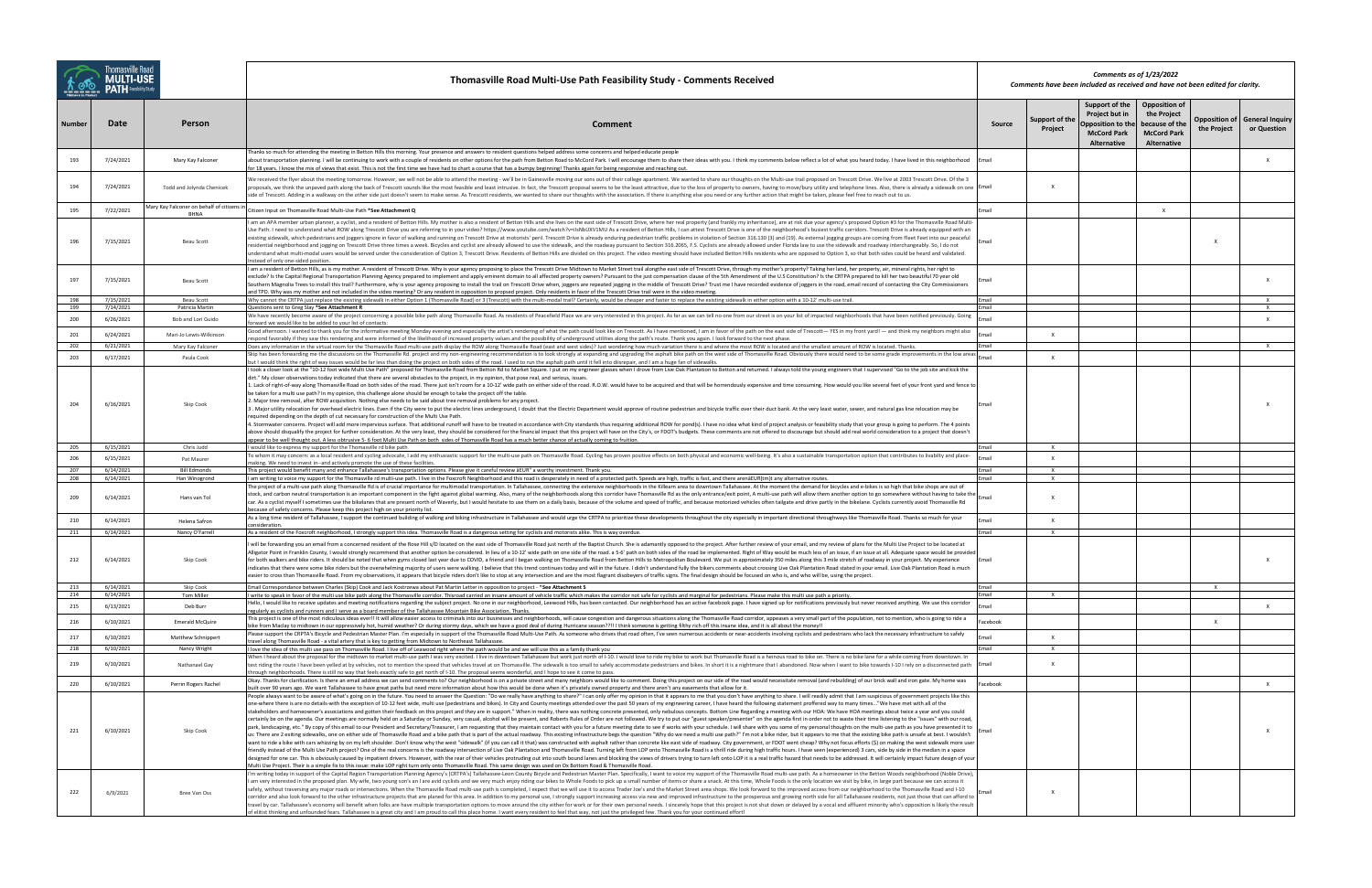|               |                        |                                                        | Thomasville Road Multi-Use Path Feasibility Study - Comments Received                                                                                                                                                                                                                                                                                                                                                                                                                                                                                                                                                                                                                                                                                                                                                                                                                                                                                                                                                                                                                                                                                                                                                                                                                                                                                                                                                                                                                                                                                                                                                                                                                                                                                                                                                                                                                                                                                                                                                                                                                                                                                                                                                                                                                    |                | Comments as of 1/23/2022<br>Comments have been included as received and have not been edited for clarity. |                                                                                                   |                                                                                            |              |                                                       |
|---------------|------------------------|--------------------------------------------------------|------------------------------------------------------------------------------------------------------------------------------------------------------------------------------------------------------------------------------------------------------------------------------------------------------------------------------------------------------------------------------------------------------------------------------------------------------------------------------------------------------------------------------------------------------------------------------------------------------------------------------------------------------------------------------------------------------------------------------------------------------------------------------------------------------------------------------------------------------------------------------------------------------------------------------------------------------------------------------------------------------------------------------------------------------------------------------------------------------------------------------------------------------------------------------------------------------------------------------------------------------------------------------------------------------------------------------------------------------------------------------------------------------------------------------------------------------------------------------------------------------------------------------------------------------------------------------------------------------------------------------------------------------------------------------------------------------------------------------------------------------------------------------------------------------------------------------------------------------------------------------------------------------------------------------------------------------------------------------------------------------------------------------------------------------------------------------------------------------------------------------------------------------------------------------------------------------------------------------------------------------------------------------------------|----------------|-----------------------------------------------------------------------------------------------------------|---------------------------------------------------------------------------------------------------|--------------------------------------------------------------------------------------------|--------------|-------------------------------------------------------|
| <b>Number</b> | Date                   | Person                                                 | Comment                                                                                                                                                                                                                                                                                                                                                                                                                                                                                                                                                                                                                                                                                                                                                                                                                                                                                                                                                                                                                                                                                                                                                                                                                                                                                                                                                                                                                                                                                                                                                                                                                                                                                                                                                                                                                                                                                                                                                                                                                                                                                                                                                                                                                                                                                  | Source         | Support of the<br>Project                                                                                 | Support of the<br>Project but in<br><b>Opposition to the</b><br><b>McCord Park</b><br>Alternative | <b>Opposition of</b><br>the Project<br>because of the<br><b>McCord Park</b><br>Alternative | the Project  | <b>Opposition of   General Inquiry</b><br>or Question |
| 193           | 7/24/2021              | Mary Kay Falconer                                      | hanks so much for attending the meeting in Betton Hills this morning. Your presence and answers to resident questions helped address some concerns and helped educate people<br>about transportation planning. I will be continuing to work with a couple of residents on other options for the path from Betton Road to McCord Park. I will encourage them to share their ideas with you. I think my comments<br>for 18 years. I know the mix of views that exist. This is not the first time we have had to chart a course that has a bumpy beginning! Thanks again for being responsive and reaching out.                                                                                                                                                                                                                                                                                                                                                                                                                                                                                                                                                                                                                                                                                                                                                                                                                                                                                                                                                                                                                                                                                                                                                                                                                                                                                                                                                                                                                                                                                                                                                                                                                                                                             | Email          |                                                                                                           |                                                                                                   |                                                                                            |              | $\mathsf{X}$                                          |
| 194           | 7/24/2021              | Todd and Jolynda Chenicek                              | We received the flyer about the meeting tomorrow. However, we will not be able to attend the meeting - we'll be in Gainesville moving our sons out of their college apartment. We wanted to share our thoughts on the Multi-us<br>proposals, we think the unpaved path along the back of Trescott sounds like the most feasible and least intrusive. In fact, the Trescott proposal seems to be the least attractive, due to the loss of property to owners, hav<br>side of Trescott. Adding in a walkway on the other side just doesn't seem to make sense. As Trescott residents, we wanted to share our thoughts with the association. If there is anything else you need or any further action                                                                                                                                                                                                                                                                                                                                                                                                                                                                                                                                                                                                                                                                                                                                                                                                                                                                                                                                                                                                                                                                                                                                                                                                                                                                                                                                                                                                                                                                                                                                                                                       |                | $\boldsymbol{\mathsf{x}}$                                                                                 |                                                                                                   |                                                                                            |              |                                                       |
| 195           | 7/22/2021              | Mary Kay Falconer on behalf of citizens<br><b>BHNA</b> | Citizen Input on Thomasville Road Multi-Use Path *See Attachment Q                                                                                                                                                                                                                                                                                                                                                                                                                                                                                                                                                                                                                                                                                                                                                                                                                                                                                                                                                                                                                                                                                                                                                                                                                                                                                                                                                                                                                                                                                                                                                                                                                                                                                                                                                                                                                                                                                                                                                                                                                                                                                                                                                                                                                       | Email          |                                                                                                           |                                                                                                   | $\mathsf{x}$                                                                               |              |                                                       |
| 196           | 7/15/2021              | Beau Scott                                             | I am an APA member urban planner, a cyclist, and a resident of Betton Hills. My mother is also a resident of Betton Hills and she lives on the east side of Trescott Drive, where her real property (and frankly my inheritanc<br>Use Path. I need to understand what ROW along Trescott Drive you are referring to in your video? https://www.youtube.com/watch?v=iIsNbUXV1MU As a resident of Betton Hills, I can attest Trescott Drive is one of the neighbor<br>existing sidewalk, which pedestrians and joggers ignore in favor of walking and running on Trescott Drive at motorists' peril. Trescott Drive is already enduring pedestrian traffic problems in violation of Section 316.130<br>residential neighborhood and jogging on Trescott Drive three times a week. Bicycles and cyclist are already allowed to use the sidewalk, and the roadway pursuant to Section 316.2065, F.S. Cyclists are already allowed under<br>understand what multi-modal users would be served under the consideration of Option 3, Trescott Drive. Residents of Betton Hills are divided on this project. The video meeting should have included Betton Hills residents wh<br>istead of only one-sided position                                                                                                                                                                                                                                                                                                                                                                                                                                                                                                                                                                                                                                                                                                                                                                                                                                                                                                                                                                                                                                                                               | Email          |                                                                                                           |                                                                                                   |                                                                                            |              |                                                       |
| 197           | 7/15/2021              | Beau Scott                                             | I am a resident of Betton Hills, as is my mother. A resident of Trescott Drive. Why is your agency proposing to place the Trescott Drive. Midtown to Market Street trail alongthe east side of Trescott Drive, through my moth<br>exclude? Is the Capital Regional Transportation Planning Agency prepared to implement and apply eminent domain to all affected property owners? Pursuant to the just compensation clause of the 5th Amendment of the U.S Const<br>Southern Magnolia Trees to install this trail? Furthermore, why is your agency proposing to install the trail on Trescott Drive when, joggers are repeated jogging in the middle of Trescott Drive? Trust me I have recorded e<br>and TPD. Why was my mother and not included in the video meeting? Or any resident in opposition to propsed project. Only residents in favor of the Trescott Drive trail were in the video meeting.                                                                                                                                                                                                                                                                                                                                                                                                                                                                                                                                                                                                                                                                                                                                                                                                                                                                                                                                                                                                                                                                                                                                                                                                                                                                                                                                                                                 | Email          |                                                                                                           |                                                                                                   |                                                                                            |              | $\mathsf{X}$                                          |
| 198<br>199    | 7/15/2021<br>7/14/2021 | Beau Scott<br>Patricia Martin                          | Why cannot the CRTPA just replace the existing sidewalk in either Option 1 (Thomasville Road) or 3 (Trescott) with the multi-modal trail? Certainly, would be cheaper and faster to replace the existing sidewalk in either op<br>Questions sent to Greg Slay *See Attachment R                                                                                                                                                                                                                                                                                                                                                                                                                                                                                                                                                                                                                                                                                                                                                                                                                                                                                                                                                                                                                                                                                                                                                                                                                                                                                                                                                                                                                                                                                                                                                                                                                                                                                                                                                                                                                                                                                                                                                                                                          | Email<br>Email |                                                                                                           |                                                                                                   |                                                                                            |              | $\mathsf{x}$<br>$\mathsf{X}$                          |
| 200           | 6/26/2021              | Bob and Lori Guido                                     | We have recently become aware of the project concerning a possible bike path along Thomasville Road. As residents of Peacefield Place we are very interested in this project. As far as we can tell no one from our street is                                                                                                                                                                                                                                                                                                                                                                                                                                                                                                                                                                                                                                                                                                                                                                                                                                                                                                                                                                                                                                                                                                                                                                                                                                                                                                                                                                                                                                                                                                                                                                                                                                                                                                                                                                                                                                                                                                                                                                                                                                                            | Email          |                                                                                                           |                                                                                                   |                                                                                            |              | $\mathsf{X}$                                          |
| 201           | 6/24/2021              | Mari-Jo Lewis-Wilkinson                                | forward we would like to be added to your list of contacts<br>Good afternoon. I wanted to thank you for the informative meeting Monday evening and especially the artist's rendering of what the path could look like on Trescott. As I have mentioned, I am in favor of the path on the eas<br>espond favorably if they saw this rendering and were informed of the likelihood of increased property values and the possibility of underground utilities along the path's route. Thank you again. I look forward to the next                                                                                                                                                                                                                                                                                                                                                                                                                                                                                                                                                                                                                                                                                                                                                                                                                                                                                                                                                                                                                                                                                                                                                                                                                                                                                                                                                                                                                                                                                                                                                                                                                                                                                                                                                            | Email          | $\times$                                                                                                  |                                                                                                   |                                                                                            |              |                                                       |
| 202           | 6/21/2021              | Mary Kay Falconer                                      | Does any information in the virtual room for the Thomasville Road multi-use path display the ROW along Thomasville Road (east and west sides)? Just wondering how much variation there is and where the most ROW is located an                                                                                                                                                                                                                                                                                                                                                                                                                                                                                                                                                                                                                                                                                                                                                                                                                                                                                                                                                                                                                                                                                                                                                                                                                                                                                                                                                                                                                                                                                                                                                                                                                                                                                                                                                                                                                                                                                                                                                                                                                                                           | Email          |                                                                                                           |                                                                                                   |                                                                                            |              | $\mathsf{X}$                                          |
| 203           | 6/17/2021              | Paula Cook                                             | Skip has been forwarding me the discussions on the Thomasville Rd. project and my non-engineering recommendation is to look strongly at expanding and upgrading the asphalt bike path on the west side of Thomasville Road. Ob<br>out I would think the right of way issues would be far less than doing the project on both sides of the road. I used to run the asphalt path until it fell into diisrepair, and I am a huge fan of sidewalks.                                                                                                                                                                                                                                                                                                                                                                                                                                                                                                                                                                                                                                                                                                                                                                                                                                                                                                                                                                                                                                                                                                                                                                                                                                                                                                                                                                                                                                                                                                                                                                                                                                                                                                                                                                                                                                          | Email          | $\mathsf{x}$                                                                                              |                                                                                                   |                                                                                            |              |                                                       |
| 204           | 6/16/2021              | Skip Cook                                              | I took a closer look at the "10-12 foot wide Multi Use Path" proposed for Thomasville Road from Betton Rd to Market Square. I put on my engineer glasses when I drove from Live Oak Plantation to Betton and returned. I alway<br>dirt." My closer observations today indicated that there are several obstacles to the project, in my opinion, that pose real, and serious, issues.<br>. Lack of right-of-way along Thomasville Road on both sides of the road. There just isn't room for a 10-12' wide path on either side of the road. R.O.W. would have to be acquired and that will be horrendously expensive and<br>be taken for a multi use path? In my opinion, this challenge alone should be enough to take the project off the table.<br>2. Major tree removal, after ROW acquisition. Nothing else needs to be said about tree removal problems for any project.<br>3. Major utility relocation for overhead electric lines. Even if the City were to put the electric lines underground, I doubt that the Electric Department would approve of routine pedestrian and bicycle traffic over their<br>required depending on the depth of cut necessary for construction of the Multi Use Path.<br>4. Stormwater concerns. Project will add more impervious surface. That additional runoff will have to be treated in accordance with City standards thus requiring additional ROW for pond(s). I have no idea what kind of proj<br>above should disqualify the project for further consideration. At the very least, they should be considered for the financial impact that this project will have on the City's, or FDOT's budgets. These comments are not offe                                                                                                                                                                                                                                                                                                                                                                                                                                                                                                                                                                                                            | Email          |                                                                                                           |                                                                                                   |                                                                                            |              |                                                       |
| 205           | 6/15/2021              | Chris Judd                                             | appear to be well thought out. A less obtrusive 5- 6 foot Multi Use Path on both sides of Thomasville Road has a much better chance of actually coming to fruition.<br>I would like to express my support for the Thomasville rd bike path                                                                                                                                                                                                                                                                                                                                                                                                                                                                                                                                                                                                                                                                                                                                                                                                                                                                                                                                                                                                                                                                                                                                                                                                                                                                                                                                                                                                                                                                                                                                                                                                                                                                                                                                                                                                                                                                                                                                                                                                                                               | Email          | X                                                                                                         |                                                                                                   |                                                                                            |              |                                                       |
| 206           | 6/15/2021              | Pat Maurer                                             | To whom it may concern: as a local resident and cycling advocate, I add my enthusiastic support for the multi-use path on Thomasville Road. Cycling has proven positive effects on both physical and economic well-being. It's<br>naking. We need to invest in--and actively promote the use of these facilities.                                                                                                                                                                                                                                                                                                                                                                                                                                                                                                                                                                                                                                                                                                                                                                                                                                                                                                                                                                                                                                                                                                                                                                                                                                                                                                                                                                                                                                                                                                                                                                                                                                                                                                                                                                                                                                                                                                                                                                        | Email          | $\times$                                                                                                  |                                                                                                   |                                                                                            |              |                                                       |
| 207<br>208    | 6/14/2021<br>6/14/2021 | <b>Bill Edmonds</b><br>Han Winogrond                   | This project would benefit many and enhance Tallahassee's transportation options. Please give it careful review âEUR" a worthy investment. Thank you.<br>I am writing to voice my support for the Thomasville rd multi-use path. I live in the Foxcroft Neighborhood and this road is desperately in need of a protected path. Speeds are high, traffic is fast, and there arenâEUR(tm)                                                                                                                                                                                                                                                                                                                                                                                                                                                                                                                                                                                                                                                                                                                                                                                                                                                                                                                                                                                                                                                                                                                                                                                                                                                                                                                                                                                                                                                                                                                                                                                                                                                                                                                                                                                                                                                                                                  | Email<br>Email | $\mathsf{x}$<br>$\mathbf{x}$                                                                              |                                                                                                   |                                                                                            |              |                                                       |
| 209           | 6/14/2021              | Hans van Tol                                           | The project of a multi-use path along Thomasville Rd is of crucial importance for multimodal transportation. In Tallahassee, connecting the extensive neighborhoods in the Killearn area to downtown Tallahassee. At the momen<br>stock, and carbon neutral transportation is an important component in the fight against global warming. Also, many of the neighborhoods along this corridor have Thomasville Rd as the only entrance/exit point, A multi-use p<br>car. As a cyclist myself I sometimes use the bikelanes that are present north of Waverly, but I would hesitate to use them on a daily basis, because of the volume and speed of traffic, and because motorized vehicles often<br>ecause of safety concerns. Please keep this project high on your priority list.                                                                                                                                                                                                                                                                                                                                                                                                                                                                                                                                                                                                                                                                                                                                                                                                                                                                                                                                                                                                                                                                                                                                                                                                                                                                                                                                                                                                                                                                                                     | Email          | $\mathsf{x}$                                                                                              |                                                                                                   |                                                                                            |              |                                                       |
| 210           | 6/14/2021              | Helena Safron                                          | As a long time resident of Tallahassee, I support the continued building of walking and biking infrastructure in Tallahassee and would urge the CRTPA to prioritize these developments throughout the city especially in impor<br>onsideration                                                                                                                                                                                                                                                                                                                                                                                                                                                                                                                                                                                                                                                                                                                                                                                                                                                                                                                                                                                                                                                                                                                                                                                                                                                                                                                                                                                                                                                                                                                                                                                                                                                                                                                                                                                                                                                                                                                                                                                                                                           | Email          | $\times$                                                                                                  |                                                                                                   |                                                                                            |              |                                                       |
| 211           | 6/14/2021              | Nancy O'Farrell                                        | As a resident of the Foxcroft neighborhood, I strongly support this idea. Thomasville Road is a dangerous setting for cyclists and motorists alike. This is way overdue.                                                                                                                                                                                                                                                                                                                                                                                                                                                                                                                                                                                                                                                                                                                                                                                                                                                                                                                                                                                                                                                                                                                                                                                                                                                                                                                                                                                                                                                                                                                                                                                                                                                                                                                                                                                                                                                                                                                                                                                                                                                                                                                 | Email          | $\times$                                                                                                  |                                                                                                   |                                                                                            |              |                                                       |
| 212           | 6/14/2021              | Skip Cook                                              | I will be forwarding you an email from a concerned resident of the Rose Hill s/D located on the east side of Thomasville Road just north of the Bagtist Church. She is adamantly opposed to the project. After further review<br>Alligator Point in Franklin County, I would strongly recommend that another option be considered. In lieu of a 10-12' wide path on one side of the road. a 5-6' path on both sides of the road be implemented. Right of Way wo<br>for both walkers and bike riders. It should be noted that when gyms closed last year due to COVID, a friend and I began walking on Thomasville Road from Betton Hills to Metropolitan Boulevard. We put in approximately 350 m<br>indicates that there were some bike riders but the overwhelming majority of users were walking. I believe that this trend continues today and will in the future. I didn't understand fully the bikers comments about crossing<br>easier to cross than Thomasville Road. From my observations, it appears that bicycle riders don't like to stop at any intersection and are the most flagrant disobeyers of traffic signs. The final design should be focused o                                                                                                                                                                                                                                                                                                                                                                                                                                                                                                                                                                                                                                                                                                                                                                                                                                                                                                                                                                                                                                                                                                                    |                |                                                                                                           |                                                                                                   |                                                                                            |              |                                                       |
| 213<br>214    | 6/14/2021<br>6/14/2021 | Skip Cook<br>Tom Miller                                | Email Correspondance between Charles (Skip) Cook and Jack Kostrzewa about Pat Martin Letter in opposition to project - *See Attachment S<br>I write to speak in favor of the multi use bike path along the Thomasville corridor. Thisroad carried an insane amount of vehicle traffic which makes the corridor mot safe for cyclists and marginal for pedestrians. Please                                                                                                                                                                                                                                                                                                                                                                                                                                                                                                                                                                                                                                                                                                                                                                                                                                                                                                                                                                                                                                                                                                                                                                                                                                                                                                                                                                                                                                                                                                                                                                                                                                                                                                                                                                                                                                                                                                                | Email<br>Fmail | X                                                                                                         |                                                                                                   |                                                                                            | $\mathsf{x}$ |                                                       |
| 215           | 6/13/2021              | Deb Burr                                               | Hello, I would like to receive updates and meeting notifications regarding the subject project. No one in our neighborhood, Leewood Hills, has been contacted. Our neighborhood has an active facebook page. I have signed up<br>regularly as cyclists and runners and I serve as a board member of the Tallahassee Mountain Bike Association. Thanks.                                                                                                                                                                                                                                                                                                                                                                                                                                                                                                                                                                                                                                                                                                                                                                                                                                                                                                                                                                                                                                                                                                                                                                                                                                                                                                                                                                                                                                                                                                                                                                                                                                                                                                                                                                                                                                                                                                                                   | Email          |                                                                                                           |                                                                                                   |                                                                                            |              | $\mathsf{X}$                                          |
| 216           | 6/10/2021              | <b>Emerald McQuire</b>                                 | This project is one of the most ridiculous ideas ever!! It will allow easier access to criminals into our businesses and neighborhoods, will cause congestion and dangerous situations along the Thomasville Road corridor, ap<br>bike from Maclay to midtown in our oppressively hot, humid weather? Or during stormy days, which we have a good deal of during Hurricane season??!! I think someone is getting filthy rich off this insane idea, and it is all                                                                                                                                                                                                                                                                                                                                                                                                                                                                                                                                                                                                                                                                                                                                                                                                                                                                                                                                                                                                                                                                                                                                                                                                                                                                                                                                                                                                                                                                                                                                                                                                                                                                                                                                                                                                                         | acebook        |                                                                                                           |                                                                                                   |                                                                                            | $\times$     |                                                       |
| 217           | 6/10/2021              | Matthew Schnippert                                     | Please support the CRPTA's Bicycle and Pedestrian Master Plan. I'm especially in support of the Thomasville Road Multi-Use Path. As someone who drives that road often, I've seen numerous accidents or near-accidents involvi<br>travel along Thomasville Road - a vital artery that is key to getting from Midtown to Northeast Tallahassee.                                                                                                                                                                                                                                                                                                                                                                                                                                                                                                                                                                                                                                                                                                                                                                                                                                                                                                                                                                                                                                                                                                                                                                                                                                                                                                                                                                                                                                                                                                                                                                                                                                                                                                                                                                                                                                                                                                                                           | Email          | $\times$                                                                                                  |                                                                                                   |                                                                                            |              |                                                       |
| 218           | 6/10/2021              | Nancy Wright                                           | I love the idea of this multi use pass on Thomasville Road. I live off of Leawood right where the path would be and we will use this as a family thank you                                                                                                                                                                                                                                                                                                                                                                                                                                                                                                                                                                                                                                                                                                                                                                                                                                                                                                                                                                                                                                                                                                                                                                                                                                                                                                                                                                                                                                                                                                                                                                                                                                                                                                                                                                                                                                                                                                                                                                                                                                                                                                                               | Email          | $\mathsf{X}$                                                                                              |                                                                                                   |                                                                                            |              |                                                       |
| 219           | 6/10/2021              | Nathanael Gay                                          | When I heard about the proposal for the midtown to market multi-use path I was very excited. I live in downtown Tallahassee but work just north of I-10. I would love to ride my bike to work but Thomasville Road is a heinou<br>test riding the route I have been yelled at by vehicles, not to mention the speed that vehicles travel at on Thomasville. The sidewalk is too small to safely accommodate pedestrians and bikes. In short it is a nightmare th<br>through neighborhoods. There is still no way that feels exactly safe to get north of I-10. The proposal seems wonderful, and I hope to see it come to pass.                                                                                                                                                                                                                                                                                                                                                                                                                                                                                                                                                                                                                                                                                                                                                                                                                                                                                                                                                                                                                                                                                                                                                                                                                                                                                                                                                                                                                                                                                                                                                                                                                                                          |                | $\mathsf{x}$                                                                                              |                                                                                                   |                                                                                            |              |                                                       |
| 220           | 6/10/2021              | Perrin Rogers Rachel                                   | Okay. Thanks for clarification. Is there an email address we can send comments to? Our neighborhood is on a private street and many neighbors would like to comment. Doing this project on our side of the road would necessit<br>uilt over 90 years ago. We want Tallahassee to have great paths but need more information about how this would be done when it's privately owned property and there aren't any easements that allow for it.                                                                                                                                                                                                                                                                                                                                                                                                                                                                                                                                                                                                                                                                                                                                                                                                                                                                                                                                                                                                                                                                                                                                                                                                                                                                                                                                                                                                                                                                                                                                                                                                                                                                                                                                                                                                                                            | Facebook       |                                                                                                           |                                                                                                   |                                                                                            |              | $\mathsf{X}$                                          |
| 221           | 6/10/2021              | Skip Cook                                              | People always want to be aware of what's going on in the future. You need to answer the Question: "Do we really have anything to share?" I can only offer my opinion in that it appears to me that you don't have anything to<br>one-where there is are no details-with the exception of 10-12 feet wide, multi use (pedestrians and bikes). In City and County meetings attended over the past 50 years of my engineering career, I have heard the following s<br>stakeholders and homeowner's associations and gotten their feedback on this project and they are in support." When in reality, there was nothing concrete presented, only nebulous concepts. Bottom Line Regarding a meeting w<br>certainly be on the agenda. Our meetings are normally held on a Saturday or Sunday, very casual, alcohol will be present, and Roberts Rules of Order are not followed. We try to put our "guest speaker/presenter" on the agen<br>park, landscaping, etc." By copy of this email to our President and Secretary/Treasurer, I am requesting that they maintain contact with you for a future meeting date to see if works with your schedule. I will share with y<br>us: There are 2 exiting sidewalks, one on either side of Thomasville Road and a bike path that is part of the actual roadway. This existing infrastructure begs the question "Why do we need a multi use path?" I'm not a bike<br>want to ride a bike with cars whizzing by on my left shoulder. Don't know why the west "sidewalk" (if you can call it that) was constructed with asphalt rather than concrete like east side of roadway. City government, or F<br>friendly instead of the Multi Use Path project? One of the real concerns is the roadway intersection of Live Oak Plantation and Thomasville Road. Turning left from LOP onto Thomasville Road is a thrill ride during high tra<br>designed for one car. This is obviously caused by impatient drivers. However, with the rear of their vehicles protruding out into south bound lanes and blocking the views of drivers tyring to turn left onto LOP it is a rea<br>Multi Use Project. Their is a simple fix to this issue: make LOP right turn only onto Thomasville Road. This same design was used on Ox Bottom Road & Thomasville Road. |                |                                                                                                           |                                                                                                   |                                                                                            |              | $\mathsf{x}$                                          |
| 222           | 6/9/2021               | Bree Van Oss                                           | I'm writing today in support of the Capital Region Transportation Planning Agency's (CRTPA's) Tallahassee-Leon County Bicycle and Pedestrian Master Plan. Specifically, I want to voice my support of the Thomasville Road mul<br>I am very interested in the proposed plan. My wife, two young son's an I are avid cyclists and we very much enjoy riding our bikes to Whole Foods to pick up a small number of items or share a snack. At this time, Whole Foo<br>safely, without traversing any major roads or intersections. When the Thomasville Road multi-use path is completed, I expect that we will use it to access Trader Joe's and the Market Street area shops. We look forward to t<br>corridor and also look forward to the other infrastructure projects that are planed for this area. In addition to my personal use, I strongly support increasing access via new and improved infrastructure to the prosperous<br>travel by car. Tallahassee's economy will benefit when folks are have multiple transportation options to move around the city either for work or for their own personal needs. I sincerely hope that this project is not shut<br>f elitist thinking and unfounded fears. Tallahassee is a great city and I am proud to call this place home. I want every resident to feel that way, not just the privileged few. Thank you for your continued effort!                                                                                                                                                                                                                                                                                                                                                                                                                                                                                                                                                                                                                                                                                                                                                                                                                                                                                            | Email          |                                                                                                           |                                                                                                   |                                                                                            |              |                                                       |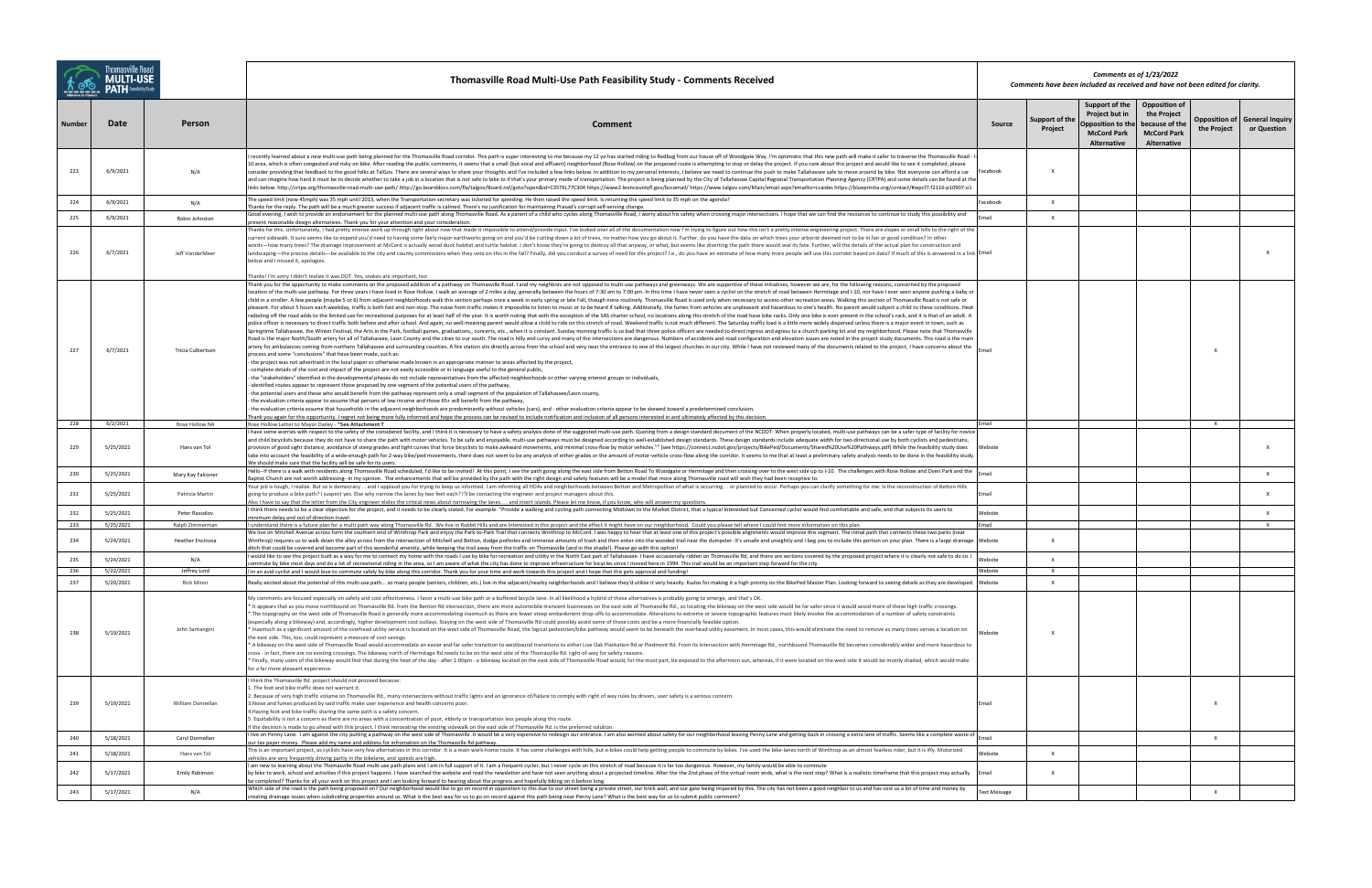|               |                        |                                     | Thomasville Road Multi-Use Path Feasibility Study - Comments Received                                                                                                                                                                                                                                                                                                                                                                                                                                                                                                                                                                                                                                                                                                                                                                                                                                                                                                                                                                                                                                                                                                                                                                                                                                                                                                                                                                                                                                                                                                                                                                                                                                                                                                                                                                                                                                                                                                                                                                                                                                                                                                                                                                                                                                                                                                                                                                                                                                                                                                                                                                                                                                                                                                                                                                                                                                                                                                                                                                                                                                                                                                                                                                                                                                                                                                                                                                                                                  | Comments as of 1/23/2022<br>Comments have been included as received and have not been edited for clarity. |                              |                                                                                            |                                                                                            |              |                                                       |
|---------------|------------------------|-------------------------------------|----------------------------------------------------------------------------------------------------------------------------------------------------------------------------------------------------------------------------------------------------------------------------------------------------------------------------------------------------------------------------------------------------------------------------------------------------------------------------------------------------------------------------------------------------------------------------------------------------------------------------------------------------------------------------------------------------------------------------------------------------------------------------------------------------------------------------------------------------------------------------------------------------------------------------------------------------------------------------------------------------------------------------------------------------------------------------------------------------------------------------------------------------------------------------------------------------------------------------------------------------------------------------------------------------------------------------------------------------------------------------------------------------------------------------------------------------------------------------------------------------------------------------------------------------------------------------------------------------------------------------------------------------------------------------------------------------------------------------------------------------------------------------------------------------------------------------------------------------------------------------------------------------------------------------------------------------------------------------------------------------------------------------------------------------------------------------------------------------------------------------------------------------------------------------------------------------------------------------------------------------------------------------------------------------------------------------------------------------------------------------------------------------------------------------------------------------------------------------------------------------------------------------------------------------------------------------------------------------------------------------------------------------------------------------------------------------------------------------------------------------------------------------------------------------------------------------------------------------------------------------------------------------------------------------------------------------------------------------------------------------------------------------------------------------------------------------------------------------------------------------------------------------------------------------------------------------------------------------------------------------------------------------------------------------------------------------------------------------------------------------------------------------------------------------------------------------------------------------------------|-----------------------------------------------------------------------------------------------------------|------------------------------|--------------------------------------------------------------------------------------------|--------------------------------------------------------------------------------------------|--------------|-------------------------------------------------------|
| <b>Number</b> | Date                   | Person                              | <b>Comment</b>                                                                                                                                                                                                                                                                                                                                                                                                                                                                                                                                                                                                                                                                                                                                                                                                                                                                                                                                                                                                                                                                                                                                                                                                                                                                                                                                                                                                                                                                                                                                                                                                                                                                                                                                                                                                                                                                                                                                                                                                                                                                                                                                                                                                                                                                                                                                                                                                                                                                                                                                                                                                                                                                                                                                                                                                                                                                                                                                                                                                                                                                                                                                                                                                                                                                                                                                                                                                                                                                         | Source                                                                                                    | Support of the<br>Project    | Support of the<br>Project but in<br>Opposition to the<br><b>McCord Park</b><br>Alternative | <b>Opposition of</b><br>the Project<br>because of the<br><b>McCord Park</b><br>Alternative | the Project  | <b>Opposition of   General Inquiry</b><br>or Question |
| 223           | 6/9/2021               | N/A                                 | recently learned about a new multi-use path being planned for the Thomasville Road corridor. This path is super interesting to me because my 12 yo has started riding to Redbug from our house off of Woodgate Way. I'm optimi<br>10 area, which is often congested and risky on bike. After reading the public comments, it seems that a small (but vocal and affluent) neighborhood (Rose Hollow) on the proposed route is attempting to stop or delay the pro<br>consider providing that feedback to the good folks at TalGov. There are several ways to share your thoughts and I've included a few links below. In addition to my personal interests, I believe we need to continue the push<br>and can imagine how hard it must be to decide whether to take a job in a location that is not safe to bike to if that's your primary mode of transportation. The project is being planned by the City of Tallahassee Capital R<br>links below. http://crtpa.org/thomasville-road-multi-use-path/ http://go.boarddocs.com/fla/talgov/Board.nsf/goto?open&id=C35TKL77C304 https://www2.leoncountyfl.gov/bccemail/ https://www.talgov.com/Main/email.aspx?emailto=c                                                                                                                                                                                                                                                                                                                                                                                                                                                                                                                                                                                                                                                                                                                                                                                                                                                                                                                                                                                                                                                                                                                                                                                                                                                                                                                                                                                                                                                                                                                                                                                                                                                                                                                                                                                                                                                                                                                                                                                                                                                                                                                                                                                                                                                                                                                  | Facebook                                                                                                  | $\mathsf{x}$                 |                                                                                            |                                                                                            |              |                                                       |
| 224           | 6/9/2021               | N/A                                 | The speed limit (now 45mph) was 35 mph until 2013, when the Transportation secretary was ticketed for speeding. He then raised the speed limit. Is returning the speed limit to 35 mph on the agenda?<br>Thanks for the reply. The path will be a much greater success if adjacent traffic is calmed. There's no justification for maintaining Prasad's corrupt self-serving change.                                                                                                                                                                                                                                                                                                                                                                                                                                                                                                                                                                                                                                                                                                                                                                                                                                                                                                                                                                                                                                                                                                                                                                                                                                                                                                                                                                                                                                                                                                                                                                                                                                                                                                                                                                                                                                                                                                                                                                                                                                                                                                                                                                                                                                                                                                                                                                                                                                                                                                                                                                                                                                                                                                                                                                                                                                                                                                                                                                                                                                                                                                   | Facebook                                                                                                  | X                            |                                                                                            |                                                                                            |              |                                                       |
| 225           | 6/9/2021               | Robin Johnston                      | Good evening, I wish to provide an endorsement for the planned multi-use path along Thomasville Road. As a parent of a child who cycles along Thomasville Road, I worry about his safety when crossing major intersections. I<br>present reasonable design alternatives. Thank you for your attention and your consideration.                                                                                                                                                                                                                                                                                                                                                                                                                                                                                                                                                                                                                                                                                                                                                                                                                                                                                                                                                                                                                                                                                                                                                                                                                                                                                                                                                                                                                                                                                                                                                                                                                                                                                                                                                                                                                                                                                                                                                                                                                                                                                                                                                                                                                                                                                                                                                                                                                                                                                                                                                                                                                                                                                                                                                                                                                                                                                                                                                                                                                                                                                                                                                          |                                                                                                           | $\times$                     |                                                                                            |                                                                                            |              |                                                       |
| 226           | 6/7/2021               | Jeff VanderMeer                     | Thanks for this. Unfortunately, I had pretty intense work up through right about now that made it impossible to attend/provide input. I've looked over all of the documentation now I'm trying to figure out how this isn't a<br>current sidewalk. It sure seems like to expand you'd need to having some fairly major earthworks going on and you'd be cutting down a lot of trees, no matter how you go about it. Further, do you have the data on which tree<br>words-how many trees? The drainage improvement at McCord is actually wood duck habitat and turtle habitat. I don't know they're going to destroy all that anyway, or what, but seems like diverting the path there would seal<br>landscaping-the precise details-be available to the city and county commissions when they vote on this in the fall? Finally, did you conduct a survey of need for this project? I.e., do you have an estimate of how many more<br>below and I missed it, apologies.<br>Thanks! I'm sorry I didn't realize it was DOT. Yes, snakes are important, too                                                                                                                                                                                                                                                                                                                                                                                                                                                                                                                                                                                                                                                                                                                                                                                                                                                                                                                                                                                                                                                                                                                                                                                                                                                                                                                                                                                                                                                                                                                                                                                                                                                                                                                                                                                                                                                                                                                                                                                                                                                                                                                                                                                                                                                                                                                                                                                                                               |                                                                                                           |                              |                                                                                            |                                                                                            |              |                                                       |
| 227           | 6/7/2021               | Tricia Culbertson                   | Thank you for the opportunity to make comments on the proposed addition of a pathway on Thomasville Road. I and my neighbors are not opposed to multi-use pathways and greenways. We are supportive of these initiatives, howe<br>location of the multi-use pathway. For three years I have lived in Rose Hollow. I walk an average of 2 miles a day, generally between the hours of 7:30 am to 7:00 pm. In this time I have never seen a cyclist on the stretch<br>child in a stroller. A few people (maybe 5 or 6) from adjacent neighborhoods walk this section perhaps once a week in early spring or late Fall, though none routinely. Thomasville Road is used only when necessary to access<br>pleasant. For about 5 hours each weekday, traffic is both fast and non-stop. The noise from traffic makes it impossible to listen to music or to be heard if talking. Additionally, the fumes from vehicles are unpleasant and<br>radiating off the road adds to the limited use for recreational purposes for at least half of the year. It is worth noting that with the exception of the SAS charter school, no locations along this stretch of the road have<br>police officer is necessary to direct traffic both before and after school. And again, no well-meaning parent would allow a child to ride on this stretch of road. Weekend traffic is not much different. The Saturday traffic<br>Springtime Tallahassee, the Winter Festival, the Arts in the Park, football games, graduations,, concerts, etc., when it is constant. Sunday morning traffic is so bad that three police officers are needed to direct ingress<br>Road is the major North/South artery for all of Tallahassee, Leon County and the cities to our south. The road is hilly and curvy and many of the intersections are dangerous. Numbers of accidents and road configuration and<br>artery for ambulances coming from northern Tallahassee and surrounding counties. A fire station sits directly across from the school and very near the entrance to one of the largest churches in our city. While I have not r<br>process and some "conclusions" that have been made, such as:<br>- the project was not advertised in the local paper or otherwise made known in an appropriate manner to areas affected by the project,<br>- complete details of the cost and impact of the project are not easily accessible or in language useful to the general public,<br>- the "stakeholders" identified in the developmental phases do not include representatives from the affected neighborhoods or other varying interest groups or individuals,<br>identified routes appear to represent those proposed by one segment of the potential users of the pathway,<br>- the potential users and those who would benefit from the pathway represent only a small segment of the population of Tallahassee/Leon county,<br>- the evaluation criteria appear to assume that persons of low income and those 65+ will benefit from the pathway,<br>- the evaluation criteria assume that households in the adjacent neighborhoods are predominantly without vehicles (cars), and - other evaluation criteria appear to be skewed toward a predetermined conclusion.<br>Thank you again for this opportunity. I regret not being more fully informed and hope the process can be revised to include notification and inclusion of all persons interested in and ultimately affected by this decision. |                                                                                                           |                              |                                                                                            |                                                                                            |              |                                                       |
| 228           | 6/2/2021               | Rose Hollow NA                      | Rose Hollow Letter to Mayor Dailey - *See Attachment T<br>I have some worries with respect to the safety of the considered facility, and I think it is necessary to have a safety analysis done of the suggested multi-use path. Quoting from a design standard document of the NCDOT: W                                                                                                                                                                                                                                                                                                                                                                                                                                                                                                                                                                                                                                                                                                                                                                                                                                                                                                                                                                                                                                                                                                                                                                                                                                                                                                                                                                                                                                                                                                                                                                                                                                                                                                                                                                                                                                                                                                                                                                                                                                                                                                                                                                                                                                                                                                                                                                                                                                                                                                                                                                                                                                                                                                                                                                                                                                                                                                                                                                                                                                                                                                                                                                                               | Fmail                                                                                                     |                              |                                                                                            |                                                                                            | $\mathbf{x}$ |                                                       |
| 229           | 5/25/2021              | Hans van Tol                        | and child bicyclists because they do not have to share the path with motor vehicles. To be safe and enjoyable, multi-use pathways must be designed according to well-established design standards. These design standards incl<br>provision of good sight distance, avoidance of steep grades and tight curves that force bicyclists to make awkward movements, and minimal cross-flow by motor vehicles."" (see https://connect.ncdot.gov/projects/BikePed/Docu<br>take into account the feasibility of a wide-enough path for 2-way bike/ped movements, there does not seem to be any analysis of either grades or the amount of motor-vehicle cross-flow along the corridor. It seems to me tha<br>We should make sure that the facility will be safe for its users.                                                                                                                                                                                                                                                                                                                                                                                                                                                                                                                                                                                                                                                                                                                                                                                                                                                                                                                                                                                                                                                                                                                                                                                                                                                                                                                                                                                                                                                                                                                                                                                                                                                                                                                                                                                                                                                                                                                                                                                                                                                                                                                                                                                                                                                                                                                                                                                                                                                                                                                                                                                                                                                                                                                | Website                                                                                                   |                              |                                                                                            |                                                                                            |              |                                                       |
| 230           | 5/25/2021              | Mary Kay Falconer                   | Hello--If there is a walk with residents along Thomasville Road scheduled, I'd like to be invited! At this point, I see the path going along the east side from Betton Road To Woodgate or Hermitage and then crossing over to<br>Baptist Church are not worth addressing-in my opinion. The enhancements that will be provided by the path with the right design and safety features will be a model that more along Thomasville road will wish they had been r                                                                                                                                                                                                                                                                                                                                                                                                                                                                                                                                                                                                                                                                                                                                                                                                                                                                                                                                                                                                                                                                                                                                                                                                                                                                                                                                                                                                                                                                                                                                                                                                                                                                                                                                                                                                                                                                                                                                                                                                                                                                                                                                                                                                                                                                                                                                                                                                                                                                                                                                                                                                                                                                                                                                                                                                                                                                                                                                                                                                                       | Email                                                                                                     |                              |                                                                                            |                                                                                            |              | $\mathsf{x}$                                          |
| 231           | 5/25/2021              | Patricia Martin                     | Your job is tough, I realize. But so is democracy and I applaud you for trying to keep us informed. I am informing all HOAs and neighborhoods between Betton and Metropolitan of what is occurring or planned to occur<br>going to produce a bike path? I suspect yes. Else why narrow the lanes by two feet each? I'll be contacting the engineer and project managers about this.<br>Also I have to say that the letter from the City engineer elides the critical news about narrowing the lanes and insert islands. Please let me know, if you know, who will answer my questions.                                                                                                                                                                                                                                                                                                                                                                                                                                                                                                                                                                                                                                                                                                                                                                                                                                                                                                                                                                                                                                                                                                                                                                                                                                                                                                                                                                                                                                                                                                                                                                                                                                                                                                                                                                                                                                                                                                                                                                                                                                                                                                                                                                                                                                                                                                                                                                                                                                                                                                                                                                                                                                                                                                                                                                                                                                                                                                 | Email                                                                                                     |                              |                                                                                            |                                                                                            |              | $\times$                                              |
| 232           | 5/25/2021              | Peter Rassolov                      | I think there needs to be a clear objective for the project, and it needs to be clearly stated. For example: "Provide a walking and cycling path connecting Midtown to the Market District, that a typical Interested but Conc<br>minimum delay and out of direction travel.                                                                                                                                                                                                                                                                                                                                                                                                                                                                                                                                                                                                                                                                                                                                                                                                                                                                                                                                                                                                                                                                                                                                                                                                                                                                                                                                                                                                                                                                                                                                                                                                                                                                                                                                                                                                                                                                                                                                                                                                                                                                                                                                                                                                                                                                                                                                                                                                                                                                                                                                                                                                                                                                                                                                                                                                                                                                                                                                                                                                                                                                                                                                                                                                           | Website                                                                                                   |                              |                                                                                            |                                                                                            |              | $\mathsf{X}$                                          |
| 233<br>234    | 5/25/2021<br>5/24/2021 | Ralph Zimmerman<br>Heather Encinosa | I understand there is a future plan for a multi path way along Thomasville Rd. We live in Rabbit Hills and are Interested in this project and the effect it might have on our neighborhood. Could you please tell where I coul<br>We live on Mitchell Avenue across form the southern end of Winthrop Park and enjoy the Park-to-Park Trail that connects Winthrop to McCord. I was happy to hear that at least one of this project's possible alignments would<br>Winthrop) requires us to walk down the alley across from the intersection of Mitchell and Betton, dodge potholes and immense amounts of trash and then enter into the wooded trail near the dumpster. It's unsafe and unsightl<br>ditch that could be covered and become part of this wonderful amenity, while keeping the trail away from the traffic on Thomasville (and in the shade!). Please go with this option!                                                                                                                                                                                                                                                                                                                                                                                                                                                                                                                                                                                                                                                                                                                                                                                                                                                                                                                                                                                                                                                                                                                                                                                                                                                                                                                                                                                                                                                                                                                                                                                                                                                                                                                                                                                                                                                                                                                                                                                                                                                                                                                                                                                                                                                                                                                                                                                                                                                                                                                                                                                              | Email                                                                                                     | X                            |                                                                                            |                                                                                            |              | $\mathsf{x}$                                          |
| 235           | 5/24/2021              | N/A                                 | I would like to see this project built as a way for me to connect my home with the roads I use by bike for recreation and utility in the North East part of Tallahassee. I have occasionally ridden on Thomasville Rd, and the<br>ute by bike most days and do a lot of recreational riding in the area, so I am aware of what the city has done to improve infrastructure for bicycles since I moved here in 1994. This trail would be an important step forwar                                                                                                                                                                                                                                                                                                                                                                                                                                                                                                                                                                                                                                                                                                                                                                                                                                                                                                                                                                                                                                                                                                                                                                                                                                                                                                                                                                                                                                                                                                                                                                                                                                                                                                                                                                                                                                                                                                                                                                                                                                                                                                                                                                                                                                                                                                                                                                                                                                                                                                                                                                                                                                                                                                                                                                                                                                                                                                                                                                                                                       | Website                                                                                                   | $\mathbf{x}$                 |                                                                                            |                                                                                            |              |                                                       |
| 236           | 5/22/2021              | Jeffrey Lord                        | I'm an avid cyclist and I would love to commute safely by bike along this corridor. Thank you for your time and work towards this project and I hope that this gets approval and funding!                                                                                                                                                                                                                                                                                                                                                                                                                                                                                                                                                                                                                                                                                                                                                                                                                                                                                                                                                                                                                                                                                                                                                                                                                                                                                                                                                                                                                                                                                                                                                                                                                                                                                                                                                                                                                                                                                                                                                                                                                                                                                                                                                                                                                                                                                                                                                                                                                                                                                                                                                                                                                                                                                                                                                                                                                                                                                                                                                                                                                                                                                                                                                                                                                                                                                              | Website                                                                                                   | $\mathsf{x}$                 |                                                                                            |                                                                                            |              |                                                       |
| 237<br>238    | 5/20/2021<br>5/19/2021 | Rick Minor<br>John Santangini       | Really excited about the potential of this multi-use path so many people (seniors, children, etc.) live in the adjacent/nearby neighborhoods and I believe they'd utilize it very heavily. Kudos for making it a high prior<br>My comments are focused especially on safety and cost effectiveness. I favor a multi-use bike path or a buffered bicycle lane. In all likelihood a hybrid of these alternatives is probably going to emerge, and that's OK.<br>* It appears that as you move northbound on Thomasville Rd. from the Benton Rd intersection, there are more automobile-transient businesses on the east side of Thomasville Rd., so locating the bikeway on the west side woul<br>* The topography on the west side of Thomasville Road is generally more accommodating inasmuch as there are fewer steep embankment drop-offs to accommodate. Alterations to extreme or severe topographic features most likely<br>(especially along a bikeway) and, accordingly, higher development cost outlays. Staying on the west side of Thomasville Rd could possibly avoid some of those costs and be a more financially feasible option.<br>* Inasmuch as a significant amount of the overhead utility service is located on the west side of Thomasville Road, the logical pedestrian/bike pathway would seem to be beneath the overhead utility easement. In most cases,<br>the east side. This, too, could represent a measure of cost savings.<br>* A bikeway on the west side of Thomasville Road would accommodate an easier and far safer transition to westbound transitions to either Live Oak Plantation Rd or Piedmont Rd. From its intersection with Hermitage Rd., nort<br>cross - in fact, there are no existing crossings. The bikeway north of Hermitage Rd needs to be on the west side of the Thomasville Rd. right-of-way for safety reasons.<br>* Finally, many users of the bikeway would find that during the heat of the day - after 1:00pm - a bikeway located on the east side of Thomasville Road would, for the most part, be exposed to the afternoon sun, whereas, if<br>for a far more pleasant experience.                                                                                                                                                                                                                                                                                                                                                                                                                                                                                                                                                                                                                                                                                                                                                                                                                                                                                                                                                                                                                                                                                                                                                                                                                                                                                                                                      | Website                                                                                                   | $\mathsf{X}$<br>$\mathbf{x}$ |                                                                                            |                                                                                            |              |                                                       |
| 239           | 5/19/2021              | William Donnellan                   | I think the Thomasville Rd. project should not proceed because:<br>The foot and bike traffic does not warrant it.<br>2. Because of very high traffic volume on Thomasville Rd., many intersections without traffic lights and an ignorance of/failure to comply with right of way rules by drivers, user safety is a serious concern.<br>3. Noise and fumes produced by said traffic make user experience and health concerns poor.<br>4. Having foot and bike traffic sharing the same path is a safety concern.<br>5. Equitability is not a concern as there are no areas with a concentration of poor, elderly or transportation less people along this route.<br>If the decision is made to go ahead with this project, I think renovating the existing sidewalk on the east side of Thomasville Rd. is the preferred solution.                                                                                                                                                                                                                                                                                                                                                                                                                                                                                                                                                                                                                                                                                                                                                                                                                                                                                                                                                                                                                                                                                                                                                                                                                                                                                                                                                                                                                                                                                                                                                                                                                                                                                                                                                                                                                                                                                                                                                                                                                                                                                                                                                                                                                                                                                                                                                                                                                                                                                                                                                                                                                                                    | Email                                                                                                     |                              |                                                                                            |                                                                                            |              |                                                       |
| 240           | 5/18/2021              | Caryl Donnellan                     | I live on Penny Lane. I am against the city putting a pathway on the west side of Thomasville . It would be a very expensive to redesign our entrance. I am also worried about safety for our neighborhood leaving Penny Lane<br>our tax payer money. Please add my name and address for infromation on the Thomasville Rd pathway.                                                                                                                                                                                                                                                                                                                                                                                                                                                                                                                                                                                                                                                                                                                                                                                                                                                                                                                                                                                                                                                                                                                                                                                                                                                                                                                                                                                                                                                                                                                                                                                                                                                                                                                                                                                                                                                                                                                                                                                                                                                                                                                                                                                                                                                                                                                                                                                                                                                                                                                                                                                                                                                                                                                                                                                                                                                                                                                                                                                                                                                                                                                                                    |                                                                                                           |                              |                                                                                            |                                                                                            | X            |                                                       |
| 241           | 5/18/2021              | Hans van Tol                        | This is an important project, as cyclists have very few alternatives in this corridor. It is a main work-home route. It has some challenges with hills, but e-bikes could help getting people to commute by bikes. I've used t<br>vehicles are very frequently driving partly in the bikelane, and speeds are high.                                                                                                                                                                                                                                                                                                                                                                                                                                                                                                                                                                                                                                                                                                                                                                                                                                                                                                                                                                                                                                                                                                                                                                                                                                                                                                                                                                                                                                                                                                                                                                                                                                                                                                                                                                                                                                                                                                                                                                                                                                                                                                                                                                                                                                                                                                                                                                                                                                                                                                                                                                                                                                                                                                                                                                                                                                                                                                                                                                                                                                                                                                                                                                    | Website                                                                                                   | X                            |                                                                                            |                                                                                            |              |                                                       |
| 242           | 5/17/2021              | Emily Robinson                      | I am new to learning about the Thomasville Road multi-use path plans and I am in full support of it. I am a frequent cycler, but I never cycle on this stretch of road because it is far too dangerous. However, my family wou<br>by bike to work, school and activities if this project happens. I have searched the website and read the newsletter and have not seen anything about a projected timeline. After the the 2nd phase of the virtual room ends, w<br>be completed? Thanks for all your work on this project and I am looking forward to hearing about the progress and hopefully biking on it before long.                                                                                                                                                                                                                                                                                                                                                                                                                                                                                                                                                                                                                                                                                                                                                                                                                                                                                                                                                                                                                                                                                                                                                                                                                                                                                                                                                                                                                                                                                                                                                                                                                                                                                                                                                                                                                                                                                                                                                                                                                                                                                                                                                                                                                                                                                                                                                                                                                                                                                                                                                                                                                                                                                                                                                                                                                                                              |                                                                                                           | $\mathsf{X}$                 |                                                                                            |                                                                                            |              |                                                       |
| 243           | 5/17/2021              | N/A                                 | Which side of the road is the path being proposed on? Our neighborhood would like to go on record in opposition to this due to our street being a private street, our brick wall, and our gate being impaced by this. The city<br>creating drainage issues when subdividing properties around us. What is the best way for us to go on record against this path being near Penny Lane? What is the best way for us to submit public comment?                                                                                                                                                                                                                                                                                                                                                                                                                                                                                                                                                                                                                                                                                                                                                                                                                                                                                                                                                                                                                                                                                                                                                                                                                                                                                                                                                                                                                                                                                                                                                                                                                                                                                                                                                                                                                                                                                                                                                                                                                                                                                                                                                                                                                                                                                                                                                                                                                                                                                                                                                                                                                                                                                                                                                                                                                                                                                                                                                                                                                                           | <b>Text Message</b>                                                                                       |                              |                                                                                            |                                                                                            |              |                                                       |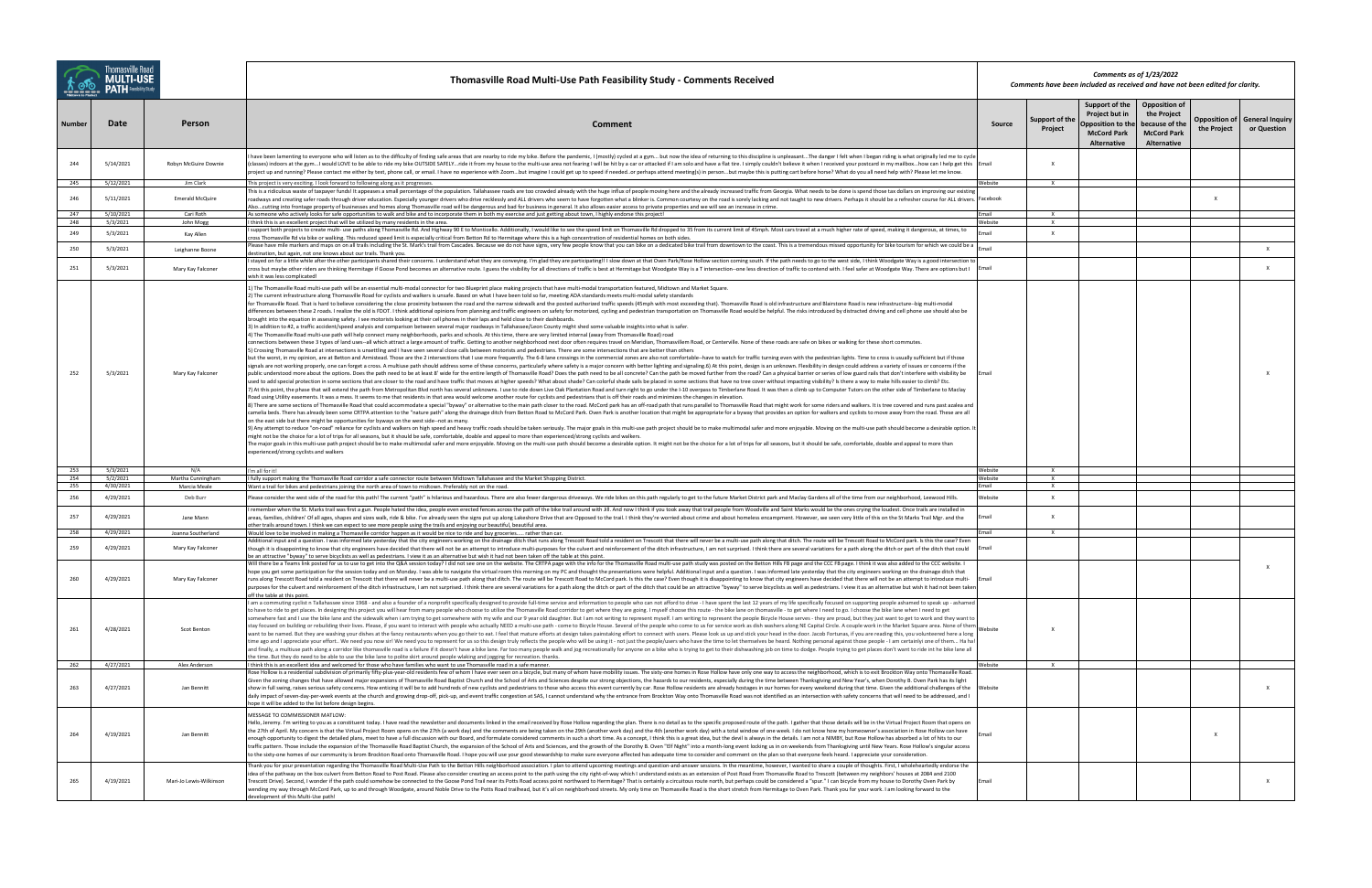|            |                       |                                   | Thomasville Road Multi-Use Path Feasibility Study - Comments Received                                                                                                                                                                                                                                                                                                                                                                                                                                                                                                                                                                                                                                                                                                                                                                                                                                                                                                                                                                                                                                                                                                                                                                                                                                                                                                                                                                                                                                                                                                                                                                                                                                                                                                                                                                                                                                                                                                                                                                                                                                                                                                                                                                                                                                                                                                                                                                                                                                                                                                                                                                                                                                                                                                                                                                                                                                                                                                                                                                                                                                                                                                                                                                                                                                                                                                                                                                                                                                                                                                                                                                                                                                                                                                                                                                                                                                                                                                                                                                                                                                                                                                                                                                                                                                                                                                                                                                                                                       | Comments as of 1/23/2022<br>Comments have been included as received and have not been edited for clarity. |                                  |                                                                                            |                                                                                            |              |                                                       |
|------------|-----------------------|-----------------------------------|---------------------------------------------------------------------------------------------------------------------------------------------------------------------------------------------------------------------------------------------------------------------------------------------------------------------------------------------------------------------------------------------------------------------------------------------------------------------------------------------------------------------------------------------------------------------------------------------------------------------------------------------------------------------------------------------------------------------------------------------------------------------------------------------------------------------------------------------------------------------------------------------------------------------------------------------------------------------------------------------------------------------------------------------------------------------------------------------------------------------------------------------------------------------------------------------------------------------------------------------------------------------------------------------------------------------------------------------------------------------------------------------------------------------------------------------------------------------------------------------------------------------------------------------------------------------------------------------------------------------------------------------------------------------------------------------------------------------------------------------------------------------------------------------------------------------------------------------------------------------------------------------------------------------------------------------------------------------------------------------------------------------------------------------------------------------------------------------------------------------------------------------------------------------------------------------------------------------------------------------------------------------------------------------------------------------------------------------------------------------------------------------------------------------------------------------------------------------------------------------------------------------------------------------------------------------------------------------------------------------------------------------------------------------------------------------------------------------------------------------------------------------------------------------------------------------------------------------------------------------------------------------------------------------------------------------------------------------------------------------------------------------------------------------------------------------------------------------------------------------------------------------------------------------------------------------------------------------------------------------------------------------------------------------------------------------------------------------------------------------------------------------------------------------------------------------------------------------------------------------------------------------------------------------------------------------------------------------------------------------------------------------------------------------------------------------------------------------------------------------------------------------------------------------------------------------------------------------------------------------------------------------------------------------------------------------------------------------------------------------------------------------------------------------------------------------------------------------------------------------------------------------------------------------------------------------------------------------------------------------------------------------------------------------------------------------------------------------------------------------------------------------------------------------------------------------------------------------------------------------|-----------------------------------------------------------------------------------------------------------|----------------------------------|--------------------------------------------------------------------------------------------|--------------------------------------------------------------------------------------------|--------------|-------------------------------------------------------|
| Number     | Date                  | Person                            | <b>Comment</b>                                                                                                                                                                                                                                                                                                                                                                                                                                                                                                                                                                                                                                                                                                                                                                                                                                                                                                                                                                                                                                                                                                                                                                                                                                                                                                                                                                                                                                                                                                                                                                                                                                                                                                                                                                                                                                                                                                                                                                                                                                                                                                                                                                                                                                                                                                                                                                                                                                                                                                                                                                                                                                                                                                                                                                                                                                                                                                                                                                                                                                                                                                                                                                                                                                                                                                                                                                                                                                                                                                                                                                                                                                                                                                                                                                                                                                                                                                                                                                                                                                                                                                                                                                                                                                                                                                                                                                                                                                                                              | Source                                                                                                    | <b>Support of the</b><br>Project | Support of the<br>Project but in<br>Opposition to the<br><b>McCord Park</b><br>Alternative | <b>Opposition of</b><br>the Project<br>because of the<br><b>McCord Park</b><br>Alternative | the Project  | <b>Opposition of   General Inquiry</b><br>or Question |
| 244        | 5/14/2021             | Robyn McGuire Downie              | have been lamenting to everyone who will listen as to the difficulty of finding safe areas that are nearby to ride my bike. Before the pandemic, I (mostly) cycled at a gym but now the idea of returning to this disciplin<br>classes) indoors at the gymI would LOVE to be able to ride my bike OUTSIDE SAFELYride it from my house to the multi-use area not fearing I will be hit by a car or attacked if I am solo and have a flat tire. I simply<br>project up and running? Please contact me either by text, phone call, or email. I have no experience with Zoombut imagine I could get up to speed if neededor perhaps attend meeting(s) in personbut maybe this is put                                                                                                                                                                                                                                                                                                                                                                                                                                                                                                                                                                                                                                                                                                                                                                                                                                                                                                                                                                                                                                                                                                                                                                                                                                                                                                                                                                                                                                                                                                                                                                                                                                                                                                                                                                                                                                                                                                                                                                                                                                                                                                                                                                                                                                                                                                                                                                                                                                                                                                                                                                                                                                                                                                                                                                                                                                                                                                                                                                                                                                                                                                                                                                                                                                                                                                                                                                                                                                                                                                                                                                                                                                                                                                                                                                                                            |                                                                                                           | $\mathbf{x}$                     |                                                                                            |                                                                                            |              |                                                       |
| 245        | 5/12/2021             | Jim Clark                         | This project is very exciting. I look forward to following along as it progresses<br>This is a ridiculous waste of taxpayer funds! It appeases a small percentage of the population. Tallahassee roads are too crowded already with the huge influx of people moving here and the already increased traffic from Ge                                                                                                                                                                                                                                                                                                                                                                                                                                                                                                                                                                                                                                                                                                                                                                                                                                                                                                                                                                                                                                                                                                                                                                                                                                                                                                                                                                                                                                                                                                                                                                                                                                                                                                                                                                                                                                                                                                                                                                                                                                                                                                                                                                                                                                                                                                                                                                                                                                                                                                                                                                                                                                                                                                                                                                                                                                                                                                                                                                                                                                                                                                                                                                                                                                                                                                                                                                                                                                                                                                                                                                                                                                                                                                                                                                                                                                                                                                                                                                                                                                                                                                                                                                         | Website                                                                                                   | $\mathbf{x}$                     |                                                                                            |                                                                                            |              |                                                       |
| 246        | 5/11/2021             | <b>Emerald McQuire</b>            | roadways and creating safer roads through driver education. Especially younger drivers who drive recklessly and ALL drivers who seem to have forgotten what a blinker is. Common courtesy on the road is sorely lacking and no<br>Alsocutting into frontage property of businesses and homes along Thomasville road will be dangerous and bad for business in general. It also allows easier access to private properties and we will see an increase in crim                                                                                                                                                                                                                                                                                                                                                                                                                                                                                                                                                                                                                                                                                                                                                                                                                                                                                                                                                                                                                                                                                                                                                                                                                                                                                                                                                                                                                                                                                                                                                                                                                                                                                                                                                                                                                                                                                                                                                                                                                                                                                                                                                                                                                                                                                                                                                                                                                                                                                                                                                                                                                                                                                                                                                                                                                                                                                                                                                                                                                                                                                                                                                                                                                                                                                                                                                                                                                                                                                                                                                                                                                                                                                                                                                                                                                                                                                                                                                                                                                               |                                                                                                           |                                  |                                                                                            |                                                                                            | X            |                                                       |
| 247<br>248 | 5/10/2021<br>5/3/2021 | Cari Roth<br>John Mogg            | As someone who actively looks for safe opportunities to walk and bike and to incorporate them in both my exercise and just getting about town, I highly endorse this project!<br>I think this is an excellent project that will be utilized by many residents in the area.                                                                                                                                                                                                                                                                                                                                                                                                                                                                                                                                                                                                                                                                                                                                                                                                                                                                                                                                                                                                                                                                                                                                                                                                                                                                                                                                                                                                                                                                                                                                                                                                                                                                                                                                                                                                                                                                                                                                                                                                                                                                                                                                                                                                                                                                                                                                                                                                                                                                                                                                                                                                                                                                                                                                                                                                                                                                                                                                                                                                                                                                                                                                                                                                                                                                                                                                                                                                                                                                                                                                                                                                                                                                                                                                                                                                                                                                                                                                                                                                                                                                                                                                                                                                                  | Email<br>Website                                                                                          | $\mathbf{x}$<br>$\mathbf{x}$     |                                                                                            |                                                                                            |              |                                                       |
| 249        | 5/3/2021              | Kay Allen                         | support both projects to create multi- use paths along Thomasville Rd. And Highway 90 E to Monticello. Additionally, I would like to see the speed limit on Thomasville Rd dropped to 35 from its current limit of 45mph. Most<br>ross Thomasville Rd via bike or walking. This reduced speed limit is especially critical from Betton Rd to Hermitage where this is a high concentration of residential homes on both sides.                                                                                                                                                                                                                                                                                                                                                                                                                                                                                                                                                                                                                                                                                                                                                                                                                                                                                                                                                                                                                                                                                                                                                                                                                                                                                                                                                                                                                                                                                                                                                                                                                                                                                                                                                                                                                                                                                                                                                                                                                                                                                                                                                                                                                                                                                                                                                                                                                                                                                                                                                                                                                                                                                                                                                                                                                                                                                                                                                                                                                                                                                                                                                                                                                                                                                                                                                                                                                                                                                                                                                                                                                                                                                                                                                                                                                                                                                                                                                                                                                                                               | Fmail                                                                                                     | $\mathsf{x}$                     |                                                                                            |                                                                                            |              |                                                       |
| 250        | 5/3/2021              | Leighanne Boone                   | Please have mile markers and maps on on all trails including the St. Mark's trail from Cascades. Because we do not have signs, very few people know that you can bike on a dedicated bike trail from downtown to the coast. Th<br>destination, but again, not one knows about our trails. Thank you.                                                                                                                                                                                                                                                                                                                                                                                                                                                                                                                                                                                                                                                                                                                                                                                                                                                                                                                                                                                                                                                                                                                                                                                                                                                                                                                                                                                                                                                                                                                                                                                                                                                                                                                                                                                                                                                                                                                                                                                                                                                                                                                                                                                                                                                                                                                                                                                                                                                                                                                                                                                                                                                                                                                                                                                                                                                                                                                                                                                                                                                                                                                                                                                                                                                                                                                                                                                                                                                                                                                                                                                                                                                                                                                                                                                                                                                                                                                                                                                                                                                                                                                                                                                        | Email                                                                                                     |                                  |                                                                                            |                                                                                            |              | $\mathsf{X}$                                          |
| 251        | 5/3/2021              | Mary Kay Falconer                 | stayed on for a little while after the other participants shared their concerns. I understand what they are conveying. I'm glad they are participating!! I slow down at that Oven Park/Rose Hollow section coming south. If th<br>cross but maybe other riders are thinking Hermitage if Goose Pond becomes an alternative route. I guess the visibility for all directions of traffic is best at Hermitage but Woodgate Way is a T intersection--one less direc<br>wish it was less complicated!                                                                                                                                                                                                                                                                                                                                                                                                                                                                                                                                                                                                                                                                                                                                                                                                                                                                                                                                                                                                                                                                                                                                                                                                                                                                                                                                                                                                                                                                                                                                                                                                                                                                                                                                                                                                                                                                                                                                                                                                                                                                                                                                                                                                                                                                                                                                                                                                                                                                                                                                                                                                                                                                                                                                                                                                                                                                                                                                                                                                                                                                                                                                                                                                                                                                                                                                                                                                                                                                                                                                                                                                                                                                                                                                                                                                                                                                                                                                                                                           | Email                                                                                                     |                                  |                                                                                            |                                                                                            |              | $\times$                                              |
| 252        | 5/3/2021              | Mary Kay Falconer                 | 1) The Thomasville Road multi-use path will be an essential multi-modal connector for two Blueprint place making projects that have multi-modal transportation featured, Midtown and Market Square.<br>2) The current infrastructure along Thomasville Road for cyclists and walkers is unsafe. Based on what I have been told so far, meeting ADA standards meets multi-modal safety standards<br>for Thomasville Road. That is hard to believe considering the close proximity between the road and the narrow sidewalk and the posted authorized traffic speeds (45mph with most exceeding that). Thomasville Road is old infr<br>differences between these 2 roads. I realize the old is FDOT. I think additional opinions from planning and traffic engineers on safety for motorized, cycling and pedestrian transportation on Thomasville Road would be help<br>brought into the equation in assessing safety. I see motorists looking at their cell phones in their laps and held close to their dashboards.<br>3) In addition to #2, a traffic accident/speed analysis and comparison between several major roadways in Tallahassee/Leon County might shed some valuable insights into what is safer.<br>4) The Thomasville Road multi-use path will help connect many neighborhoods, parks and schools. At this time, there are very limited internal (away from Thomasville Road) road<br>connections between these 3 types of land uses--all which attract a large amount of traffic. Getting to another neighborhood next door often requires travel on Meridian, Thomasvillem Road, or Centerville. None of these roa<br>5) Crossing Thomasville Road at intersections is unsettling and I have seen several close calls between motorists and pedestrians. There are some intersections that are better than others<br>but the worst, in my opinion, are at Betton and Armistead. Those are the 2 intersections that I use more frequently. The 6-8 lane crossings in the commercial zones are also not comfortable-have to watch for traffic turning<br>signals are not working properly, one can forget a cross. A multiuse path should address some of these concerns, particularly where safety is a major concern with better lighting and signaling.6) At this point, design is a<br>public understood more about the options. Does the path need to be at least 8' wide for the entire length of Thomasville Road? Does the path need to be all concrete? Can the path be moved further from the road? Can a physi<br>used to add special protection in some sections that are closer to the road and have traffic that moves at higher speeds? What about shade? Can colorful shade sails be placed in some sections that have no tree cover withou<br>7) At this point, the phase that will extend the path from Metropolitan Blvd north has several unknowns. I use to ride down Live Oak Plantation Road and turn right to go under the 1-10 overpass to Timberlane Road. It was t<br>Road using Utility easements. It was a mess. It seems to me that residents in that area would welcome another route for cyclists and pedestrians that is off their roads and minimizes the changes in elevation.<br>8) There are some sections of Thomasville Road that could accommodate a special "byway" or alternative to the main path closer to the road. McCord park has an off-road path that runs parallel to Thomasville Road that might<br>camelia beds. There has already been some CRTPA attention to the "nature path" along the drainage ditch from Betton Road to McCord Park. Oven Park is another location that might be appropriate for a byway that provides an<br>on the east side but there might be opportunities for byways on the west side-not as many.<br>9) Any attempt to reduce "on-road" reliance for cyclists and walkers on high speed and heavy traffic roads should be taken seriously. The major goals in this multi-use path project should be to make multimodal safer and mo<br>might not be the choice for a lot of trips for all seasons, but it should be safe, comfortable, doable and appeal to more than experienced/strong cyclists and walkers.<br>The major goals in this multi-use path project should be to make multimodal safer and more enjoyable. Moving on the multi-use path should become a desirable option. It might not be the choice for a lot of trips for all sea<br>experienced/strong cyclists and walkers | Email                                                                                                     |                                  |                                                                                            |                                                                                            |              | X                                                     |
| 253        | 5/3/2021              | N/A                               | 'm all for it!                                                                                                                                                                                                                                                                                                                                                                                                                                                                                                                                                                                                                                                                                                                                                                                                                                                                                                                                                                                                                                                                                                                                                                                                                                                                                                                                                                                                                                                                                                                                                                                                                                                                                                                                                                                                                                                                                                                                                                                                                                                                                                                                                                                                                                                                                                                                                                                                                                                                                                                                                                                                                                                                                                                                                                                                                                                                                                                                                                                                                                                                                                                                                                                                                                                                                                                                                                                                                                                                                                                                                                                                                                                                                                                                                                                                                                                                                                                                                                                                                                                                                                                                                                                                                                                                                                                                                                                                                                                                              | Website                                                                                                   | $\mathsf{x}$                     |                                                                                            |                                                                                            |              |                                                       |
| 254<br>255 | 5/2/2021<br>4/30/2021 | Martha Cunningham<br>Marcia Meale | fully support making the Thomasville Road corridor a safe connector route between Midtown Tallahassee and the Market Shopping District.<br>Want a trail for bikes and pedestrians joining the north area of town to midtown. Preferably not on the road.                                                                                                                                                                                                                                                                                                                                                                                                                                                                                                                                                                                                                                                                                                                                                                                                                                                                                                                                                                                                                                                                                                                                                                                                                                                                                                                                                                                                                                                                                                                                                                                                                                                                                                                                                                                                                                                                                                                                                                                                                                                                                                                                                                                                                                                                                                                                                                                                                                                                                                                                                                                                                                                                                                                                                                                                                                                                                                                                                                                                                                                                                                                                                                                                                                                                                                                                                                                                                                                                                                                                                                                                                                                                                                                                                                                                                                                                                                                                                                                                                                                                                                                                                                                                                                    | Website<br>Fmail                                                                                          | $\times$<br>$\mathbf{x}$         |                                                                                            |                                                                                            |              |                                                       |
| 256        | 4/29/2021             | Deb Burr                          | Please consider the west side of the road for this path! The current "path" is hilarious and hazardous. There are also fewer dangerous driveways. We ride bikes on this path regularly to get to the future Market District pa                                                                                                                                                                                                                                                                                                                                                                                                                                                                                                                                                                                                                                                                                                                                                                                                                                                                                                                                                                                                                                                                                                                                                                                                                                                                                                                                                                                                                                                                                                                                                                                                                                                                                                                                                                                                                                                                                                                                                                                                                                                                                                                                                                                                                                                                                                                                                                                                                                                                                                                                                                                                                                                                                                                                                                                                                                                                                                                                                                                                                                                                                                                                                                                                                                                                                                                                                                                                                                                                                                                                                                                                                                                                                                                                                                                                                                                                                                                                                                                                                                                                                                                                                                                                                                                              | Website                                                                                                   | $\mathsf{x}$                     |                                                                                            |                                                                                            |              |                                                       |
| 257        | 4/29/2021             | Jane Mann                         | remember when the St. Marks trail was first a gun. People hated the idea, people even erected fences across the path of the bike trail around with Jill. And now I think if you took away that trail people from Woodville and<br>areas, families, children' Of all ages, shapes and sizes walk, ride & bike. I've already seen the signs put up along Lakeshore Drive that are Opposed to the trail. I think they're worried about crime and about homeless enc<br>other trails around town. I think we can expect to see more people using the trails and enjoying our beautiful, beautiful area.                                                                                                                                                                                                                                                                                                                                                                                                                                                                                                                                                                                                                                                                                                                                                                                                                                                                                                                                                                                                                                                                                                                                                                                                                                                                                                                                                                                                                                                                                                                                                                                                                                                                                                                                                                                                                                                                                                                                                                                                                                                                                                                                                                                                                                                                                                                                                                                                                                                                                                                                                                                                                                                                                                                                                                                                                                                                                                                                                                                                                                                                                                                                                                                                                                                                                                                                                                                                                                                                                                                                                                                                                                                                                                                                                                                                                                                                                         | Email                                                                                                     | $\mathsf{x}$                     |                                                                                            |                                                                                            |              |                                                       |
| 258        | 4/29/2021             | Joanna Southerland                | Would love to be involved in making a Thomasville corridor happen as it would be nice to ride and buy groceries rather than car                                                                                                                                                                                                                                                                                                                                                                                                                                                                                                                                                                                                                                                                                                                                                                                                                                                                                                                                                                                                                                                                                                                                                                                                                                                                                                                                                                                                                                                                                                                                                                                                                                                                                                                                                                                                                                                                                                                                                                                                                                                                                                                                                                                                                                                                                                                                                                                                                                                                                                                                                                                                                                                                                                                                                                                                                                                                                                                                                                                                                                                                                                                                                                                                                                                                                                                                                                                                                                                                                                                                                                                                                                                                                                                                                                                                                                                                                                                                                                                                                                                                                                                                                                                                                                                                                                                                                             | Email                                                                                                     | $\mathbf{x}$                     |                                                                                            |                                                                                            |              |                                                       |
| 259        | 4/29/2021             | Mary Kay Falconer                 | Additional input and a question. I was informed late yesterday that the city engineers working on the drainage ditch that runs along Trescott Road told a resident on Trescott that there will never be a multi-use path along<br>though it is disappointing to know that city engineers have decided that there will not be an attempt to introduce multi-purposes for the culvert and reinforcement of the ditch infrastructure, I am not surprised. I think t<br>be an attractive "byway" to serve bicyclists as well as pedestrians. I view it as an alternative but wish it had not been taken off the table at this point.                                                                                                                                                                                                                                                                                                                                                                                                                                                                                                                                                                                                                                                                                                                                                                                                                                                                                                                                                                                                                                                                                                                                                                                                                                                                                                                                                                                                                                                                                                                                                                                                                                                                                                                                                                                                                                                                                                                                                                                                                                                                                                                                                                                                                                                                                                                                                                                                                                                                                                                                                                                                                                                                                                                                                                                                                                                                                                                                                                                                                                                                                                                                                                                                                                                                                                                                                                                                                                                                                                                                                                                                                                                                                                                                                                                                                                                            | Email                                                                                                     |                                  |                                                                                            |                                                                                            |              |                                                       |
| 260        | 4/29/2021             | Mary Kay Falconer                 | fill there be a Teams link posted for us to use to get into the Q&A session today? I did not see one on the website. The CRTPA page with the info for the Thomasville Road multi-use path study was posted on the Betton Hills<br>hope you get some participation for the session today and on Monday. I was able to navigate the virtual room this morning on my PC and thought the presentations were helpful. Additional input and a question. I was informed<br>runs along Trescott Road told a resident on Trescott that there will never be a multi-use path along that ditch. The route will be Trescott Road to McCord park. Is this the case? Even though it is disappointing to know tha<br>purposes for the culvert and reinforcement of the ditch infrastructure, I am not surprised. I think there are several variations for a path along the ditch or part of the ditch that could be an attractive "byway" to serve<br>off the table at this point                                                                                                                                                                                                                                                                                                                                                                                                                                                                                                                                                                                                                                                                                                                                                                                                                                                                                                                                                                                                                                                                                                                                                                                                                                                                                                                                                                                                                                                                                                                                                                                                                                                                                                                                                                                                                                                                                                                                                                                                                                                                                                                                                                                                                                                                                                                                                                                                                                                                                                                                                                                                                                                                                                                                                                                                                                                                                                                                                                                                                                                                                                                                                                                                                                                                                                                                                                                                                                                                                                                          | Email                                                                                                     |                                  |                                                                                            |                                                                                            |              |                                                       |
| 261        | 4/28/2021             | Scot Benton                       | am a commuting cyclist n Tallahassee since 1968 - and also a founder of a nonprofit specifically designed to provide full-time service and information to people who can not afford to drive - I have spent the last 12 years<br>to have to ride to get places. In designing this project you will hear from many people who choose to utilize the Thomasville Road corridor to get where they are going. I myself choose this route - the bike lane on thomasv<br>somewhere fast and I use the bike lane and the sidewalk when i am trying to get somewhere with my wife and our 9 year old daughter. But I am not writing to represent myself. I am writing to represent the people Bicycle Hou<br>stay focused on building or rebuilding their lives. Please, if you want to interact with people who actually NEED a multi-use path - come to Bicycle House. Several of the people who come to us for service work as dish wash<br>want to be named. But they are washing your dishes at the fancy restaurants when you go their to eat. I feel that mature efforts at design takes painstaking effort to connect with users. Please look us up and stick your he<br>time ago and I appreciate your effort We need you now sir! We need you to represent for us so this design truly reflects the people who will be using it - not just the people/users who have the time to let themselves be<br>and finally, a multiuse path along a corridor like thomasville road is a failure if it doesn't have a bike lane. Far too many people walk and jog recreationally for anyone on a bike who is trying to get to their dishwashin<br>the time. But they do need to be able to use the bike lane to polite skirt around people wlaking and jogging for recreation. thanks.                                                                                                                                                                                                                                                                                                                                                                                                                                                                                                                                                                                                                                                                                                                                                                                                                                                                                                                                                                                                                                                                                                                                                                                                                                                                                                                                                                                                                                                                                                                                                                                                                                                                                                                                                                                                                                                                                                                                                                                                                                                                                                                                                                                                                                                                                                                                                                                                                                                                                                                                                                                                                                                                                                              | Website                                                                                                   | x                                |                                                                                            |                                                                                            |              |                                                       |
| 262        | 4/27/2021             | Alex Anderson                     | think this is an excellent idea and welcomed for those who have families who want to use Thomasville road in a safe manner.                                                                                                                                                                                                                                                                                                                                                                                                                                                                                                                                                                                                                                                                                                                                                                                                                                                                                                                                                                                                                                                                                                                                                                                                                                                                                                                                                                                                                                                                                                                                                                                                                                                                                                                                                                                                                                                                                                                                                                                                                                                                                                                                                                                                                                                                                                                                                                                                                                                                                                                                                                                                                                                                                                                                                                                                                                                                                                                                                                                                                                                                                                                                                                                                                                                                                                                                                                                                                                                                                                                                                                                                                                                                                                                                                                                                                                                                                                                                                                                                                                                                                                                                                                                                                                                                                                                                                                 | Website                                                                                                   | $\mathsf{X}$                     |                                                                                            |                                                                                            |              |                                                       |
| 263        | 4/27/2021             | Jan Bennitt                       | Rose Hollow is a residential subdivision of primarily fifty-plus-year-old residents few of whom I have ever seen on a bicycle, but many of whom have mobility issues. The sixty-one homes in Rose Hollow have only one way to<br>Given the zoning changes that have allowed major expansions of Thomasville Road Baptist Church and the School of Arts and Sciences despite our strong objections, the hazards to our residents, especially during the time bet<br>show in full swing, raises serious safety concerns. How enticing it will be to add hundreds of new cyclists and pedestrians to those who access this event currently by car. Rose Hollow residents are already hostages in our<br>daily impact of seven-day-per-week events at the church and growing drop-off, pick-up, and event traffic congestion at SAS, I cannot understand why the entrance from Brockton Way onto Thomasville Road was not identified as<br>nope it will be added to the list before design begins.                                                                                                                                                                                                                                                                                                                                                                                                                                                                                                                                                                                                                                                                                                                                                                                                                                                                                                                                                                                                                                                                                                                                                                                                                                                                                                                                                                                                                                                                                                                                                                                                                                                                                                                                                                                                                                                                                                                                                                                                                                                                                                                                                                                                                                                                                                                                                                                                                                                                                                                                                                                                                                                                                                                                                                                                                                                                                                                                                                                                                                                                                                                                                                                                                                                                                                                                                                                                                                                                                              | Website                                                                                                   |                                  |                                                                                            |                                                                                            |              | $\mathsf{x}$                                          |
| 264        | 4/19/2021             | Jan Bennitt                       | MESSAGE TO COMMISSIONER MATLOW:<br>Hello, Jeremy. I'm writing to you as a constituent today. I have read the newsletter and documents linked in the email received by Rose Hollow regarding the plan. There is no detail as to the specific proposed route of the<br>the 27th of April. My concern is that the Virtual Project Room opens on the 27th (a work day) and the comments are being taken on the 29th (another work day) and the 4th (another work day) with a total window of one week.<br>enough opportunity to digest the detailed plans, meet to have a full discussion with our Board, and formulate considered comments in such a short time. As a concept, I think this is a great idea, but the devil is always in<br>traffic pattern. Those include the expansion of the Thomasville Road Baptist Church, the expansion of the School of Arts and Sciences, and the growth of the Dorothy B. Oven "Elf Night" into a month-long event locking us in<br>to the sixty-one homes of our community is brom Brockton Road onto Thomasville Road. I hope you will use your good stewardship to make sure everyone affected has adequate time to consider and comment on the plan so that ev                                                                                                                                                                                                                                                                                                                                                                                                                                                                                                                                                                                                                                                                                                                                                                                                                                                                                                                                                                                                                                                                                                                                                                                                                                                                                                                                                                                                                                                                                                                                                                                                                                                                                                                                                                                                                                                                                                                                                                                                                                                                                                                                                                                                                                                                                                                                                                                                                                                                                                                                                                                                                                                                                                                                                                                                                                                                                                                                                                                                                                                                                                                                                                                                                                                                                    | Email                                                                                                     |                                  |                                                                                            |                                                                                            | $\mathsf{x}$ |                                                       |
| 265        | 4/19/2021             | Mari-Jo Lewis-Wilkinson           | Thank you for your presentation regarding the Thomasville Road Multi-Use Path to the Betton Hills neighborhood association. I plan to attend upcoming meetings and question-and-answer sessions. In the meantime, however, I w<br>idea of the pathway on the box culvert from Betton Road to Post Road. Please also consider creating an access point to the path using the city right-of-way which I understand exists as an extension of Post Road from Thomas<br>Trescott Drive). Second, I wonder if the path could somehow be connected to the Goose Pond Trail near its Potts Road access point northward to Hermitage? That is certainly a circuitous route north, but perhaps could be con<br>wending my way through McCord Park, up to and through Woodgate, around Noble Drive to the Potts Road trailhead, but it's all on neighborhood streets. My only time on Thomasville Road is the short stretch from Hermitage to<br>development of this Multi-Use path!                                                                                                                                                                                                                                                                                                                                                                                                                                                                                                                                                                                                                                                                                                                                                                                                                                                                                                                                                                                                                                                                                                                                                                                                                                                                                                                                                                                                                                                                                                                                                                                                                                                                                                                                                                                                                                                                                                                                                                                                                                                                                                                                                                                                                                                                                                                                                                                                                                                                                                                                                                                                                                                                                                                                                                                                                                                                                                                                                                                                                                                                                                                                                                                                                                                                                                                                                                                                                                                                                                                  | Email                                                                                                     |                                  |                                                                                            |                                                                                            |              | $\mathsf{X}$                                          |